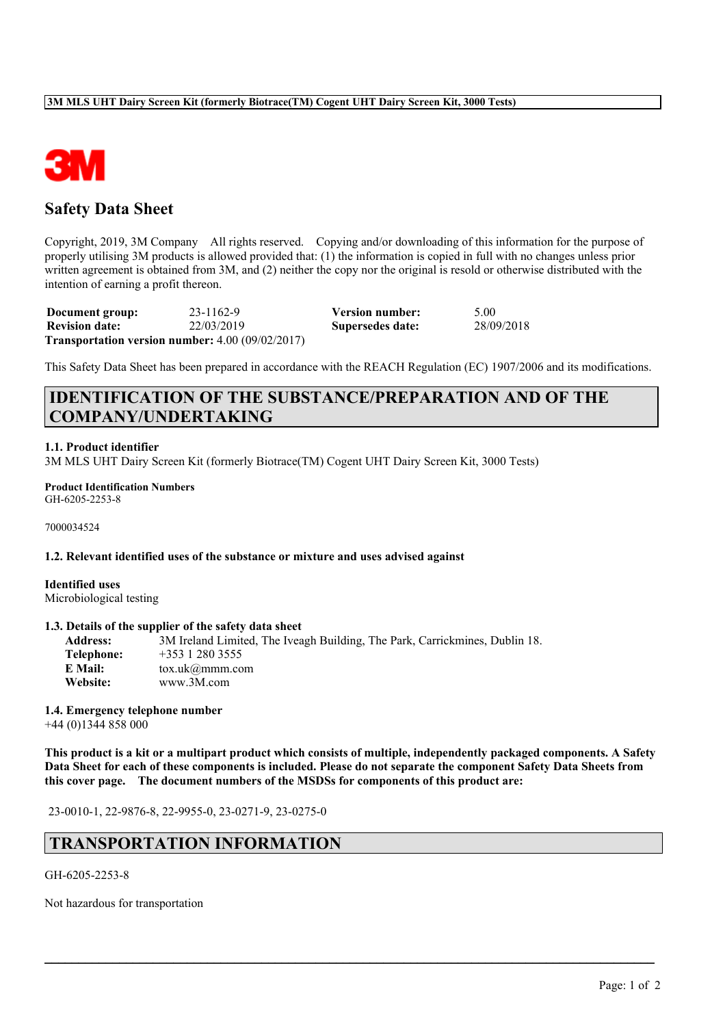

# **Safety Data Sheet**

Copyright, 2019, 3M Company All rights reserved. Copying and/or downloading of this information for the purpose of properly utilising 3M products is allowed provided that: (1) the information is copied in full with no changes unless prior written agreement is obtained from 3M, and (2) neither the copy nor the original is resold or otherwise distributed with the intention of earning a profit thereon.

**Document group:** 23-1162-9 **Version number:** 5.00 **Revision date:** 22/03/2019 **Supersedes date:** 28/09/2018 **Transportation version number:** 4.00 (09/02/2017)

This Safety Data Sheet has been prepared in accordance with the REACH Regulation (EC) 1907/2006 and its modifications.

# **IDENTIFICATION OF THE SUBSTANCE/PREPARATION AND OF THE COMPANY/UNDERTAKING**

## **1.1. Product identifier**

3M MLS UHT Dairy Screen Kit (formerly Biotrace(TM) Cogent UHT Dairy Screen Kit, 3000 Tests)

**Product Identification Numbers** GH-6205-2253-8

7000034524

#### **1.2. Relevant identified uses of the substance or mixture and uses advised against**

**Identified uses** Microbiological testing

#### **1.3. Details of the supplier of the safety data sheet**

**Address:** 3M Ireland Limited, The Iveagh Building, The Park, Carrickmines, Dublin 18. **Telephone:** +353 1 280 3555 **E Mail:** tox.uk@mmm.com **Website:** www.3M.com

# **1.4. Emergency telephone number**

+44 (0)1344 858 000

This product is a kit or a multipart product which consists of multiple, independently packaged components. A Safety Data Sheet for each of these components is included. Please do not separate the component Safety Data Sheets from **this cover page. The document numbers of the MSDSs for components of this product are:**

 $\mathcal{L}_\mathcal{L} = \mathcal{L}_\mathcal{L} = \mathcal{L}_\mathcal{L} = \mathcal{L}_\mathcal{L} = \mathcal{L}_\mathcal{L} = \mathcal{L}_\mathcal{L} = \mathcal{L}_\mathcal{L} = \mathcal{L}_\mathcal{L} = \mathcal{L}_\mathcal{L} = \mathcal{L}_\mathcal{L} = \mathcal{L}_\mathcal{L} = \mathcal{L}_\mathcal{L} = \mathcal{L}_\mathcal{L} = \mathcal{L}_\mathcal{L} = \mathcal{L}_\mathcal{L} = \mathcal{L}_\mathcal{L} = \mathcal{L}_\mathcal{L}$ 

23-0010-1, 22-9876-8, 22-9955-0, 23-0271-9, 23-0275-0

# **TRANSPORTATION INFORMATION**

#### GH-6205-2253-8

Not hazardous for transportation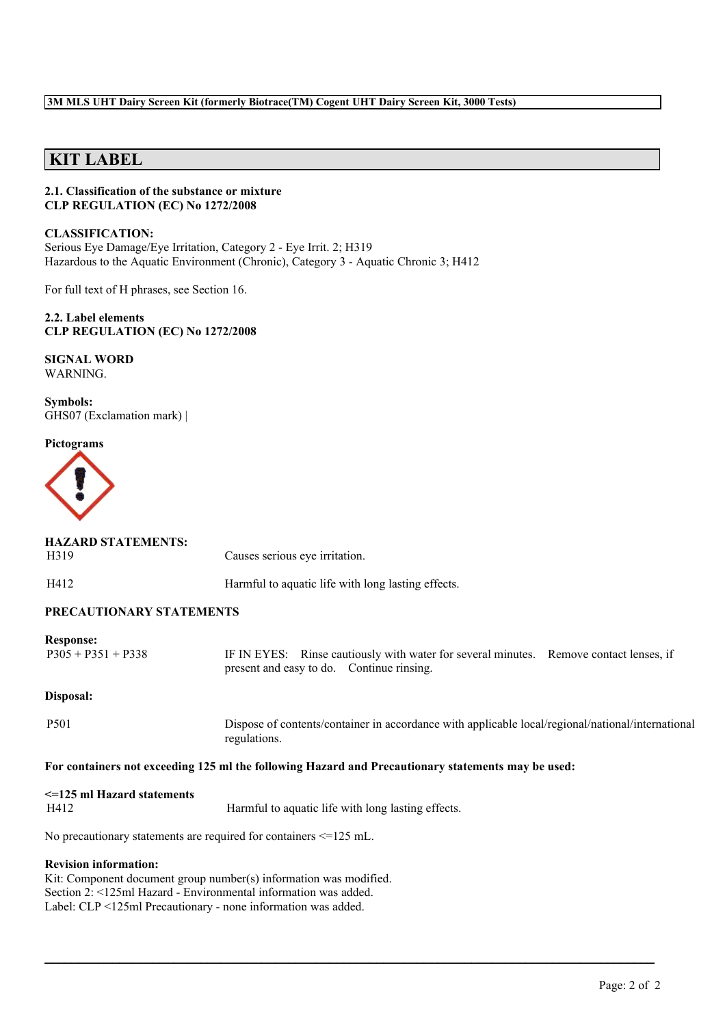## **3M MLS UHT Dairy Screen Kit (formerly Biotrace(TM) Cogent UHT Dairy Screen Kit, 3000 Tests)**

# **KIT LABEL**

### **2.1. Classification of the substance or mixture CLP REGULATION (EC) No 1272/2008**

**CLASSIFICATION:** Serious Eye Damage/Eye Irritation, Category 2 - Eye Irrit. 2; H319 Hazardous to the Aquatic Environment (Chronic), Category 3 - Aquatic Chronic 3; H412

For full text of H phrases, see Section 16.

**2.2. Label elements CLP REGULATION (EC) No 1272/2008**

**SIGNAL WORD** WARNING.

**Symbols:** GHS07 (Exclamation mark) |

**HAZARD STATEMENTS:**

#### **Pictograms**



| H412                                     | Harmful to aquatic life with long lasting effects.                                                                                  |  |  |  |  |
|------------------------------------------|-------------------------------------------------------------------------------------------------------------------------------------|--|--|--|--|
| PRECAUTIONARY STATEMENTS                 |                                                                                                                                     |  |  |  |  |
| <b>Response:</b><br>$P305 + P351 + P338$ | IF IN EYES: Rinse cautiously with water for several minutes. Remove contact lenses, if<br>present and easy to do. Continue rinsing. |  |  |  |  |
| Disposal:                                |                                                                                                                                     |  |  |  |  |
| P <sub>501</sub>                         | Dispose of contents/container in accordance with applicable local/regional/national/international<br>regulations.                   |  |  |  |  |
|                                          | For containers not exceeding 125 ml the following Hazard and Precautionary statements may be used:                                  |  |  |  |  |
| $\leq$ 125 ml Hazard statements          |                                                                                                                                     |  |  |  |  |
| H412                                     | Harmful to aquatic life with long lasting effects.                                                                                  |  |  |  |  |

 $\mathcal{L}_\mathcal{L} = \mathcal{L}_\mathcal{L} = \mathcal{L}_\mathcal{L} = \mathcal{L}_\mathcal{L} = \mathcal{L}_\mathcal{L} = \mathcal{L}_\mathcal{L} = \mathcal{L}_\mathcal{L} = \mathcal{L}_\mathcal{L} = \mathcal{L}_\mathcal{L} = \mathcal{L}_\mathcal{L} = \mathcal{L}_\mathcal{L} = \mathcal{L}_\mathcal{L} = \mathcal{L}_\mathcal{L} = \mathcal{L}_\mathcal{L} = \mathcal{L}_\mathcal{L} = \mathcal{L}_\mathcal{L} = \mathcal{L}_\mathcal{L}$ 

No precautionary statements are required for containers <=125 mL.

H319 Causes serious eye irritation.

#### **Revision information:**

Kit: Component document group number(s) information was modified. Section 2: <125ml Hazard - Environmental information was added. Label: CLP <125ml Precautionary - none information was added.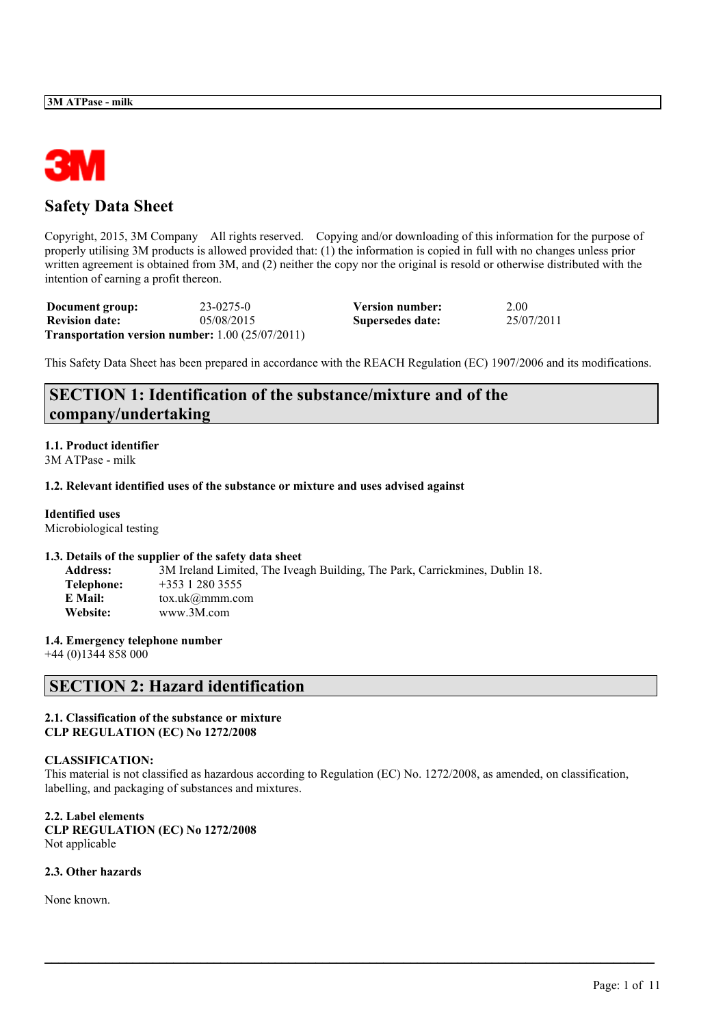

# **Safety Data Sheet**

Copyright, 2015, 3M Company All rights reserved. Copying and/or downloading of this information for the purpose of properly utilising 3M products is allowed provided that: (1) the information is copied in full with no changes unless prior written agreement is obtained from 3M, and (2) neither the copy nor the original is resold or otherwise distributed with the intention of earning a profit thereon.

| Document group:       | 23-0275-0                                                     | Version number:  | 2.00       |
|-----------------------|---------------------------------------------------------------|------------------|------------|
| <b>Revision date:</b> | 05/08/2015                                                    | Supersedes date: | 25/07/2011 |
|                       | <b>Transportation version number:</b> $1.00$ ( $25/07/2011$ ) |                  |            |

This Safety Data Sheet has been prepared in accordance with the REACH Regulation (EC) 1907/2006 and its modifications.

# **SECTION 1: Identification of the substance/mixture and of the company/undertaking**

## **1.1. Product identifier**

3M ATPase - milk

## **1.2. Relevant identified uses of the substance or mixture and uses advised against**

## **Identified uses**

Microbiological testing

## **1.3. Details of the supplier of the safety data sheet**

| <b>Address:</b> | 3M Ireland Limited, The Iveagh Building, The Park, Carrickmines, Dublin 18. |
|-----------------|-----------------------------------------------------------------------------|
| Telephone:      | $+353$ 1 280 3555                                                           |
| E Mail:         | $\text{tox.uk}(\alpha \text{mmm.com})$                                      |
| Website:        | www.3M.com                                                                  |

## **1.4. Emergency telephone number**

+44 (0)1344 858 000

# **SECTION 2: Hazard identification**

### **2.1. Classification of the substance or mixture CLP REGULATION (EC) No 1272/2008**

## **CLASSIFICATION:**

This material is not classified as hazardous according to Regulation (EC) No. 1272/2008, as amended, on classification, labelling, and packaging of substances and mixtures.

 $\mathcal{L}_\mathcal{L} = \mathcal{L}_\mathcal{L} = \mathcal{L}_\mathcal{L} = \mathcal{L}_\mathcal{L} = \mathcal{L}_\mathcal{L} = \mathcal{L}_\mathcal{L} = \mathcal{L}_\mathcal{L} = \mathcal{L}_\mathcal{L} = \mathcal{L}_\mathcal{L} = \mathcal{L}_\mathcal{L} = \mathcal{L}_\mathcal{L} = \mathcal{L}_\mathcal{L} = \mathcal{L}_\mathcal{L} = \mathcal{L}_\mathcal{L} = \mathcal{L}_\mathcal{L} = \mathcal{L}_\mathcal{L} = \mathcal{L}_\mathcal{L}$ 

**2.2. Label elements CLP REGULATION (EC) No 1272/2008** Not applicable

## **2.3. Other hazards**

None known.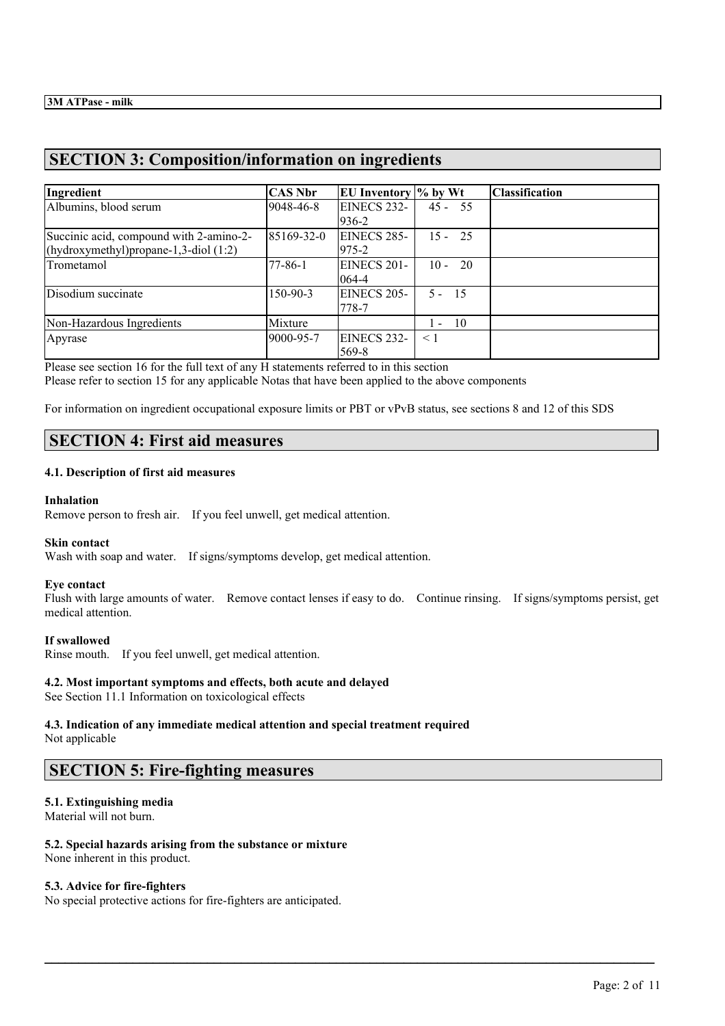# **SECTION 3: Composition/information on ingredients**

| Ingredient                                                                          | <b>CAS Nbr</b> | EU Inventory % by Wt        |              | <b>Classification</b> |
|-------------------------------------------------------------------------------------|----------------|-----------------------------|--------------|-----------------------|
| Albumins, blood serum                                                               | 9048-46-8      | EINECS 232-<br>936-2        | $45 - 55$    |                       |
| Succinic acid, compound with 2-amino-2-<br>(hydroxymethyl) propane-1,3-diol $(1:2)$ | 85169-32-0     | EINECS 285-<br>975-2        | $15 - 25$    |                       |
| Trometamol                                                                          | 77-86-1        | EINECS 201-<br>064-4        | $10 -$<br>20 |                       |
| Disodium succinate                                                                  | 150-90-3       | <b>EINECS 205-</b><br>778-7 | $5 - 15$     |                       |
| Non-Hazardous Ingredients                                                           | Mixture        |                             | $1 - 10$     |                       |
| Apyrase                                                                             | 9000-95-7      | EINECS 232-<br>569-8        | $\leq 1$     |                       |

Please see section 16 for the full text of any H statements referred to in this section Please refer to section 15 for any applicable Notas that have been applied to the above components

For information on ingredient occupational exposure limits or PBT or vPvB status, see sections 8 and 12 of this SDS

# **SECTION 4: First aid measures**

## **4.1. Description of first aid measures**

## **Inhalation**

Remove person to fresh air. If you feel unwell, get medical attention.

## **Skin contact**

Wash with soap and water. If signs/symptoms develop, get medical attention.

## **Eye contact**

Flush with large amounts of water. Remove contact lenses if easy to do. Continue rinsing. If signs/symptoms persist, get medical attention.

 $\mathcal{L}_\mathcal{L} = \mathcal{L}_\mathcal{L} = \mathcal{L}_\mathcal{L} = \mathcal{L}_\mathcal{L} = \mathcal{L}_\mathcal{L} = \mathcal{L}_\mathcal{L} = \mathcal{L}_\mathcal{L} = \mathcal{L}_\mathcal{L} = \mathcal{L}_\mathcal{L} = \mathcal{L}_\mathcal{L} = \mathcal{L}_\mathcal{L} = \mathcal{L}_\mathcal{L} = \mathcal{L}_\mathcal{L} = \mathcal{L}_\mathcal{L} = \mathcal{L}_\mathcal{L} = \mathcal{L}_\mathcal{L} = \mathcal{L}_\mathcal{L}$ 

## **If swallowed**

Rinse mouth. If you feel unwell, get medical attention.

## **4.2. Most important symptoms and effects, both acute and delayed**

See Section 11.1 Information on toxicological effects

# **4.3. Indication of any immediate medical attention and special treatment required**

Not applicable

## **SECTION 5: Fire-fighting measures**

## **5.1. Extinguishing media**

Material will not burn.

## **5.2. Special hazards arising from the substance or mixture**

None inherent in this product.

## **5.3. Advice for fire-fighters**

No special protective actions for fire-fighters are anticipated.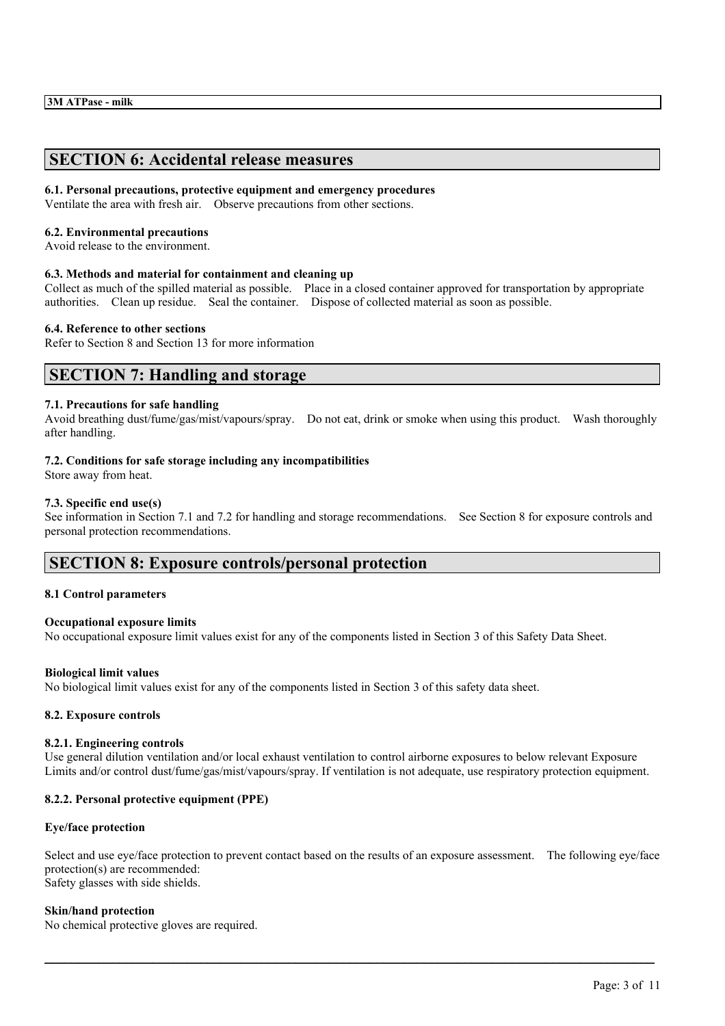# **SECTION 6: Accidental release measures**

### **6.1. Personal precautions, protective equipment and emergency procedures**

Ventilate the area with fresh air. Observe precautions from other sections.

#### **6.2. Environmental precautions**

Avoid release to the environment.

#### **6.3. Methods and material for containment and cleaning up**

Collect as much of the spilled material as possible. Place in a closed container approved for transportation by appropriate authorities. Clean up residue. Seal the container. Dispose of collected material as soon as possible.

### **6.4. Reference to other sections**

Refer to Section 8 and Section 13 for more information

## **SECTION 7: Handling and storage**

#### **7.1. Precautions for safe handling**

Avoid breathing dust/fume/gas/mist/vapours/spray. Do not eat, drink or smoke when using this product. Wash thoroughly after handling.

#### **7.2. Conditions for safe storage including any incompatibilities**

Store away from heat.

#### **7.3. Specific end use(s)**

See information in Section 7.1 and 7.2 for handling and storage recommendations. See Section 8 for exposure controls and personal protection recommendations.

## **SECTION 8: Exposure controls/personal protection**

## **8.1 Control parameters**

#### **Occupational exposure limits**

No occupational exposure limit values exist for any of the components listed in Section 3 of this Safety Data Sheet.

#### **Biological limit values**

No biological limit values exist for any of the components listed in Section 3 of this safety data sheet.

#### **8.2. Exposure controls**

#### **8.2.1. Engineering controls**

Use general dilution ventilation and/or local exhaust ventilation to control airborne exposures to below relevant Exposure Limits and/or control dust/fume/gas/mist/vapours/spray. If ventilation is not adequate, use respiratory protection equipment.

## **8.2.2. Personal protective equipment (PPE)**

#### **Eye/face protection**

Select and use eye/face protection to prevent contact based on the results of an exposure assessment. The following eye/face protection(s) are recommended: Safety glasses with side shields.

 $\mathcal{L}_\mathcal{L} = \mathcal{L}_\mathcal{L} = \mathcal{L}_\mathcal{L} = \mathcal{L}_\mathcal{L} = \mathcal{L}_\mathcal{L} = \mathcal{L}_\mathcal{L} = \mathcal{L}_\mathcal{L} = \mathcal{L}_\mathcal{L} = \mathcal{L}_\mathcal{L} = \mathcal{L}_\mathcal{L} = \mathcal{L}_\mathcal{L} = \mathcal{L}_\mathcal{L} = \mathcal{L}_\mathcal{L} = \mathcal{L}_\mathcal{L} = \mathcal{L}_\mathcal{L} = \mathcal{L}_\mathcal{L} = \mathcal{L}_\mathcal{L}$ 

#### **Skin/hand protection**

No chemical protective gloves are required.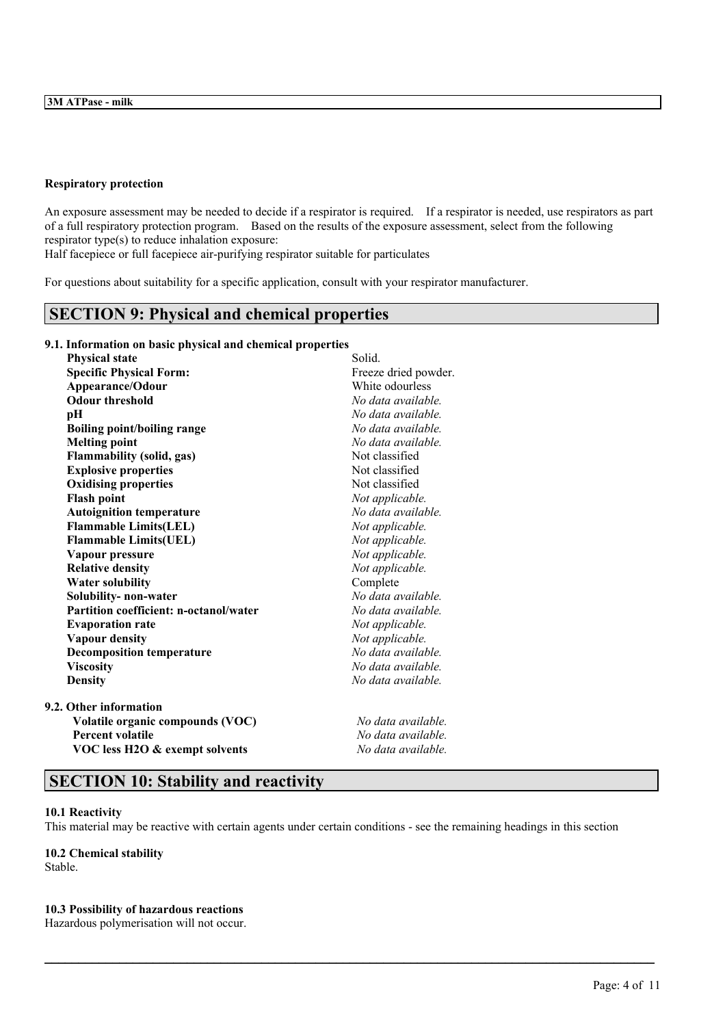#### **Respiratory protection**

An exposure assessment may be needed to decide if a respirator is required. If a respirator is needed, use respirators as part of a full respiratory protection program. Based on the results of the exposure assessment, select from the following respirator type(s) to reduce inhalation exposure:

Half facepiece or full facepiece air-purifying respirator suitable for particulates

For questions about suitability for a specific application, consult with your respirator manufacturer.

## **SECTION 9: Physical and chemical properties**

**9.1. Information on basic physical and chemical properties**

| <b>Physical state</b>                  | Solid.               |
|----------------------------------------|----------------------|
| <b>Specific Physical Form:</b>         | Freeze dried powder. |
| Appearance/Odour                       | White odourless      |
| <b>Odour threshold</b>                 | No data available.   |
| pН                                     | No data available.   |
| <b>Boiling point/boiling range</b>     | No data available.   |
| <b>Melting point</b>                   | No data available.   |
| <b>Flammability (solid, gas)</b>       | Not classified       |
| <b>Explosive properties</b>            | Not classified       |
| <b>Oxidising properties</b>            | Not classified       |
| <b>Flash point</b>                     | Not applicable.      |
| <b>Autoignition temperature</b>        | No data available.   |
| <b>Flammable Limits(LEL)</b>           | Not applicable.      |
| <b>Flammable Limits(UEL)</b>           | Not applicable.      |
| Vapour pressure                        | Not applicable.      |
| <b>Relative density</b>                | Not applicable.      |
| <b>Water solubility</b>                | Complete             |
| Solubility-non-water                   | No data available.   |
| Partition coefficient: n-octanol/water | No data available.   |
| <b>Evaporation rate</b>                | Not applicable.      |
| <b>Vapour density</b>                  | Not applicable.      |
| <b>Decomposition temperature</b>       | No data available.   |
| <b>Viscosity</b>                       | No data available.   |
| <b>Density</b>                         | No data available.   |
| 9.2. Other information                 |                      |
| Volatile organic compounds (VOC)       | No data available.   |
| <b>Percent volatile</b>                | No data available.   |

# **VOC less H2O & exempt solvents** *No data available.*

## **SECTION 10: Stability and reactivity**

#### **10.1 Reactivity**

This material may be reactive with certain agents under certain conditions - see the remaining headings in this section

 $\mathcal{L}_\mathcal{L} = \mathcal{L}_\mathcal{L} = \mathcal{L}_\mathcal{L} = \mathcal{L}_\mathcal{L} = \mathcal{L}_\mathcal{L} = \mathcal{L}_\mathcal{L} = \mathcal{L}_\mathcal{L} = \mathcal{L}_\mathcal{L} = \mathcal{L}_\mathcal{L} = \mathcal{L}_\mathcal{L} = \mathcal{L}_\mathcal{L} = \mathcal{L}_\mathcal{L} = \mathcal{L}_\mathcal{L} = \mathcal{L}_\mathcal{L} = \mathcal{L}_\mathcal{L} = \mathcal{L}_\mathcal{L} = \mathcal{L}_\mathcal{L}$ 

## **10.2 Chemical stability**

Stable.

#### **10.3 Possibility of hazardous reactions**

Hazardous polymerisation will not occur.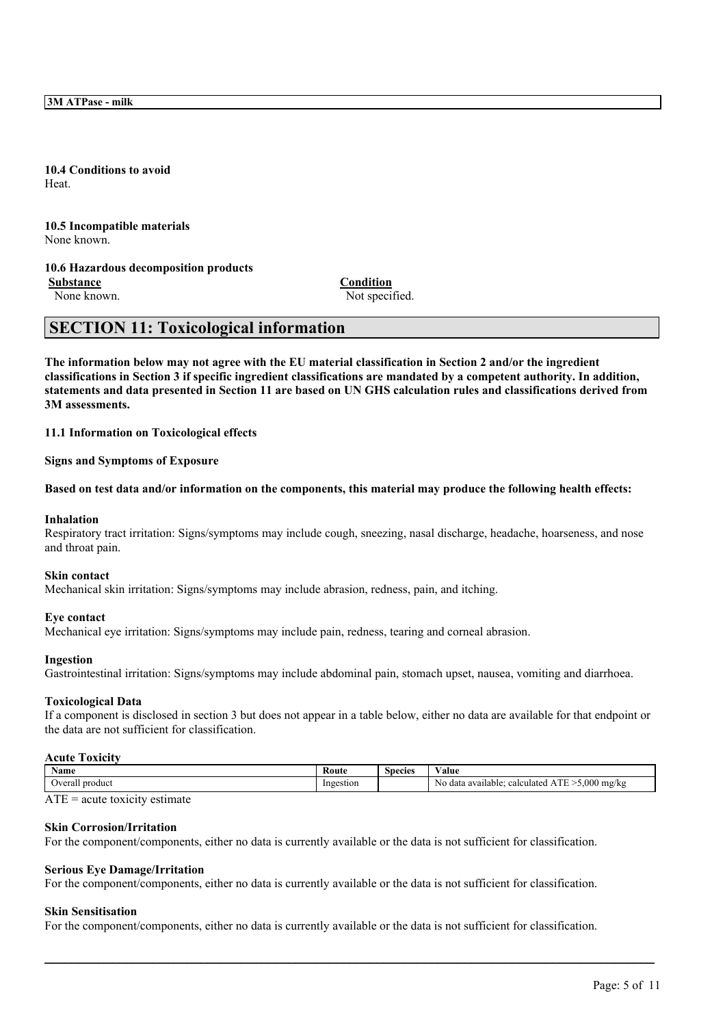**3M ATPase - milk**

**10.4 Conditions to avoid** Heat.

**10.5 Incompatible materials** None known.

## **10.6 Hazardous decomposition products**

**Substance Condition**

None known. Not specified.

# **SECTION 11: Toxicological information**

The information below may not agree with the EU material classification in Section 2 and/or the ingredient classifications in Section 3 if specific ingredient classifications are mandated by a competent authority. In addition, statements and data presented in Section 11 are based on UN GHS calculation rules and classifications derived from **3M assessments.**

**11.1 Information on Toxicological effects**

**Signs and Symptoms of Exposure**

Based on test data and/or information on the components, this material may produce the following health effects:

#### **Inhalation**

Respiratory tract irritation: Signs/symptoms may include cough, sneezing, nasal discharge, headache, hoarseness, and nose and throat pain.

#### **Skin contact**

Mechanical skin irritation: Signs/symptoms may include abrasion, redness, pain, and itching.

#### **Eye contact**

Mechanical eye irritation: Signs/symptoms may include pain, redness, tearing and corneal abrasion.

#### **Ingestion**

Gastrointestinal irritation: Signs/symptoms may include abdominal pain, stomach upset, nausea, vomiting and diarrhoea.

#### **Toxicological Data**

If a component is disclosed in section 3 but does not appear in a table below, either no data are available for that endpoint or the data are not sufficient for classification.

#### **Acute Toxicity**

| Name                       | Route     | Species | $ -$<br>Value                                                      |
|----------------------------|-----------|---------|--------------------------------------------------------------------|
| . product<br><b>Verall</b> | Ingestion |         | .000<br>N <sub>0</sub><br>) mg/kg<br>data available:<br>calculated |

### $ATE = acute$  toxicity estimate

#### **Skin Corrosion/Irritation**

For the component/components, either no data is currently available or the data is not sufficient for classification.

#### **Serious Eye Damage/Irritation**

For the component/components, either no data is currently available or the data is not sufficient for classification.

#### **Skin Sensitisation**

For the component/components, either no data is currently available or the data is not sufficient for classification.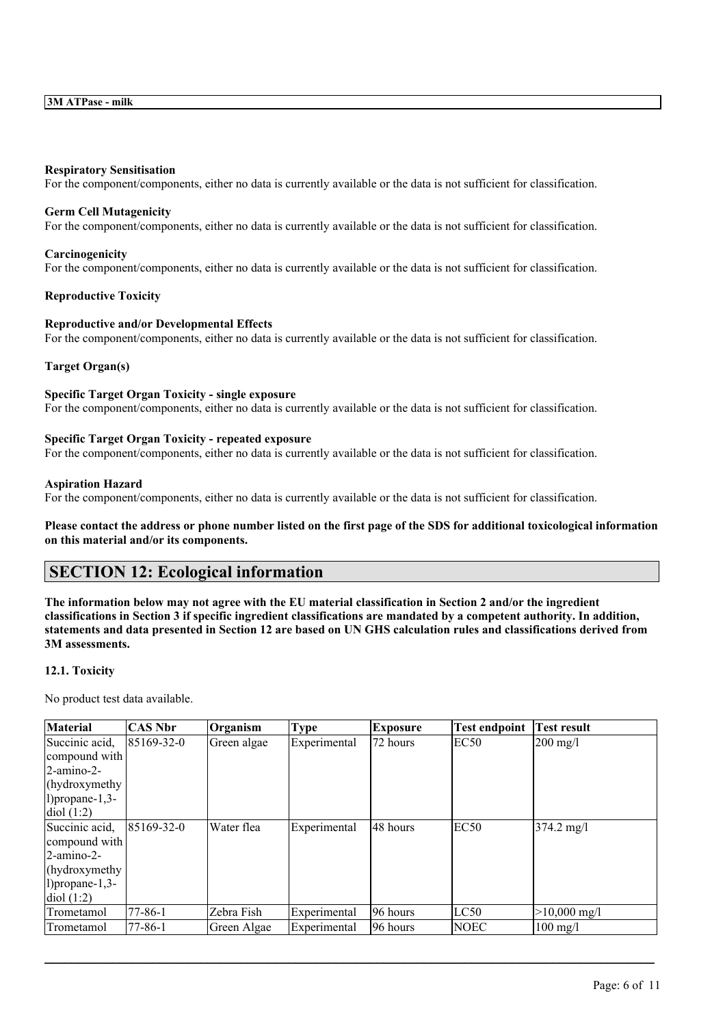#### **Respiratory Sensitisation**

For the component/components, either no data is currently available or the data is not sufficient for classification.

#### **Germ Cell Mutagenicity**

For the component/components, either no data is currently available or the data is not sufficient for classification.

#### **Carcinogenicity**

For the component/components, either no data is currently available or the data is not sufficient for classification.

#### **Reproductive Toxicity**

#### **Reproductive and/or Developmental Effects**

For the component/components, either no data is currently available or the data is not sufficient for classification.

## **Target Organ(s)**

#### **Specific Target Organ Toxicity - single exposure**

For the component/components, either no data is currently available or the data is not sufficient for classification.

#### **Specific Target Organ Toxicity - repeated exposure**

For the component/components, either no data is currently available or the data is not sufficient for classification.

#### **Aspiration Hazard**

For the component/components, either no data is currently available or the data is not sufficient for classification.

Please contact the address or phone number listed on the first page of the SDS for additional toxicological information **on this material and/or its components.**

# **SECTION 12: Ecological information**

The information below may not agree with the EU material classification in Section 2 and/or the ingredient classifications in Section 3 if specific ingredient classifications are mandated by a competent authority. In addition, statements and data presented in Section 12 are based on UN GHS calculation rules and classifications derived from **3M assessments.**

## **12.1. Toxicity**

No product test data available.

| <b>Material</b>       | CAS Nbr           | Organism    | <b>Type</b>  | <b>Exposure</b> | <b>Test endpoint</b> | <b>Test result</b>     |
|-----------------------|-------------------|-------------|--------------|-----------------|----------------------|------------------------|
| Succinic acid,        | $185169 - 32 - 0$ | Green algae | Experimental | 172 hours       | EC50                 | $200 \text{ mg/l}$     |
| compound with         |                   |             |              |                 |                      |                        |
| 2-amino-2-            |                   |             |              |                 |                      |                        |
| (hydroxymethy)        |                   |             |              |                 |                      |                        |
| $1)$ propane- $1,3$ - |                   |             |              |                 |                      |                        |
| $\text{diol}(1:2)$    |                   |             |              |                 |                      |                        |
| Succinic acid,        | $85169-32-0$      | Water flea  | Experimental | 148 hours       | EC50                 | $374.2 \text{ mg}/1$   |
| compound with         |                   |             |              |                 |                      |                        |
| $2$ -amino-2-         |                   |             |              |                 |                      |                        |
| (hydroxymethy)        |                   |             |              |                 |                      |                        |
| $1)$ propane-1,3-     |                   |             |              |                 |                      |                        |
| diol(1:2)             |                   |             |              |                 |                      |                        |
| Trometamol            | $77 - 86 - 1$     | Zebra Fish  | Experimental | 196 hours       | LC50                 | $>10,000 \text{ mg/l}$ |
| Trometamol            | $77 - 86 - 1$     | Green Algae | Experimental | 196 hours       | <b>NOEC</b>          | $100 \text{ mg/l}$     |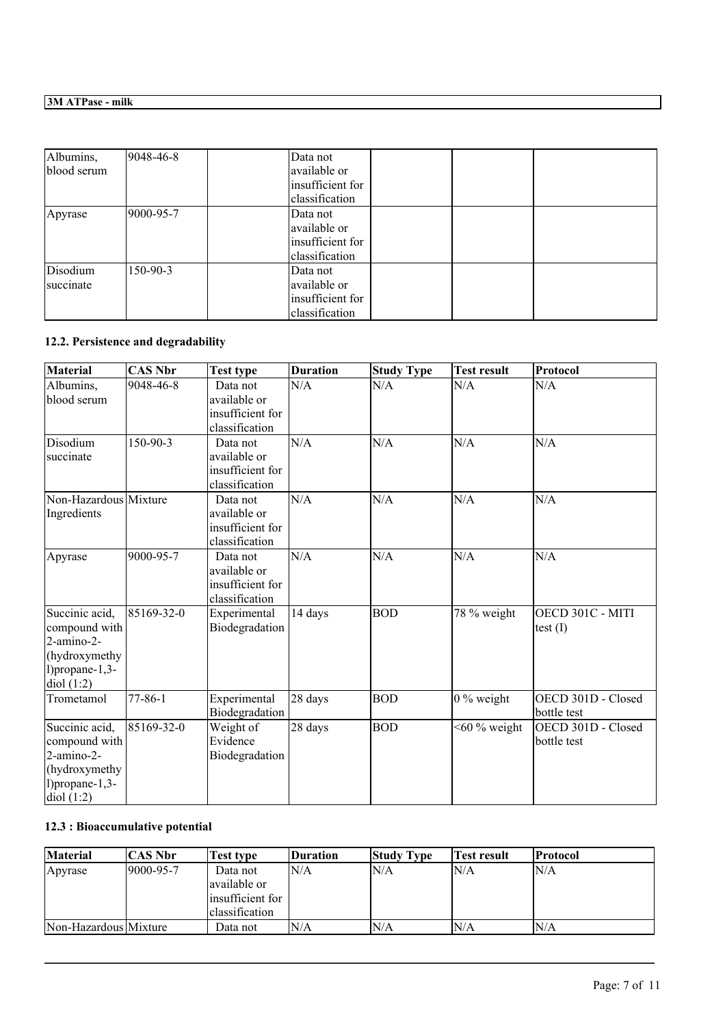| Albumins,<br>blood serum | 9048-46-8 | Data not<br>available or<br>insufficient for                   |  |
|--------------------------|-----------|----------------------------------------------------------------|--|
|                          |           | classification                                                 |  |
| Apyrase                  | 9000-95-7 | Data not<br>available or<br>insufficient for<br>classification |  |
| Disodium<br>succinate    | 150-90-3  | Data not<br>available or<br>insufficient for<br>classification |  |

# **12.2. Persistence and degradability**

| <b>Material</b>                                                                                         | <b>CAS Nbr</b> | <b>Test type</b>                                               | <b>Duration</b> | <b>Study Type</b> | <b>Test result</b> | Protocol                          |
|---------------------------------------------------------------------------------------------------------|----------------|----------------------------------------------------------------|-----------------|-------------------|--------------------|-----------------------------------|
| Albumins,<br>blood serum                                                                                | 9048-46-8      | Data not<br>available or<br>insufficient for<br>classification | N/A             | N/A               | N/A                | N/A                               |
| Disodium<br>succinate                                                                                   | 150-90-3       | Data not<br>available or<br>insufficient for<br>classification | N/A             | N/A               | N/A                | N/A                               |
| Non-Hazardous Mixture<br>Ingredients                                                                    |                | Data not<br>available or<br>insufficient for<br>classification | N/A             | N/A               | N/A                | N/A                               |
| Apyrase                                                                                                 | 9000-95-7      | Data not<br>available or<br>insufficient for<br>classification | N/A             | N/A               | N/A                | N/A                               |
| Succinic acid,<br>compound with<br>2-amino-2-<br>(hydroxymethy<br>$1)$ propane- $1,3$ -<br>diol $(1:2)$ | 85169-32-0     | Experimental<br>Biodegradation                                 | 14 days         | <b>BOD</b>        | 78 % weight        | OECD 301C - MITI<br>test $(I)$    |
| Trometamol                                                                                              | $77 - 86 - 1$  | Experimental<br>Biodegradation                                 | 28 days         | <b>BOD</b>        | $0\%$ weight       | OECD 301D - Closed<br>bottle test |
| Succinic acid,<br>compound with<br>2-amino-2-<br>(hydroxymethy<br>$1)$ propane $-1,3-$<br>diol(1:2)     | 85169-32-0     | Weight of<br>Evidence<br>Biodegradation                        | 28 days         | <b>BOD</b>        | $<$ 60 % weight    | OECD 301D - Closed<br>bottle test |

# **12.3 : Bioaccumulative potential**

| Material              | CAS Nbr   | Test type         | Duration | <b>Study Type</b> | Test result | <b>Protocol</b> |
|-----------------------|-----------|-------------------|----------|-------------------|-------------|-----------------|
| Apyrase               | 9000-95-7 | Data not          | N/A      | N/A               | ln/a        | N/A             |
|                       |           | lavailable or     |          |                   |             |                 |
|                       |           | linsufficient for |          |                   |             |                 |
|                       |           | lclassification   |          |                   |             |                 |
| Non-Hazardous Mixture |           | Data not          | N/A      | N/A               | ln/a        | N/A             |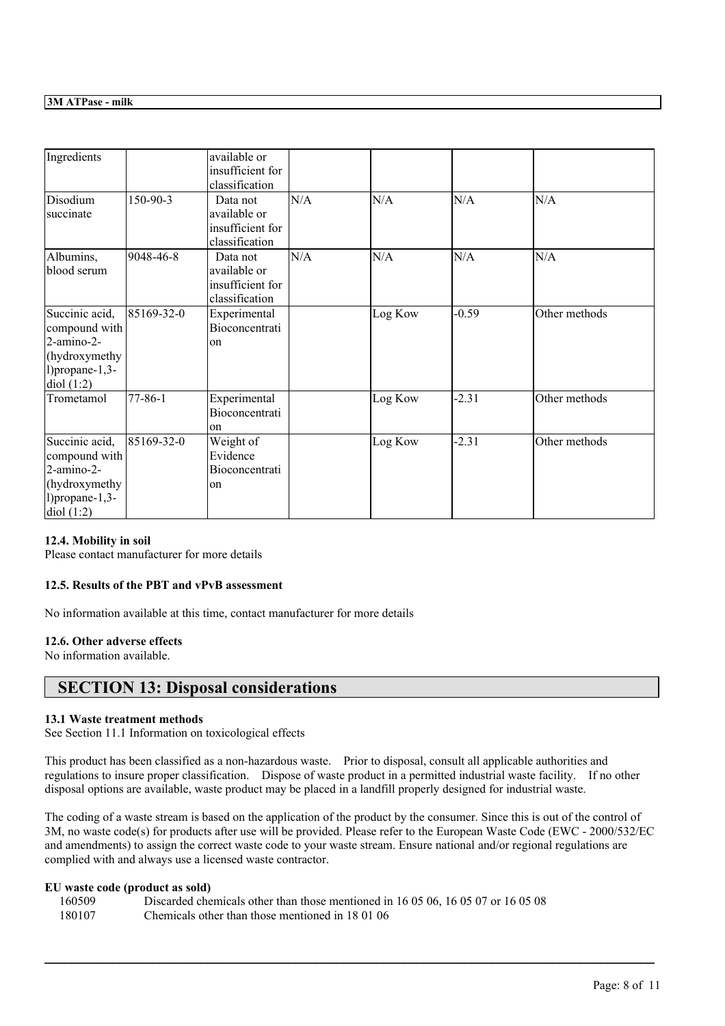| Ingredients                                                                                          |               | available or<br>insufficient for<br>classification             |     |         |         |               |
|------------------------------------------------------------------------------------------------------|---------------|----------------------------------------------------------------|-----|---------|---------|---------------|
| Disodium<br>succinate                                                                                | 150-90-3      | Data not<br>available or<br>insufficient for<br>classification | N/A | N/A     | N/A     | N/A           |
| Albumins,<br>blood serum                                                                             | 9048-46-8     | Data not<br>available or<br>insufficient for<br>classification | N/A | N/A     | N/A     | N/A           |
| Succinic acid,<br>compound with<br>2-amino-2-<br>(hydroxymethy<br>$1)$ propane- $1,3$ -<br>diol(1:2) | 85169-32-0    | Experimental<br>Bioconcentrati<br>on                           |     | Log Kow | $-0.59$ | Other methods |
| Trometamol                                                                                           | $77 - 86 - 1$ | Experimental<br>Bioconcentrati<br>on                           |     | Log Kow | $-2.31$ | Other methods |
| Succinic acid,<br>compound with<br>2-amino-2-<br>(hydroxymethy<br>$1)$ propane- $1,3$ -<br>diol(1:2) | 85169-32-0    | Weight of<br>Evidence<br>Bioconcentrati<br>lon                 |     | Log Kow | $-2.31$ | Other methods |

## **12.4. Mobility in soil**

Please contact manufacturer for more details

#### **12.5. Results of the PBT and vPvB assessment**

No information available at this time, contact manufacturer for more details

## **12.6. Other adverse effects**

No information available.

## **SECTION 13: Disposal considerations**

## **13.1 Waste treatment methods**

See Section 11.1 Information on toxicological effects

This product has been classified as a non-hazardous waste. Prior to disposal, consult all applicable authorities and regulations to insure proper classification. Dispose of waste product in a permitted industrial waste facility. If no other disposal options are available, waste product may be placed in a landfill properly designed for industrial waste.

The coding of a waste stream is based on the application of the product by the consumer. Since this is out of the control of 3M, no waste code(s) for products after use will be provided. Please refer to the European Waste Code (EWC - 2000/532/EC and amendments) to assign the correct waste code to your waste stream. Ensure national and/or regional regulations are complied with and always use a licensed waste contractor.

 $\mathcal{L}_\mathcal{L} = \mathcal{L}_\mathcal{L} = \mathcal{L}_\mathcal{L} = \mathcal{L}_\mathcal{L} = \mathcal{L}_\mathcal{L} = \mathcal{L}_\mathcal{L} = \mathcal{L}_\mathcal{L} = \mathcal{L}_\mathcal{L} = \mathcal{L}_\mathcal{L} = \mathcal{L}_\mathcal{L} = \mathcal{L}_\mathcal{L} = \mathcal{L}_\mathcal{L} = \mathcal{L}_\mathcal{L} = \mathcal{L}_\mathcal{L} = \mathcal{L}_\mathcal{L} = \mathcal{L}_\mathcal{L} = \mathcal{L}_\mathcal{L}$ 

## **EU waste code (product as sold)**

| 160509 | Discarded chemicals other than those mentioned in 16 05 06, 16 05 07 or 16 05 08 |
|--------|----------------------------------------------------------------------------------|
| 180107 | Chemicals other than those mentioned in 180106                                   |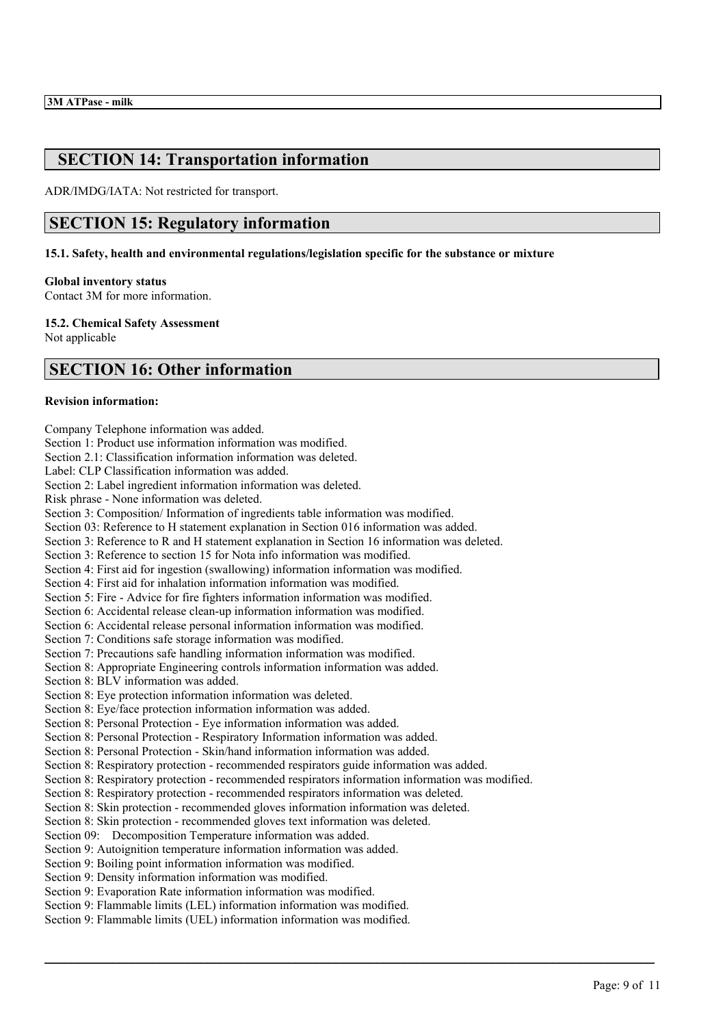# **SECTION 14: Transportation information**

ADR/IMDG/IATA: Not restricted for transport.

# **SECTION 15: Regulatory information**

**15.1. Safety, health and environmental regulations/legislation specific for the substance or mixture**

#### **Global inventory status**

Contact 3M for more information.

**15.2. Chemical Safety Assessment** Not applicable

# **SECTION 16: Other information**

#### **Revision information:**

Company Telephone information was added. Section 1: Product use information information was modified. Section 2.1: Classification information information was deleted. Label: CLP Classification information was added. Section 2: Label ingredient information information was deleted. Risk phrase - None information was deleted. Section 3: Composition/ Information of ingredients table information was modified. Section 03: Reference to H statement explanation in Section 016 information was added. Section 3: Reference to R and H statement explanation in Section 16 information was deleted. Section 3: Reference to section 15 for Nota info information was modified. Section 4: First aid for ingestion (swallowing) information information was modified. Section 4: First aid for inhalation information information was modified. Section 5: Fire - Advice for fire fighters information information was modified. Section 6: Accidental release clean-up information information was modified. Section 6: Accidental release personal information information was modified. Section 7: Conditions safe storage information was modified. Section 7: Precautions safe handling information information was modified. Section 8: Appropriate Engineering controls information information was added. Section 8: BLV information was added. Section 8: Eye protection information information was deleted. Section 8: Eye/face protection information information was added. Section 8: Personal Protection - Eye information information was added. Section 8: Personal Protection - Respiratory Information information was added. Section 8: Personal Protection - Skin/hand information information was added. Section 8: Respiratory protection - recommended respirators guide information was added. Section 8: Respiratory protection - recommended respirators information information was modified. Section 8: Respiratory protection - recommended respirators information was deleted. Section 8: Skin protection - recommended gloves information information was deleted. Section 8: Skin protection - recommended gloves text information was deleted. Section 09: Decomposition Temperature information was added. Section 9: Autoignition temperature information information was added. Section 9: Boiling point information information was modified. Section 9: Density information information was modified. Section 9: Evaporation Rate information information was modified. Section 9: Flammable limits (LEL) information information was modified. Section 9: Flammable limits (UEL) information information was modified.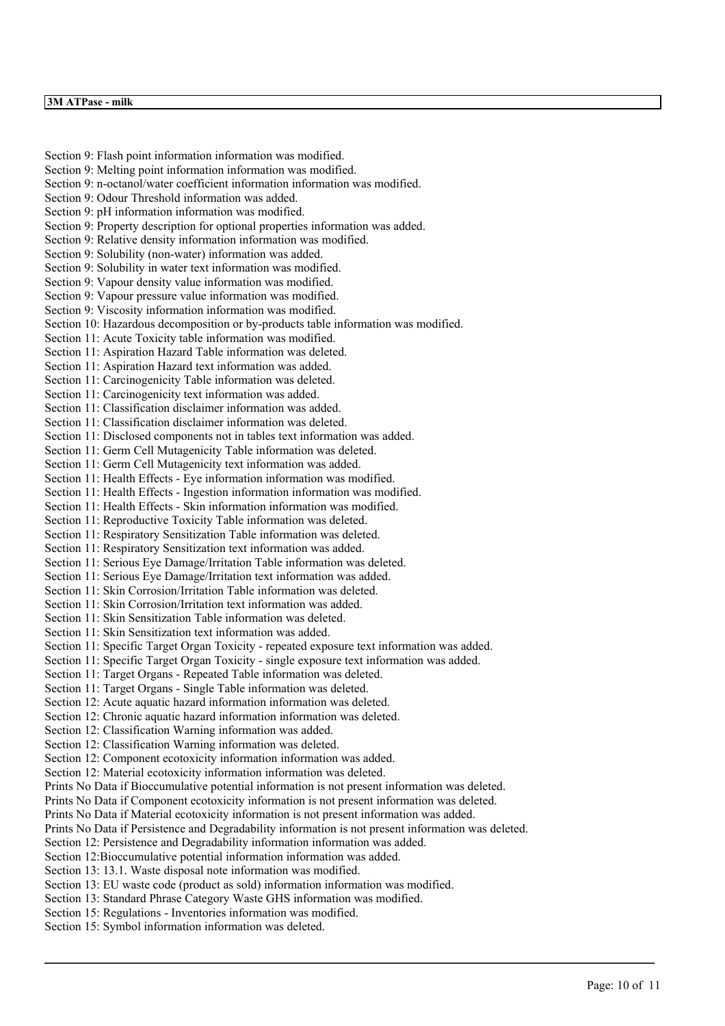Section 9: Flash point information information was modified. Section 9: Melting point information information was modified. Section 9: n-octanol/water coefficient information information was modified. Section 9: Odour Threshold information was added. Section 9: pH information information was modified. Section 9: Property description for optional properties information was added. Section 9: Relative density information information was modified. Section 9: Solubility (non-water) information was added. Section 9: Solubility in water text information was modified. Section 9: Vapour density value information was modified. Section 9: Vapour pressure value information was modified. Section 9: Viscosity information information was modified. Section 10: Hazardous decomposition or by-products table information was modified. Section 11: Acute Toxicity table information was modified. Section 11: Aspiration Hazard Table information was deleted. Section 11: Aspiration Hazard text information was added. Section 11: Carcinogenicity Table information was deleted. Section 11: Carcinogenicity text information was added. Section 11: Classification disclaimer information was added. Section 11: Classification disclaimer information was deleted. Section 11: Disclosed components not in tables text information was added. Section 11: Germ Cell Mutagenicity Table information was deleted. Section 11: Germ Cell Mutagenicity text information was added. Section 11: Health Effects - Eye information information was modified. Section 11: Health Effects - Ingestion information information was modified. Section 11: Health Effects - Skin information information was modified. Section 11: Reproductive Toxicity Table information was deleted. Section 11: Respiratory Sensitization Table information was deleted. Section 11: Respiratory Sensitization text information was added. Section 11: Serious Eye Damage/Irritation Table information was deleted. Section 11: Serious Eye Damage/Irritation text information was added. Section 11: Skin Corrosion/Irritation Table information was deleted. Section 11: Skin Corrosion/Irritation text information was added. Section 11: Skin Sensitization Table information was deleted. Section 11: Skin Sensitization text information was added. Section 11: Specific Target Organ Toxicity - repeated exposure text information was added. Section 11: Specific Target Organ Toxicity - single exposure text information was added. Section 11: Target Organs - Repeated Table information was deleted. Section 11: Target Organs - Single Table information was deleted. Section 12: Acute aquatic hazard information information was deleted. Section 12: Chronic aquatic hazard information information was deleted. Section 12: Classification Warning information was added. Section 12: Classification Warning information was deleted. Section 12: Component ecotoxicity information information was added. Section 12: Material ecotoxicity information information was deleted. Prints No Data if Bioccumulative potential information is not present information was deleted. Prints No Data if Component ecotoxicity information is not present information was deleted. Prints No Data if Material ecotoxicity information is not present information was added. Prints No Data if Persistence and Degradability information is not present information was deleted. Section 12: Persistence and Degradability information information was added. Section 12:Bioccumulative potential information information was added. Section 13: 13.1. Waste disposal note information was modified. Section 13: EU waste code (product as sold) information information was modified. Section 13: Standard Phrase Category Waste GHS information was modified. Section 15: Regulations - Inventories information was modified.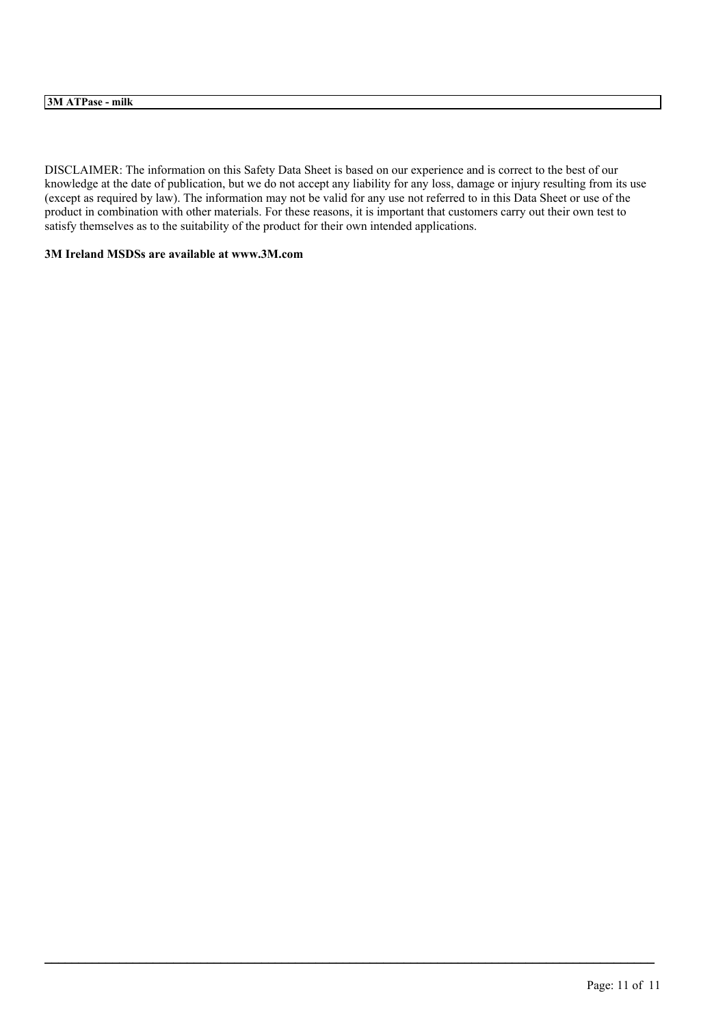## **3M ATPase - milk**

DISCLAIMER: The information on this Safety Data Sheet is based on our experience and is correct to the best of our knowledge at the date of publication, but we do not accept any liability for any loss, damage or injury resulting from its use (except as required by law). The information may not be valid for any use not referred to in this Data Sheet or use of the product in combination with other materials. For these reasons, it is important that customers carry out their own test to satisfy themselves as to the suitability of the product for their own intended applications.

 $\mathcal{L}_\mathcal{L} = \mathcal{L}_\mathcal{L} = \mathcal{L}_\mathcal{L} = \mathcal{L}_\mathcal{L} = \mathcal{L}_\mathcal{L} = \mathcal{L}_\mathcal{L} = \mathcal{L}_\mathcal{L} = \mathcal{L}_\mathcal{L} = \mathcal{L}_\mathcal{L} = \mathcal{L}_\mathcal{L} = \mathcal{L}_\mathcal{L} = \mathcal{L}_\mathcal{L} = \mathcal{L}_\mathcal{L} = \mathcal{L}_\mathcal{L} = \mathcal{L}_\mathcal{L} = \mathcal{L}_\mathcal{L} = \mathcal{L}_\mathcal{L}$ 

## **3M Ireland MSDSs are available at www.3M.com**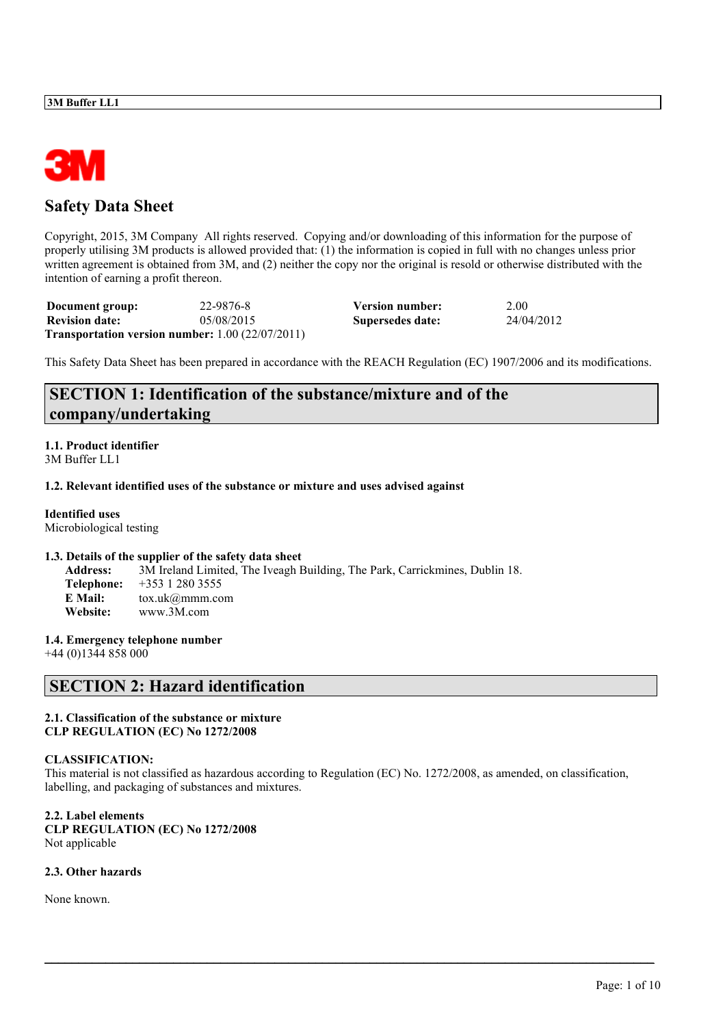

# **Safety Data Sheet**

Copyright, 2015, 3M Company All rights reserved. Copying and/or downloading of this information for the purpose of properly utilising 3M products is allowed provided that: (1) the information is copied in full with no changes unless prior written agreement is obtained from 3M, and (2) neither the copy nor the original is resold or otherwise distributed with the intention of earning a profit thereon.

| Document group:                                               | 22-9876-8  | <b>Version number:</b> | 2.00       |
|---------------------------------------------------------------|------------|------------------------|------------|
| <b>Revision date:</b>                                         | 05/08/2015 | Supersedes date:       | 24/04/2012 |
| <b>Transportation version number:</b> $1.00$ ( $22/07/2011$ ) |            |                        |            |

This Safety Data Sheet has been prepared in accordance with the REACH Regulation (EC) 1907/2006 and its modifications.

# **SECTION 1: Identification of the substance/mixture and of the company/undertaking**

#### **1.1. Product identifier** 3M Buffer LL1

#### **1.2. Relevant identified uses of the substance or mixture and uses advised against**

**Identified uses** Microbiological testing

#### **1.3. Details of the supplier of the safety data sheet**

**Address:** 3M Ireland Limited, The Iveagh Building, The Park, Carrickmines, Dublin 18. **Telephone:** +353 1 280 3555 **E Mail:** tox.uk@mmm.com **Website:** www.3M.com

**1.4. Emergency telephone number**

+44 (0)1344 858 000

# **SECTION 2: Hazard identification**

#### **2.1. Classification of the substance or mixture CLP REGULATION (EC) No 1272/2008**

## **CLASSIFICATION:**

This material is not classified as hazardous according to Regulation (EC) No. 1272/2008, as amended, on classification, labelling, and packaging of substances and mixtures.

 $\_$  , and the state of the state of the state of the state of the state of the state of the state of the state of the state of the state of the state of the state of the state of the state of the state of the state of the

**2.2. Label elements CLP REGULATION (EC) No 1272/2008** Not applicable

## **2.3. Other hazards**

None known.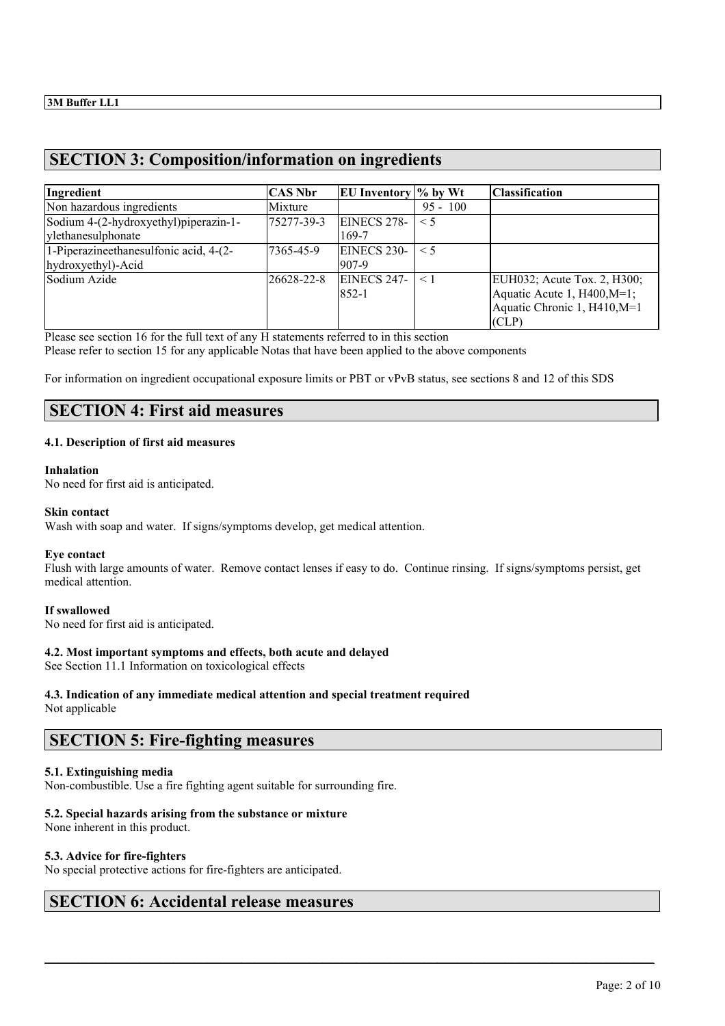# **SECTION 3: Composition/information on ingredients**

| Ingredient                                                   | <b>CAS Nbr</b> | EU Inventory $\%$ by Wt     |            | <b>Classification</b>                                                                             |
|--------------------------------------------------------------|----------------|-----------------------------|------------|---------------------------------------------------------------------------------------------------|
| Non hazardous ingredients                                    | Mixture        |                             | $95 - 100$ |                                                                                                   |
| Sodium 4-(2-hydroxyethyl)piperazin-1-<br>ylethanesulphonate  | 75277-39-3     | EINECS 278-<br>169-7        | $\leq$ 5   |                                                                                                   |
| 1-Piperazineethanesulfonic acid, 4-(2-<br>hydroxyethyl)-Acid | 7365-45-9      | <b>EINECS 230-</b><br>907-9 | $\leq$ 5   |                                                                                                   |
| Sodium Azide                                                 | 26628-22-8     | <b>EINECS 247-</b><br>852-1 | $<$ 1      | EUH032; Acute Tox. 2, H300;<br>Aquatic Acute 1, H400, M=1;<br>Aquatic Chronic 1, H410, M=1<br>CLP |

Please see section 16 for the full text of any H statements referred to in this section Please refer to section 15 for any applicable Notas that have been applied to the above components

For information on ingredient occupational exposure limits or PBT or vPvB status, see sections 8 and 12 of this SDS

# **SECTION 4: First aid measures**

## **4.1. Description of first aid measures**

#### **Inhalation**

No need for first aid is anticipated.

## **Skin contact**

Wash with soap and water. If signs/symptoms develop, get medical attention.

## **Eye contact**

Flush with large amounts of water. Remove contact lenses if easy to do. Continue rinsing. If signs/symptoms persist, get medical attention.

 $\_$  , and the state of the state of the state of the state of the state of the state of the state of the state of the state of the state of the state of the state of the state of the state of the state of the state of the

## **If swallowed**

No need for first aid is anticipated.

## **4.2. Most important symptoms and effects, both acute and delayed**

See Section 11.1 Information on toxicological effects

# **4.3. Indication of any immediate medical attention and special treatment required**

Not applicable

# **SECTION 5: Fire-fighting measures**

## **5.1. Extinguishing media**

Non-combustible. Use a fire fighting agent suitable for surrounding fire.

## **5.2. Special hazards arising from the substance or mixture**

None inherent in this product.

## **5.3. Advice for fire-fighters**

No special protective actions for fire-fighters are anticipated.

# **SECTION 6: Accidental release measures**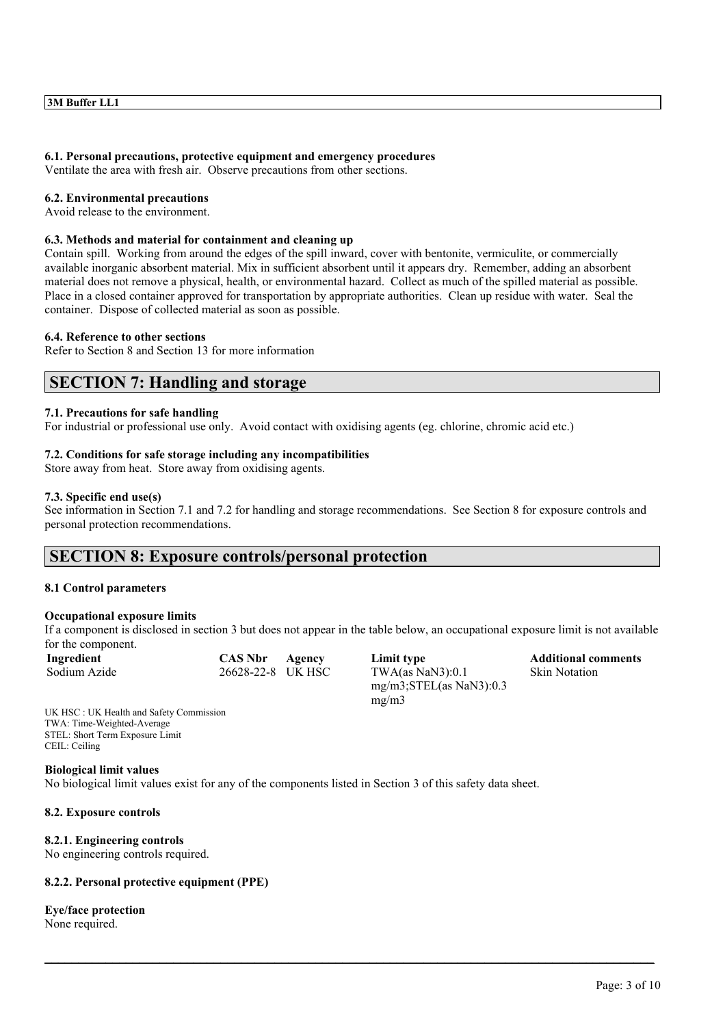#### **6.1. Personal precautions, protective equipment and emergency procedures**

Ventilate the area with fresh air. Observe precautions from other sections.

#### **6.2. Environmental precautions**

Avoid release to the environment.

#### **6.3. Methods and material for containment and cleaning up**

Contain spill. Working from around the edges of the spill inward, cover with bentonite, vermiculite, or commercially available inorganic absorbent material. Mix in sufficient absorbent until it appears dry. Remember, adding an absorbent material does not remove a physical, health, or environmental hazard. Collect as much of the spilled material as possible. Place in a closed container approved for transportation by appropriate authorities. Clean up residue with water. Seal the container. Dispose of collected material as soon as possible.

#### **6.4. Reference to other sections**

Refer to Section 8 and Section 13 for more information

# **SECTION 7: Handling and storage**

#### **7.1. Precautions for safe handling**

For industrial or professional use only. Avoid contact with oxidising agents (eg. chlorine, chromic acid etc.)

#### **7.2. Conditions for safe storage including any incompatibilities**

Store away from heat. Store away from oxidising agents.

#### **7.3. Specific end use(s)**

See information in Section 7.1 and 7.2 for handling and storage recommendations. See Section 8 for exposure controls and personal protection recommendations.

# **SECTION 8: Exposure controls/personal protection**

#### **8.1 Control parameters**

#### **Occupational exposure limits**

If a component is disclosed in section 3 but does not appear in the table below, an occupational exposure limit is not available for the component.

 $\_$  , and the state of the state of the state of the state of the state of the state of the state of the state of the state of the state of the state of the state of the state of the state of the state of the state of the

| Ingredient   | <b>CAS Nbi</b> |
|--------------|----------------|
| Sodium Azide | 26628-22       |

**Independent Limit type CAS Additional comments**  $-8$  UK HSC TWA(as NaN3):0.1 mg/m3;STEL(as NaN3):0.3 mg/m3

Skin Notation

UK HSC : UK Health and Safety Commission TWA: Time-Weighted-Average STEL: Short Term Exposure Limit CEIL: Ceiling

#### **Biological limit values**

No biological limit values exist for any of the components listed in Section 3 of this safety data sheet.

#### **8.2. Exposure controls**

## **8.2.1. Engineering controls**

No engineering controls required.

## **8.2.2. Personal protective equipment (PPE)**

**Eye/face protection** None required.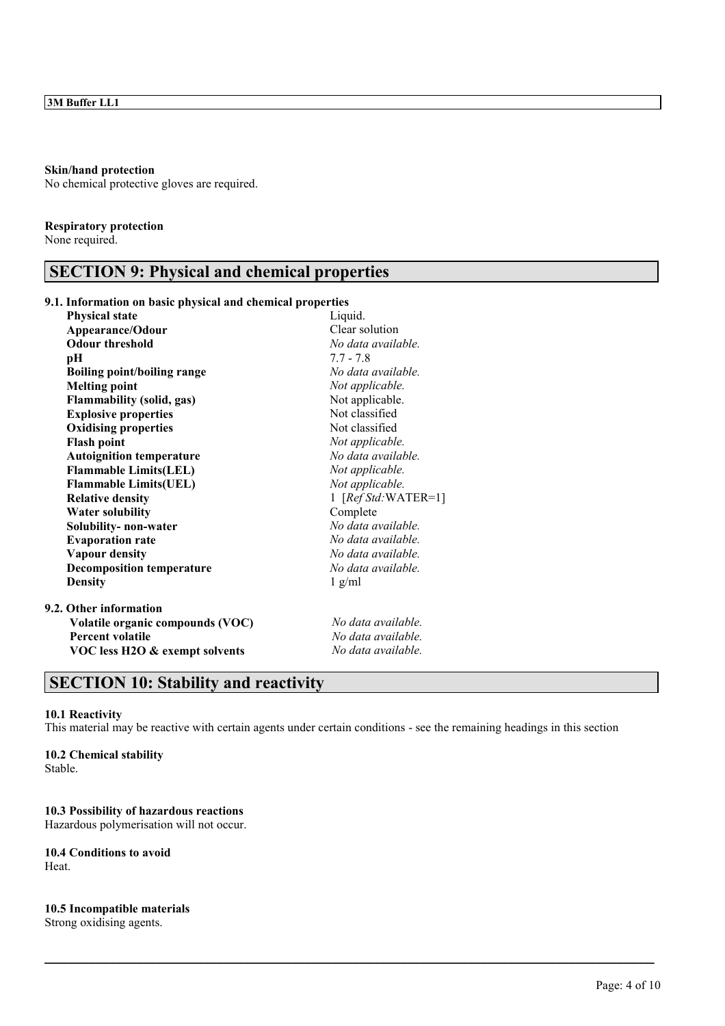#### **Skin/hand protection**

No chemical protective gloves are required.

### **Respiratory protection**

None required.

## **SECTION 9: Physical and chemical properties**

## **9.1. Information on basic physical and chemical properties**

| <b>Physical state</b>              | Liquid.              |
|------------------------------------|----------------------|
| Appearance/Odour                   | Clear solution       |
| <b>Odour threshold</b>             | No data available.   |
| pН                                 | $7.7 - 7.8$          |
| <b>Boiling point/boiling range</b> | No data available.   |
| <b>Melting point</b>               | Not applicable.      |
| <b>Flammability (solid, gas)</b>   | Not applicable.      |
| <b>Explosive properties</b>        | Not classified       |
| <b>Oxidising properties</b>        | Not classified       |
| <b>Flash point</b>                 | Not applicable.      |
| <b>Autoignition temperature</b>    | No data available.   |
| <b>Flammable Limits(LEL)</b>       | Not applicable.      |
| <b>Flammable Limits(UEL)</b>       | Not applicable.      |
| <b>Relative density</b>            | 1 $[RefStd:WATER=1]$ |
| <b>Water solubility</b>            | Complete             |
| Solubility-non-water               | No data available.   |
| <b>Evaporation rate</b>            | No data available.   |
| <b>Vapour density</b>              | No data available.   |
| <b>Decomposition temperature</b>   | No data available.   |
| <b>Density</b>                     | $1$ g/ml             |
| 9.2. Other information             |                      |
| Volatile organic compounds (VOC)   | No data available.   |
| <b>Percent volatile</b>            | No data available.   |
| VOC less H2O & exempt solvents     | No data available.   |
|                                    |                      |

# **SECTION 10: Stability and reactivity**

## **10.1 Reactivity**

This material may be reactive with certain agents under certain conditions - see the remaining headings in this section

 $\_$  , and the state of the state of the state of the state of the state of the state of the state of the state of the state of the state of the state of the state of the state of the state of the state of the state of the

### **10.2 Chemical stability**

Stable.

### **10.3 Possibility of hazardous reactions**

Hazardous polymerisation will not occur.

## **10.4 Conditions to avoid**

Heat.

#### **10.5 Incompatible materials**

Strong oxidising agents.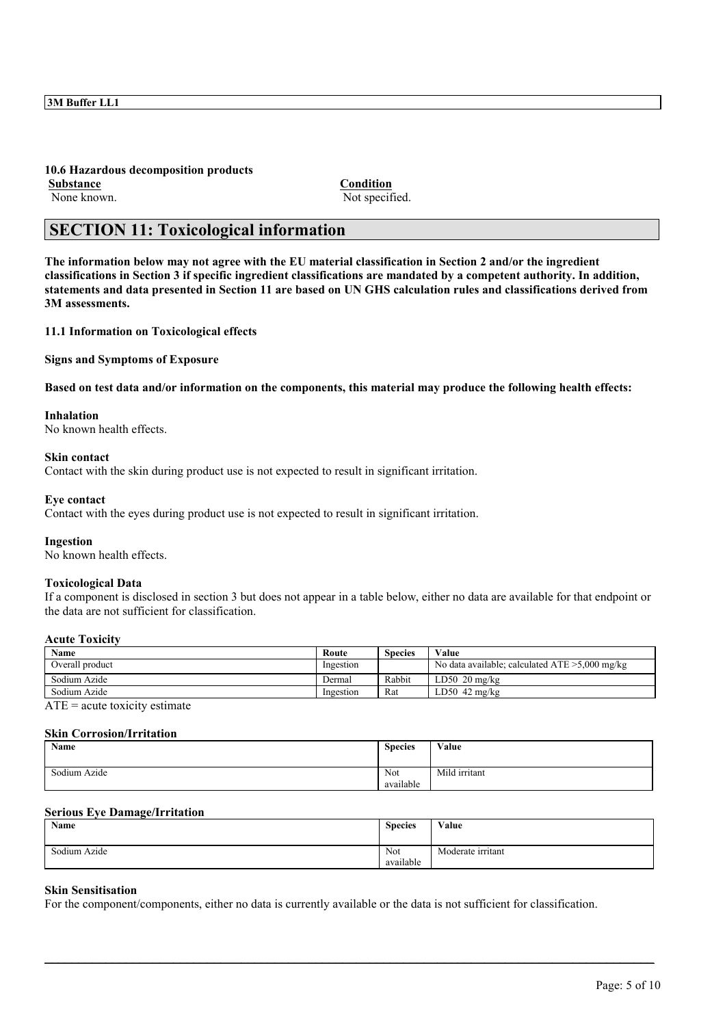**10.6 Hazardous decomposition products Substance Condition** None known. Not specified.

# **SECTION 11: Toxicological information**

**The information below may not agree with the EU material classification in Section 2 and/or the ingredient classifications in Section 3 if specific ingredient classifications are mandated by a competent authority. In addition, statements and data presented in Section 11 are based on UN GHS calculation rules and classifications derived from 3M assessments.**

**11.1 Information on Toxicological effects**

**Signs and Symptoms of Exposure**

**Based on test data and/or information on the components, this material may produce the following health effects:**

## **Inhalation**

No known health effects.

#### **Skin contact**

Contact with the skin during product use is not expected to result in significant irritation.

#### **Eye contact**

Contact with the eyes during product use is not expected to result in significant irritation.

#### **Ingestion**

No known health effects.

### **Toxicological Data**

If a component is disclosed in section 3 but does not appear in a table below, either no data are available for that endpoint or the data are not sufficient for classification.

#### **Acute Toxicity**

| Name            | Route     | Species | Value                                             |
|-----------------|-----------|---------|---------------------------------------------------|
| Overall product | Ingestion |         | No data available; calculated $ATE > 5,000$ mg/kg |
| Sodium Azide    | Dermal    | Rabbit  | $LD50$ 20 mg/kg                                   |
| Sodium Azide    | Ingestion | Rat     | $LD50$ 42 mg/kg                                   |
| $\sqrt{2}$      |           |         |                                                   |

 $ATE = acute$  toxicity estimate

#### **Skin Corrosion/Irritation**

| Name         | <b>Species</b> | Value         |
|--------------|----------------|---------------|
|              |                |               |
| Sodium Azide | Not            | Mild irritant |
|              | available      |               |

#### **Serious Eye Damage/Irritation**

| Name         | <b>Species</b>   | Value             |
|--------------|------------------|-------------------|
| Sodium Azide | Not<br>available | Moderate irritant |

 $\_$  , and the state of the state of the state of the state of the state of the state of the state of the state of the state of the state of the state of the state of the state of the state of the state of the state of the

## **Skin Sensitisation**

For the component/components, either no data is currently available or the data is not sufficient for classification.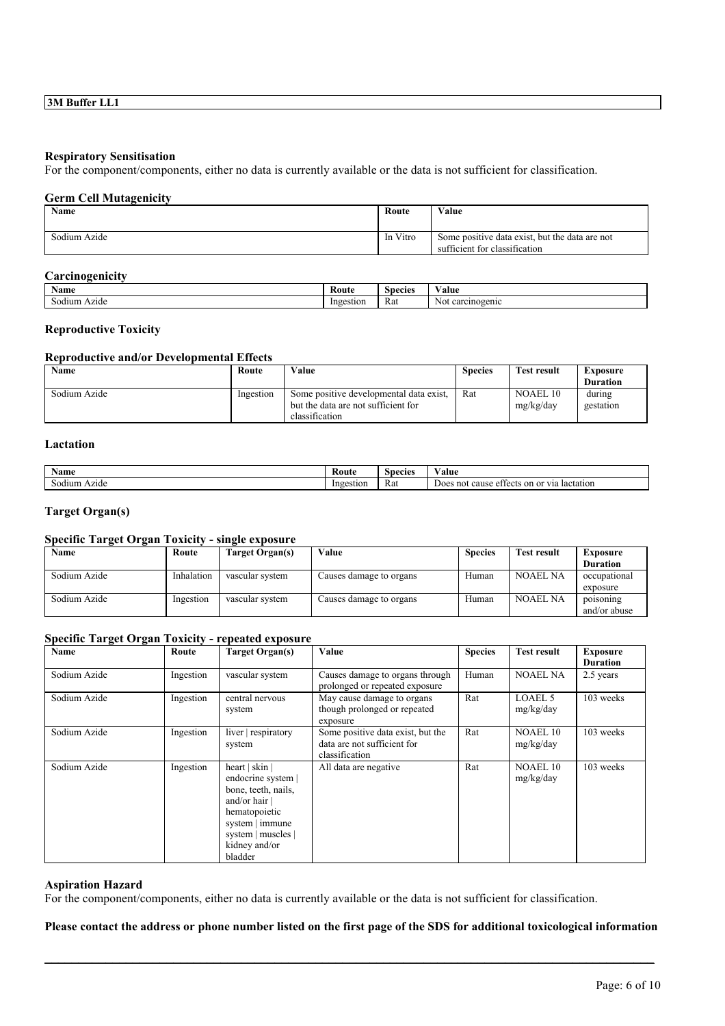#### **Respiratory Sensitisation**

For the component/components, either no data is currently available or the data is not sufficient for classification.

## **Germ Cell Mutagenicity**

| Name         | Route    | Value                                                                           |
|--------------|----------|---------------------------------------------------------------------------------|
| Sodium Azide | In Vitro | Some positive data exist, but the data are not<br>sufficient for classification |

#### **Carcinogenicity**

| Name            | <b>Route</b> | <b>Species</b> | 'alue                |
|-----------------|--------------|----------------|----------------------|
| Azıde<br>Sodium | Ingestion    | Rat            | carcinogenic<br>'Not |

## **Reproductive Toxicity**

### **Reproductive and/or Developmental Effects**

| <b>Name</b>  | Route     | Value                                                                                            | <b>Species</b> | Test result                  | Exposure            |
|--------------|-----------|--------------------------------------------------------------------------------------------------|----------------|------------------------------|---------------------|
|              |           |                                                                                                  |                |                              | <b>Duration</b>     |
| Sodium Azide | Ingestion | Some positive developmental data exist,<br>but the data are not sufficient for<br>classification | Rat            | <b>NOAEL 10</b><br>mg/kg/day | during<br>gestation |

## **Lactation**

| <b>Name</b>     | <b>Route</b> | Species | ⁄ alue                                                       |
|-----------------|--------------|---------|--------------------------------------------------------------|
| Azıde<br>Sodium | Ingestion    | Rat     | a or vr<br>no<br>lactation<br>cause<br>Does<br>on<br>effects |

## **Target Organ(s)**

## **Specific Target Organ Toxicity - single exposure**

| Name         | Route      | Target Organ(s) | Value                   | <b>Species</b> | <b>Test result</b> | Exposure                  |
|--------------|------------|-----------------|-------------------------|----------------|--------------------|---------------------------|
|              |            |                 |                         |                |                    | <b>Duration</b>           |
| Sodium Azide | Inhalation | vascular system | Causes damage to organs | Human          | <b>NOAEL NA</b>    | occupational<br>exposure  |
| Sodium Azide | Ingestion  | vascular system | Causes damage to organs | Human          | <b>NOAEL NA</b>    | poisoning<br>and/or abuse |

### **Specific Target Organ Toxicity - repeated exposure**

| Name         | Route     | Target Organ(s)                                                                                                                                                          | Value                                                                              | <b>Species</b> | <b>Test result</b>           | <b>Exposure</b><br><b>Duration</b> |
|--------------|-----------|--------------------------------------------------------------------------------------------------------------------------------------------------------------------------|------------------------------------------------------------------------------------|----------------|------------------------------|------------------------------------|
| Sodium Azide | Ingestion | vascular system                                                                                                                                                          | Causes damage to organs through<br>prolonged or repeated exposure                  | Human          | <b>NOAEL NA</b>              | 2.5 years                          |
| Sodium Azide | Ingestion | central nervous<br>system                                                                                                                                                | May cause damage to organs<br>though prolonged or repeated<br>exposure             | Rat            | <b>LOAEL 5</b><br>mg/kg/day  | 103 weeks                          |
| Sodium Azide | Ingestion | liver respiratory<br>system                                                                                                                                              | Some positive data exist, but the<br>data are not sufficient for<br>classification | Rat            | <b>NOAEL 10</b><br>mg/kg/day | 103 weeks                          |
| Sodium Azide | Ingestion | heart   skin  <br>endocrine system  <br>bone, teeth, nails,<br>and/or hair $\vert$<br>hematopoietic<br>system   immune<br>system   muscles  <br>kidney and/or<br>bladder | All data are negative                                                              | Rat            | <b>NOAEL 10</b><br>mg/kg/day | 103 weeks                          |

#### **Aspiration Hazard**

For the component/components, either no data is currently available or the data is not sufficient for classification.

### **Please contact the address or phone number listed on the first page of the SDS for additional toxicological information**

 $\_$  , and the state of the state of the state of the state of the state of the state of the state of the state of the state of the state of the state of the state of the state of the state of the state of the state of the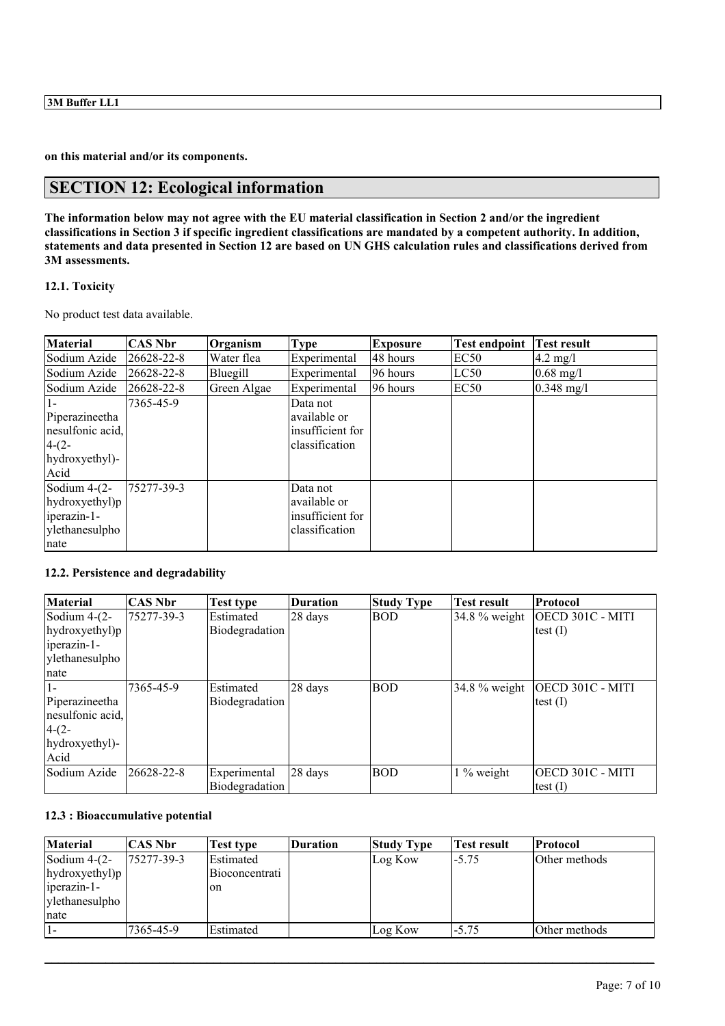**on this material and/or its components.**

# **SECTION 12: Ecological information**

**The information below may not agree with the EU material classification in Section 2 and/or the ingredient classifications in Section 3 if specific ingredient classifications are mandated by a competent authority. In addition, statements and data presented in Section 12 are based on UN GHS calculation rules and classifications derived from 3M assessments.**

## **12.1. Toxicity**

No product test data available.

| <b>Material</b>                                                                   | CAS Nbr          | Organism    | <b>Type</b>                                                    | <b>Exposure</b> | <b>Test endpoint</b> | Test result         |
|-----------------------------------------------------------------------------------|------------------|-------------|----------------------------------------------------------------|-----------------|----------------------|---------------------|
| Sodium Azide                                                                      | $26628 - 22 - 8$ | Water flea  | Experimental                                                   | 48 hours        | EC <sub>50</sub>     | $4.2 \text{ mg}/1$  |
| Sodium Azide                                                                      | $26628 - 22 - 8$ | Bluegill    | Experimental                                                   | 96 hours        | LC50                 | $0.68 \text{ mg}/1$ |
| Sodium Azide                                                                      | $26628 - 22 - 8$ | Green Algae | Experimental                                                   | 96 hours        | <b>EC50</b>          | $0.348$ mg/l        |
| Piperazineetha<br>nesulfonic acid,<br>$4-(2-$<br>hydroxyethyl)-<br>Acid           | 7365-45-9        |             | Data not<br>available or<br>insufficient for<br>classification |                 |                      |                     |
| Sodium $4-(2-$<br>$[$ hydroxyethyl $)$ p<br>iperazin-1-<br>ylethanesulpho<br>nate | 75277-39-3       |             | Data not<br>available or<br>insufficient for<br>classification |                 |                      |                     |

## **12.2. Persistence and degradability**

| <b>Material</b>  | <b>CAS Nbr</b> | <b>Test type</b> | <b>Duration</b>   | <b>Study Type</b> | <b>Test result</b> | Protocol         |
|------------------|----------------|------------------|-------------------|-------------------|--------------------|------------------|
| Sodium $4-(2-$   | 75277-39-3     | Estimated        | 28 days           | <b>BOD</b>        | $34.8\%$ weight    | OECD 301C - MITI |
| hydroxyethyl)p   |                | Biodegradation   |                   |                   |                    | test $(I)$       |
| iperazin-1-      |                |                  |                   |                   |                    |                  |
| ylethanesulpho   |                |                  |                   |                   |                    |                  |
| nate             |                |                  |                   |                   |                    |                  |
|                  | 7365-45-9      | Estimated        | 28 days           | <b>BOD</b>        | $34.8\%$ weight    | OECD 301C - MITI |
| Piperazineetha   |                | Biodegradation   |                   |                   |                    | test $(I)$       |
| nesulfonic acid, |                |                  |                   |                   |                    |                  |
| $4-(2-$          |                |                  |                   |                   |                    |                  |
| hydroxyethyl)-   |                |                  |                   |                   |                    |                  |
| Acid             |                |                  |                   |                   |                    |                  |
| Sodium Azide     | 26628-22-8     | Experimental     | $28 \text{ days}$ | <b>BOD</b>        | $1\%$ weight       | OECD 301C - MITI |
|                  |                | Biodegradation   |                   |                   |                    | test $(I)$       |

## **12.3 : Bioaccumulative potential**

| <b>Material</b> | <b>CAS Nbr</b> | Test type      | <b>Duration</b> | <b>Study Type</b> | Test result | <b>Protocol</b> |
|-----------------|----------------|----------------|-----------------|-------------------|-------------|-----------------|
| Sodium $4-(2-$  | 75277-39-3     | Estimated      |                 | Log Kow           | $-5.75$     | Other methods   |
| hydroxyethyl)p  |                | Bioconcentrati |                 |                   |             |                 |
| iperazin-1-     |                | on             |                 |                   |             |                 |
| ylethanesulpho  |                |                |                 |                   |             |                 |
| nate            |                |                |                 |                   |             |                 |
|                 | 7365-45-9      | Estimated      |                 | Log Kow           | $-5.75$     | Other methods   |

 $\_$  , and the state of the state of the state of the state of the state of the state of the state of the state of the state of the state of the state of the state of the state of the state of the state of the state of the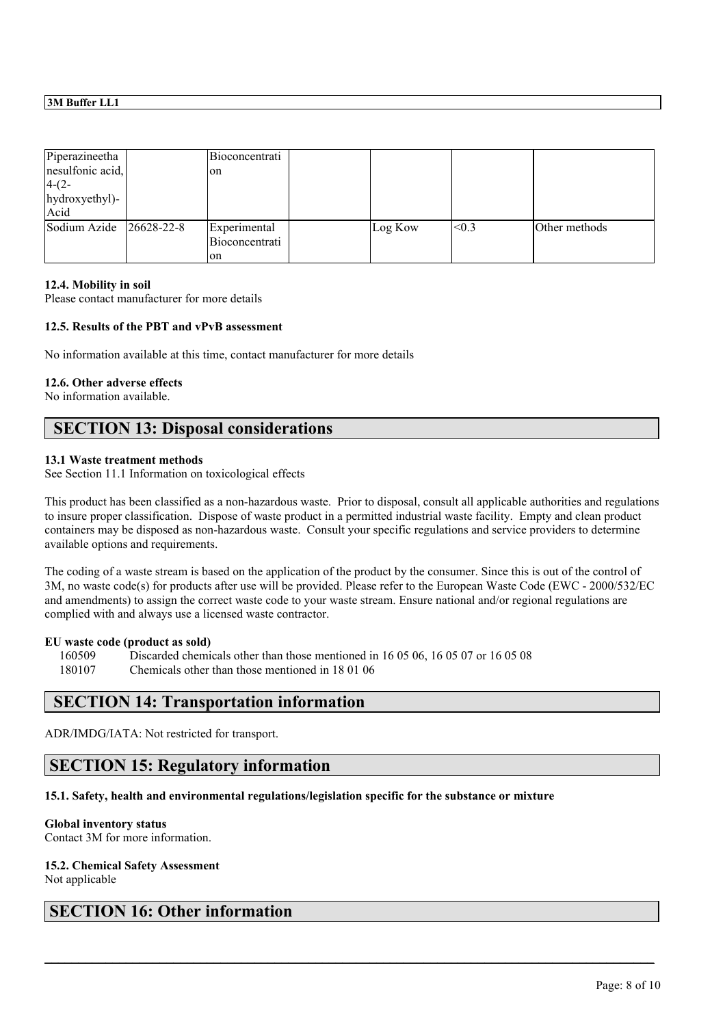| Piperazineetha   |            | Bioconcentrati |         |       |               |
|------------------|------------|----------------|---------|-------|---------------|
| nesulfonic acid, |            | on             |         |       |               |
| $4-(2-$          |            |                |         |       |               |
| hydroxyethyl)-   |            |                |         |       |               |
| Acid             |            |                |         |       |               |
| Sodium Azide     | 26628-22-8 | Experimental   | Log Kow | < 0.3 | Other methods |
|                  |            | Bioconcentrati |         |       |               |
|                  |            | on             |         |       |               |

#### **12.4. Mobility in soil**

Please contact manufacturer for more details

### **12.5. Results of the PBT and vPvB assessment**

No information available at this time, contact manufacturer for more details

#### **12.6. Other adverse effects**

No information available.

## **SECTION 13: Disposal considerations**

#### **13.1 Waste treatment methods**

See Section 11.1 Information on toxicological effects

This product has been classified as a non-hazardous waste. Prior to disposal, consult all applicable authorities and regulations to insure proper classification. Dispose of waste product in a permitted industrial waste facility. Empty and clean product containers may be disposed as non-hazardous waste. Consult your specific regulations and service providers to determine available options and requirements.

The coding of a waste stream is based on the application of the product by the consumer. Since this is out of the control of 3M, no waste code(s) for products after use will be provided. Please refer to the European Waste Code (EWC - 2000/532/EC and amendments) to assign the correct waste code to your waste stream. Ensure national and/or regional regulations are complied with and always use a licensed waste contractor.

 $\_$  , and the state of the state of the state of the state of the state of the state of the state of the state of the state of the state of the state of the state of the state of the state of the state of the state of the

#### **EU waste code (product as sold)**

160509 Discarded chemicals other than those mentioned in 16 05 06, 16 05 07 or 16 05 08 180107 Chemicals other than those mentioned in 18 01 06

## **SECTION 14: Transportation information**

ADR/IMDG/IATA: Not restricted for transport.

## **SECTION 15: Regulatory information**

## **15.1. Safety, health and environmental regulations/legislation specific for the substance or mixture**

#### **Global inventory status**

Contact 3M for more information.

## **15.2. Chemical Safety Assessment**

Not applicable

# **SECTION 16: Other information**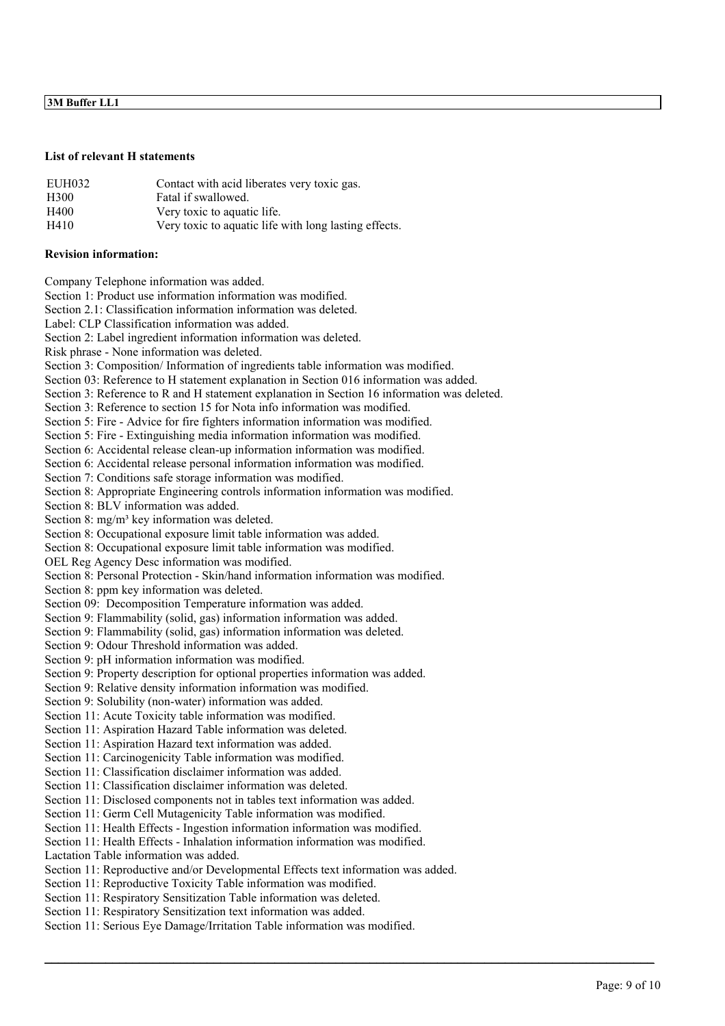## **3M Buffer LL1**

#### **List of relevant H statements**

| EUH032           | Contact with acid liberates very toxic gas.           |
|------------------|-------------------------------------------------------|
| H <sub>300</sub> | Fatal if swallowed.                                   |
| H400             | Very toxic to aquatic life.                           |
| H410             | Very toxic to aquatic life with long lasting effects. |

#### **Revision information:**

Company Telephone information was added.

Section 1: Product use information information was modified.

Section 2.1: Classification information information was deleted.

Label: CLP Classification information was added.

Section 2: Label ingredient information information was deleted.

Risk phrase - None information was deleted.

Section 3: Composition/ Information of ingredients table information was modified.

Section 03: Reference to H statement explanation in Section 016 information was added.

Section 3: Reference to R and H statement explanation in Section 16 information was deleted.

Section 3: Reference to section 15 for Nota info information was modified.

Section 5: Fire - Advice for fire fighters information information was modified.

Section 5: Fire - Extinguishing media information information was modified.

Section 6: Accidental release clean-up information information was modified.

Section 6: Accidental release personal information information was modified.

Section 7: Conditions safe storage information was modified.

Section 8: Appropriate Engineering controls information information was modified.

Section 8: BLV information was added.

Section 8: mg/m<sup>3</sup> key information was deleted.

Section 8: Occupational exposure limit table information was added.

Section 8: Occupational exposure limit table information was modified.

OEL Reg Agency Desc information was modified.

Section 8: Personal Protection - Skin/hand information information was modified.

Section 8: ppm key information was deleted.

Section 09: Decomposition Temperature information was added.

Section 9: Flammability (solid, gas) information information was added.

Section 9: Flammability (solid, gas) information information was deleted.

Section 9: Odour Threshold information was added.

Section 9: pH information information was modified.

Section 9: Property description for optional properties information was added.

Section 9: Relative density information information was modified.

Section 9: Solubility (non-water) information was added.

Section 11: Acute Toxicity table information was modified.

Section 11: Aspiration Hazard Table information was deleted.

Section 11: Aspiration Hazard text information was added.

Section 11: Carcinogenicity Table information was modified.

Section 11: Classification disclaimer information was added.

Section 11: Classification disclaimer information was deleted.

Section 11: Disclosed components not in tables text information was added.

Section 11: Germ Cell Mutagenicity Table information was modified.

Section 11: Health Effects - Ingestion information information was modified.

Section 11: Health Effects - Inhalation information information was modified.

Lactation Table information was added.

Section 11: Reproductive and/or Developmental Effects text information was added.

 $\_$  , and the state of the state of the state of the state of the state of the state of the state of the state of the state of the state of the state of the state of the state of the state of the state of the state of the

Section 11: Reproductive Toxicity Table information was modified.

Section 11: Respiratory Sensitization Table information was deleted.

Section 11: Respiratory Sensitization text information was added.

Section 11: Serious Eye Damage/Irritation Table information was modified.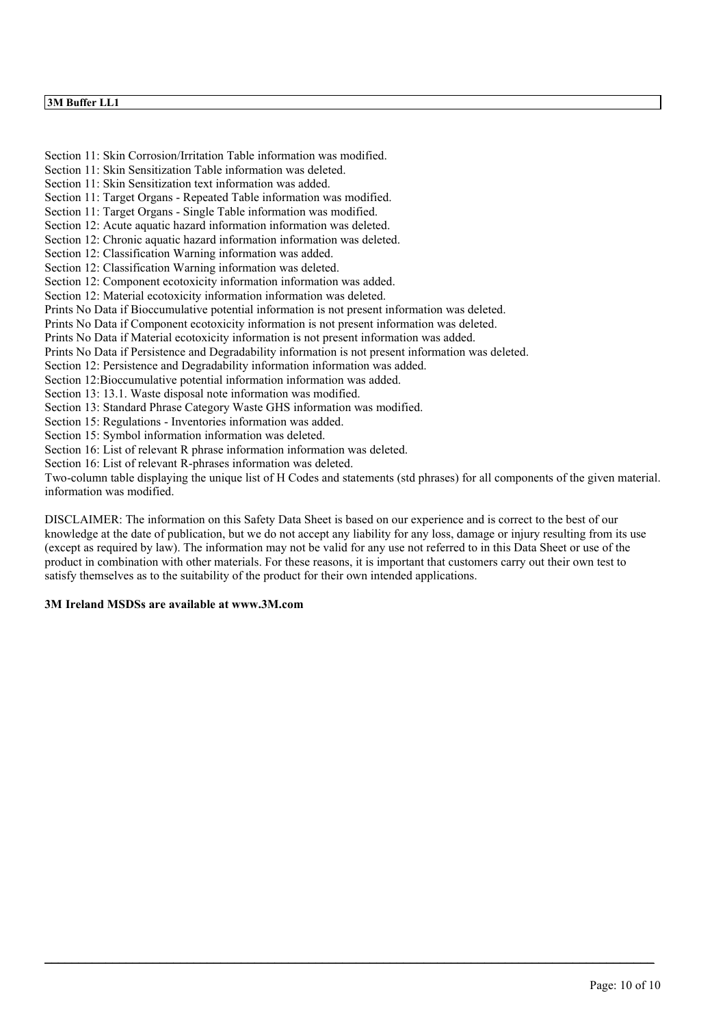## **3M Buffer LL1**

Section 11: Skin Corrosion/Irritation Table information was modified. Section 11: Skin Sensitization Table information was deleted. Section 11: Skin Sensitization text information was added. Section 11: Target Organs - Repeated Table information was modified. Section 11: Target Organs - Single Table information was modified. Section 12: Acute aquatic hazard information information was deleted. Section 12: Chronic aquatic hazard information information was deleted. Section 12: Classification Warning information was added. Section 12: Classification Warning information was deleted. Section 12: Component ecotoxicity information information was added. Section 12: Material ecotoxicity information information was deleted. Prints No Data if Bioccumulative potential information is not present information was deleted. Prints No Data if Component ecotoxicity information is not present information was deleted. Prints No Data if Material ecotoxicity information is not present information was added. Prints No Data if Persistence and Degradability information is not present information was deleted. Section 12: Persistence and Degradability information information was added. Section 12:Bioccumulative potential information information was added. Section 13: 13.1. Waste disposal note information was modified. Section 13: Standard Phrase Category Waste GHS information was modified. Section 15: Regulations - Inventories information was added. Section 15: Symbol information information was deleted. Section 16: List of relevant R phrase information information was deleted. Section 16: List of relevant R-phrases information was deleted. Two-column table displaying the unique list of H Codes and statements (std phrases) for all components of the given material. information was modified.

DISCLAIMER: The information on this Safety Data Sheet is based on our experience and is correct to the best of our knowledge at the date of publication, but we do not accept any liability for any loss, damage or injury resulting from its use (except as required by law). The information may not be valid for any use not referred to in this Data Sheet or use of the product in combination with other materials. For these reasons, it is important that customers carry out their own test to satisfy themselves as to the suitability of the product for their own intended applications.

 $\_$  , and the state of the state of the state of the state of the state of the state of the state of the state of the state of the state of the state of the state of the state of the state of the state of the state of the

#### **3M Ireland MSDSs are available at www.3M.com**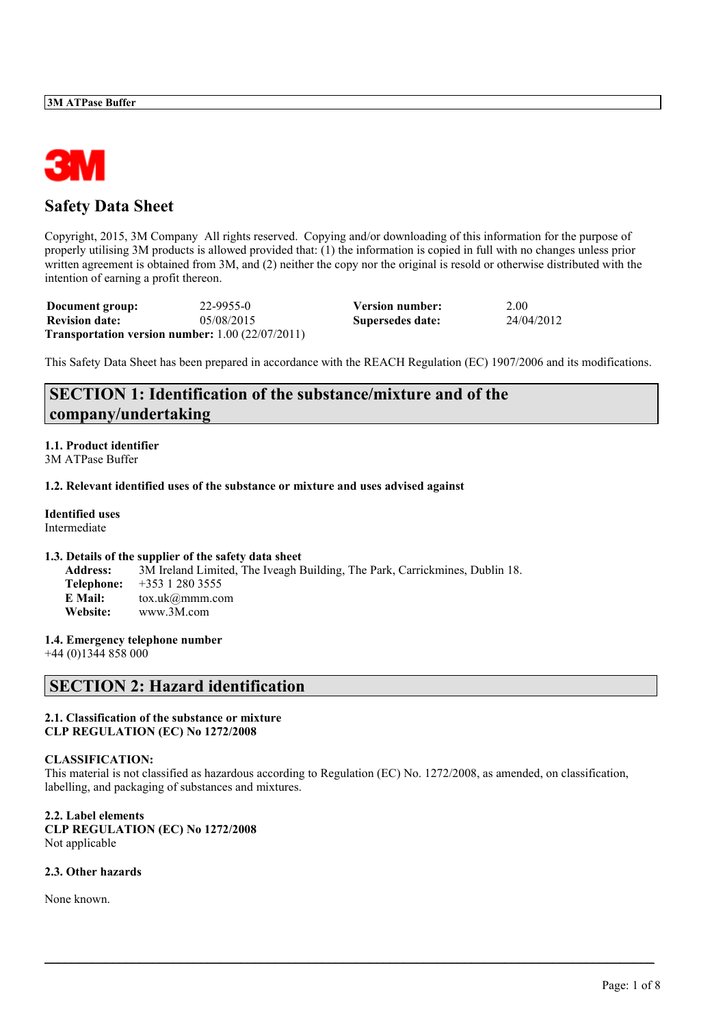

# **Safety Data Sheet**

Copyright, 2015, 3M Company All rights reserved. Copying and/or downloading of this information for the purpose of properly utilising 3M products is allowed provided that: (1) the information is copied in full with no changes unless prior written agreement is obtained from 3M, and (2) neither the copy nor the original is resold or otherwise distributed with the intention of earning a profit thereon.

| Document group:                                               | 22-9955-0  | <b>Version number:</b> | 2.00       |
|---------------------------------------------------------------|------------|------------------------|------------|
| <b>Revision date:</b>                                         | 05/08/2015 | Supersedes date:       | 24/04/2012 |
| <b>Transportation version number:</b> $1.00$ ( $22/07/2011$ ) |            |                        |            |

This Safety Data Sheet has been prepared in accordance with the REACH Regulation (EC) 1907/2006 and its modifications.

# **SECTION 1: Identification of the substance/mixture and of the company/undertaking**

#### **1.1. Product identifier** 3M ATPase Buffer

#### **1.2. Relevant identified uses of the substance or mixture and uses advised against**

**Identified uses** Intermediate

## **1.3. Details of the supplier of the safety data sheet**

**Address:** 3M Ireland Limited, The Iveagh Building, The Park, Carrickmines, Dublin 18. **Telephone:** +353 1 280 3555 **E Mail:** tox.uk@mmm.com **Website:** www.3M.com

## **1.4. Emergency telephone number**

+44 (0)1344 858 000

# **SECTION 2: Hazard identification**

#### **2.1. Classification of the substance or mixture CLP REGULATION (EC) No 1272/2008**

## **CLASSIFICATION:**

This material is not classified as hazardous according to Regulation (EC) No. 1272/2008, as amended, on classification, labelling, and packaging of substances and mixtures.

 $\_$  , and the state of the state of the state of the state of the state of the state of the state of the state of the state of the state of the state of the state of the state of the state of the state of the state of the

**2.2. Label elements CLP REGULATION (EC) No 1272/2008** Not applicable

## **2.3. Other hazards**

None known.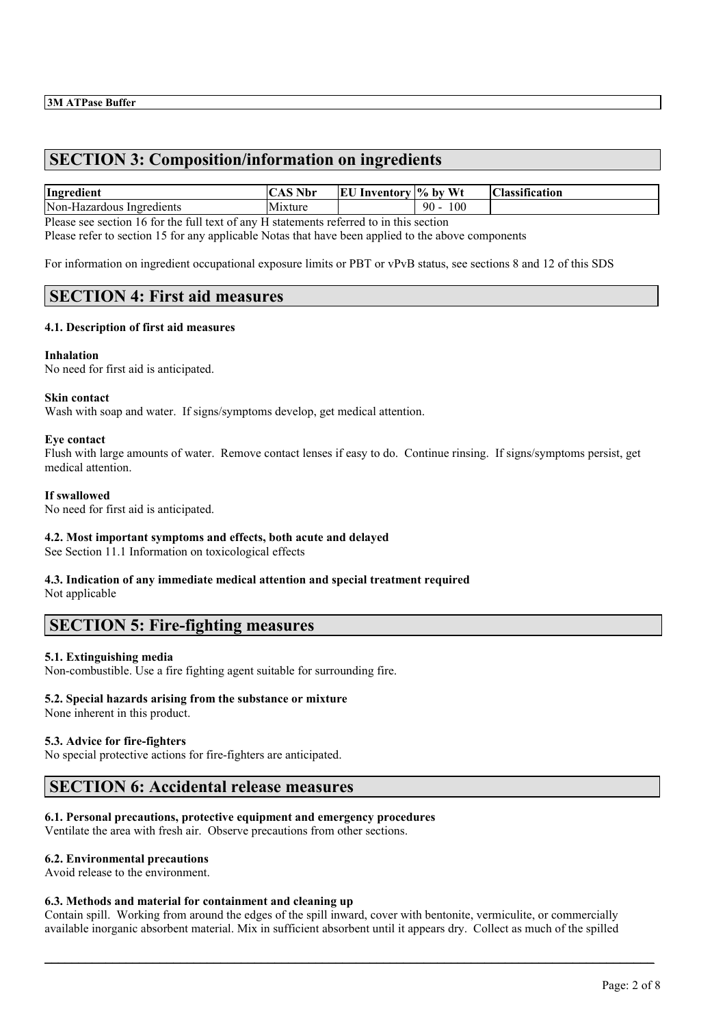# **SECTION 3: Composition/information on ingredients**

| Ingredient                     | $^{\circ}$ S Nbr $^{\circ}$ | EU<br>Inventory | v  % bv Wt | $\cdot$ $\sim$<br>$\mathbf{C}^r$<br><b>Hassification</b> |
|--------------------------------|-----------------------------|-----------------|------------|----------------------------------------------------------|
| Non-Hazardous<br>' Ingredients | Mixture                     |                 | 100<br>90  |                                                          |

Please see section 16 for the full text of any H statements referred to in this section

Please refer to section 15 for any applicable Notas that have been applied to the above components

For information on ingredient occupational exposure limits or PBT or vPvB status, see sections 8 and 12 of this SDS

## **SECTION 4: First aid measures**

#### **4.1. Description of first aid measures**

#### **Inhalation**

No need for first aid is anticipated.

#### **Skin contact**

Wash with soap and water. If signs/symptoms develop, get medical attention.

#### **Eye contact**

Flush with large amounts of water. Remove contact lenses if easy to do. Continue rinsing. If signs/symptoms persist, get medical attention.

#### **If swallowed**

No need for first aid is anticipated.

## **4.2. Most important symptoms and effects, both acute and delayed**

See Section 11.1 Information on toxicological effects

#### **4.3. Indication of any immediate medical attention and special treatment required** Not applicable

## **SECTION 5: Fire-fighting measures**

## **5.1. Extinguishing media**

Non-combustible. Use a fire fighting agent suitable for surrounding fire.

## **5.2. Special hazards arising from the substance or mixture**

None inherent in this product.

#### **5.3. Advice for fire-fighters**

No special protective actions for fire-fighters are anticipated.

# **SECTION 6: Accidental release measures**

## **6.1. Personal precautions, protective equipment and emergency procedures**

Ventilate the area with fresh air. Observe precautions from other sections.

## **6.2. Environmental precautions**

Avoid release to the environment.

#### **6.3. Methods and material for containment and cleaning up**

Contain spill. Working from around the edges of the spill inward, cover with bentonite, vermiculite, or commercially available inorganic absorbent material. Mix in sufficient absorbent until it appears dry. Collect as much of the spilled

 $\_$  , and the state of the state of the state of the state of the state of the state of the state of the state of the state of the state of the state of the state of the state of the state of the state of the state of the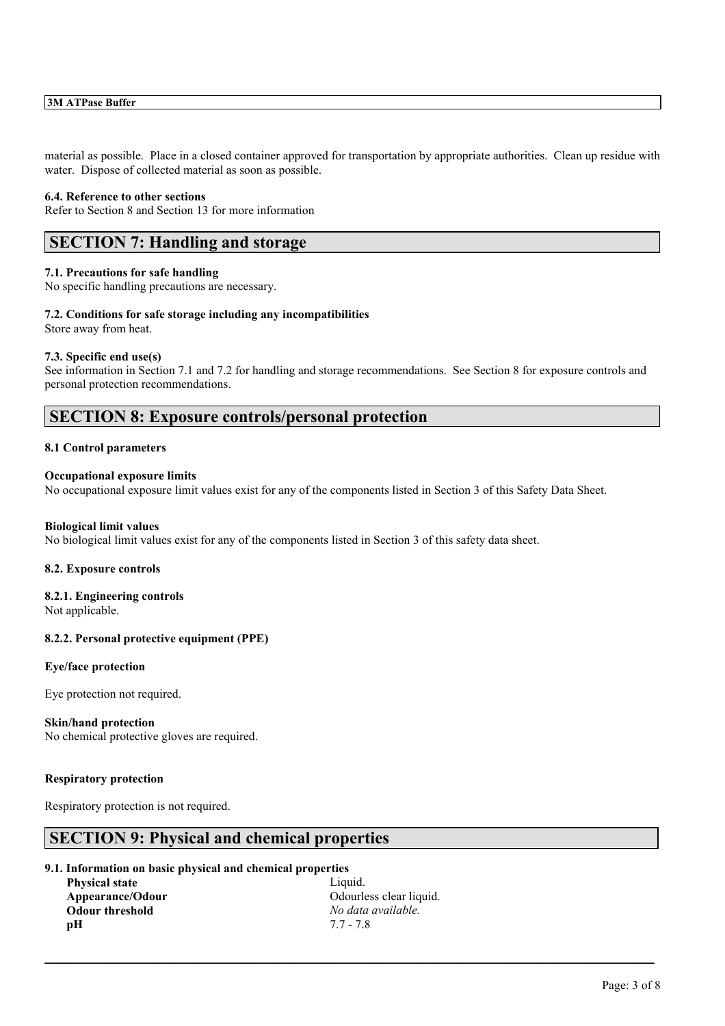material as possible. Place in a closed container approved for transportation by appropriate authorities. Clean up residue with water. Dispose of collected material as soon as possible.

#### **6.4. Reference to other sections**

Refer to Section 8 and Section 13 for more information

# **SECTION 7: Handling and storage**

#### **7.1. Precautions for safe handling**

No specific handling precautions are necessary.

#### **7.2. Conditions for safe storage including any incompatibilities**

Store away from heat.

#### **7.3. Specific end use(s)**

See information in Section 7.1 and 7.2 for handling and storage recommendations. See Section 8 for exposure controls and personal protection recommendations.

## **SECTION 8: Exposure controls/personal protection**

### **8.1 Control parameters**

### **Occupational exposure limits**

No occupational exposure limit values exist for any of the components listed in Section 3 of this Safety Data Sheet.

### **Biological limit values**

No biological limit values exist for any of the components listed in Section 3 of this safety data sheet.

#### **8.2. Exposure controls**

# **8.2.1. Engineering controls**

Not applicable.

## **8.2.2. Personal protective equipment (PPE)**

#### **Eye/face protection**

Eye protection not required.

#### **Skin/hand protection**

No chemical protective gloves are required.

#### **Respiratory protection**

Respiratory protection is not required.

## **SECTION 9: Physical and chemical properties**

#### **9.1. Information on basic physical and chemical properties**

| <b>Physical state</b>  |
|------------------------|
| Appearance/Odour       |
| <b>Odour threshold</b> |
| pН                     |

Liquid. **Odourless clear liquid. Odour threshold** *No data available.* **pH** 7.7 - 7.8

 $\_$  , and the state of the state of the state of the state of the state of the state of the state of the state of the state of the state of the state of the state of the state of the state of the state of the state of the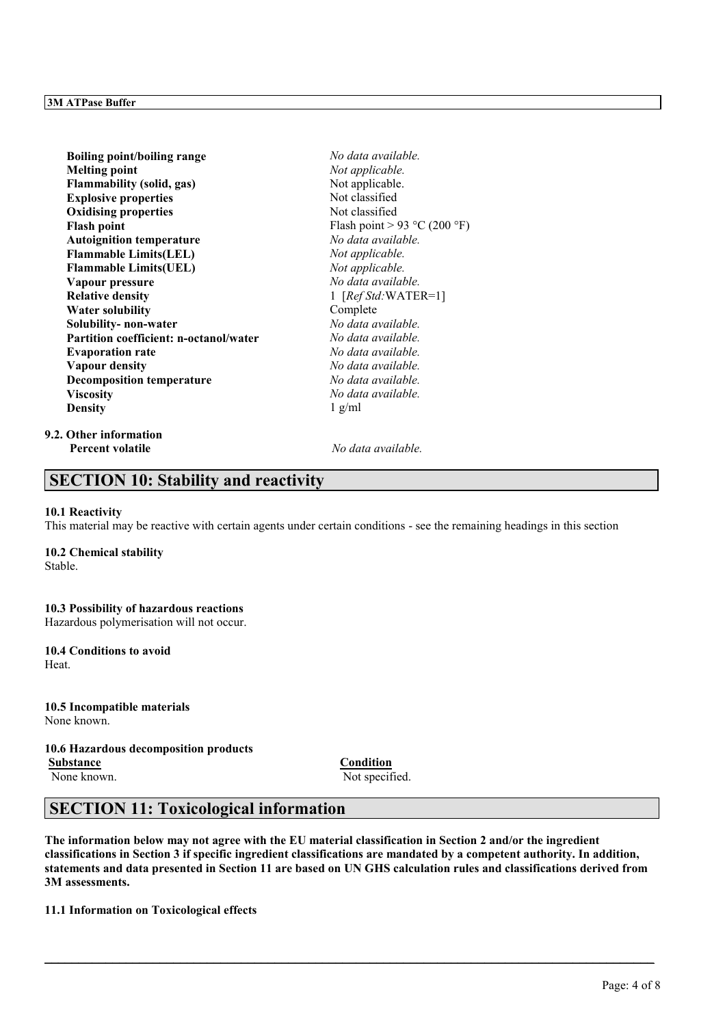| <b>Boiling point/boiling range</b>     | No data available.           |
|----------------------------------------|------------------------------|
| <b>Melting point</b>                   | Not applicable.              |
| <b>Flammability (solid, gas)</b>       | Not applicable.              |
| <b>Explosive properties</b>            | Not classified               |
| <b>Oxidising properties</b>            | Not classified               |
| <b>Flash point</b>                     | Flash point > 93 °C (200 °F) |
| <b>Autoignition temperature</b>        | No data available.           |
| <b>Flammable Limits(LEL)</b>           | Not applicable.              |
| <b>Flammable Limits(UEL)</b>           | Not applicable.              |
| Vapour pressure                        | No data available.           |
| <b>Relative density</b>                | 1 $[RefStd:WATER=1]$         |
| Water solubility                       | Complete                     |
| Solubility- non-water                  | No data available.           |
| Partition coefficient: n-octanol/water | No data available.           |
| <b>Evaporation rate</b>                | No data available.           |
| <b>Vapour density</b>                  | No data available.           |
| <b>Decomposition temperature</b>       | No data available.           |
| <b>Viscosity</b>                       | No data available.           |
| <b>Density</b>                         | $1$ g/ml                     |
| $\sim$ $\sim$ $\sim$                   |                              |

#### **9.2. Other information Percent volatile** *No data available.*

# **SECTION 10: Stability and reactivity**

#### **10.1 Reactivity**

This material may be reactive with certain agents under certain conditions - see the remaining headings in this section

## **10.2 Chemical stability**

Stable.

## **10.3 Possibility of hazardous reactions**

Hazardous polymerisation will not occur.

#### **10.4 Conditions to avoid** Heat.

**10.5 Incompatible materials** None known.

## **10.6 Hazardous decomposition products Substance Condition**

None known. Not specified.

# **SECTION 11: Toxicological information**

**The information below may not agree with the EU material classification in Section 2 and/or the ingredient classifications in Section 3 if specific ingredient classifications are mandated by a competent authority. In addition, statements and data presented in Section 11 are based on UN GHS calculation rules and classifications derived from 3M assessments.**

 $\_$  , and the state of the state of the state of the state of the state of the state of the state of the state of the state of the state of the state of the state of the state of the state of the state of the state of the

**11.1 Information on Toxicological effects**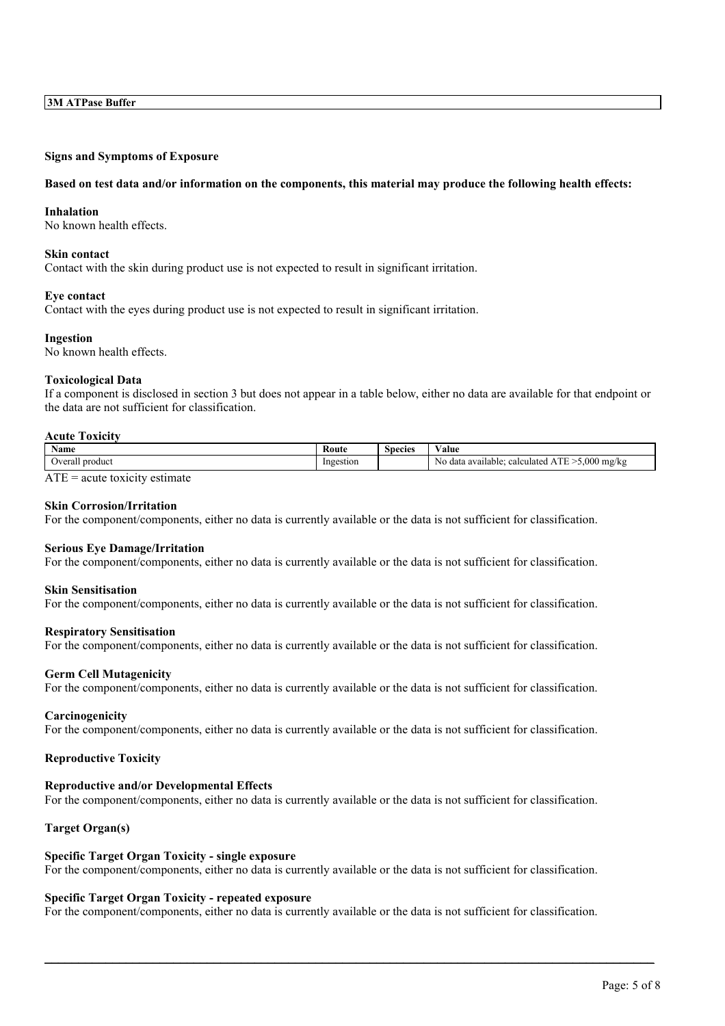#### **Signs and Symptoms of Exposure**

#### **Based on test data and/or information on the components, this material may produce the following health effects:**

#### **Inhalation**

No known health effects.

#### **Skin contact**

Contact with the skin during product use is not expected to result in significant irritation.

#### **Eye contact**

Contact with the eyes during product use is not expected to result in significant irritation.

#### **Ingestion**

No known health effects.

#### **Toxicological Data**

If a component is disclosed in section 3 but does not appear in a table below, either no data are available for that endpoint or the data are not sufficient for classification.

#### **Acute Toxicity**

| Name                            | Koute                             | $\sim$<br>Species | ⁄ alue                                                    |
|---------------------------------|-----------------------------------|-------------------|-----------------------------------------------------------|
| . product<br><b>verall</b><br>. | Ingestion<br>$\sim$ $\sim$<br>. . |                   | .000<br>NG.<br>mg/kg<br>calculated<br>data available<br>ັ |

 $ATE = acute$  toxicity estimate

#### **Skin Corrosion/Irritation**

For the component/components, either no data is currently available or the data is not sufficient for classification.

#### **Serious Eye Damage/Irritation**

For the component/components, either no data is currently available or the data is not sufficient for classification.

#### **Skin Sensitisation**

For the component/components, either no data is currently available or the data is not sufficient for classification.

#### **Respiratory Sensitisation**

For the component/components, either no data is currently available or the data is not sufficient for classification.

#### **Germ Cell Mutagenicity**

For the component/components, either no data is currently available or the data is not sufficient for classification.

#### **Carcinogenicity**

For the component/components, either no data is currently available or the data is not sufficient for classification.

#### **Reproductive Toxicity**

#### **Reproductive and/or Developmental Effects**

For the component/components, either no data is currently available or the data is not sufficient for classification.

### **Target Organ(s)**

#### **Specific Target Organ Toxicity - single exposure**

For the component/components, either no data is currently available or the data is not sufficient for classification.

#### **Specific Target Organ Toxicity - repeated exposure**

For the component/components, either no data is currently available or the data is not sufficient for classification.

 $\_$  , and the state of the state of the state of the state of the state of the state of the state of the state of the state of the state of the state of the state of the state of the state of the state of the state of the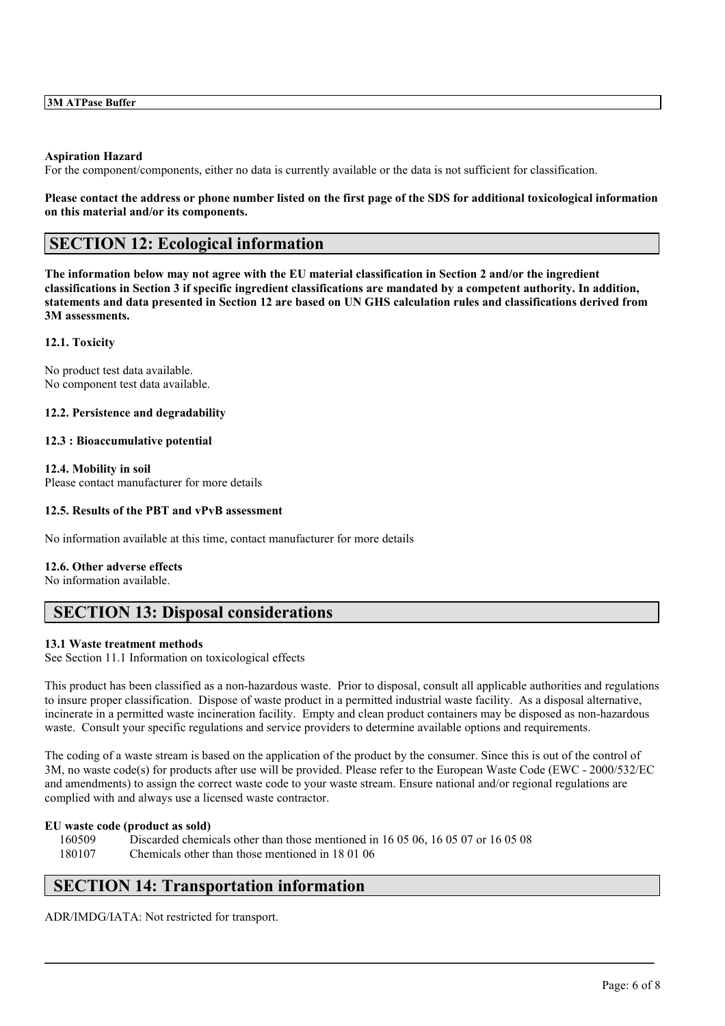#### **Aspiration Hazard**

For the component/components, either no data is currently available or the data is not sufficient for classification.

#### **Please contact the address or phone number listed on the first page of the SDS for additional toxicological information on this material and/or its components.**

# **SECTION 12: Ecological information**

**The information below may not agree with the EU material classification in Section 2 and/or the ingredient classifications in Section 3 if specific ingredient classifications are mandated by a competent authority. In addition, statements and data presented in Section 12 are based on UN GHS calculation rules and classifications derived from 3M assessments.**

## **12.1. Toxicity**

No product test data available. No component test data available.

#### **12.2. Persistence and degradability**

#### **12.3 : Bioaccumulative potential**

**12.4. Mobility in soil** Please contact manufacturer for more details

### **12.5. Results of the PBT and vPvB assessment**

No information available at this time, contact manufacturer for more details

#### **12.6. Other adverse effects**

No information available.

# **SECTION 13: Disposal considerations**

## **13.1 Waste treatment methods**

See Section 11.1 Information on toxicological effects

This product has been classified as a non-hazardous waste. Prior to disposal, consult all applicable authorities and regulations to insure proper classification. Dispose of waste product in a permitted industrial waste facility. As a disposal alternative, incinerate in a permitted waste incineration facility. Empty and clean product containers may be disposed as non-hazardous waste. Consult your specific regulations and service providers to determine available options and requirements.

The coding of a waste stream is based on the application of the product by the consumer. Since this is out of the control of 3M, no waste code(s) for products after use will be provided. Please refer to the European Waste Code (EWC - 2000/532/EC and amendments) to assign the correct waste code to your waste stream. Ensure national and/or regional regulations are complied with and always use a licensed waste contractor.

 $\_$  , and the state of the state of the state of the state of the state of the state of the state of the state of the state of the state of the state of the state of the state of the state of the state of the state of the

## **EU waste code (product as sold)**

160509 Discarded chemicals other than those mentioned in 16 05 06, 16 05 07 or 16 05 08 180107 Chemicals other than those mentioned in 18 01 06

# **SECTION 14: Transportation information**

ADR/IMDG/IATA: Not restricted for transport.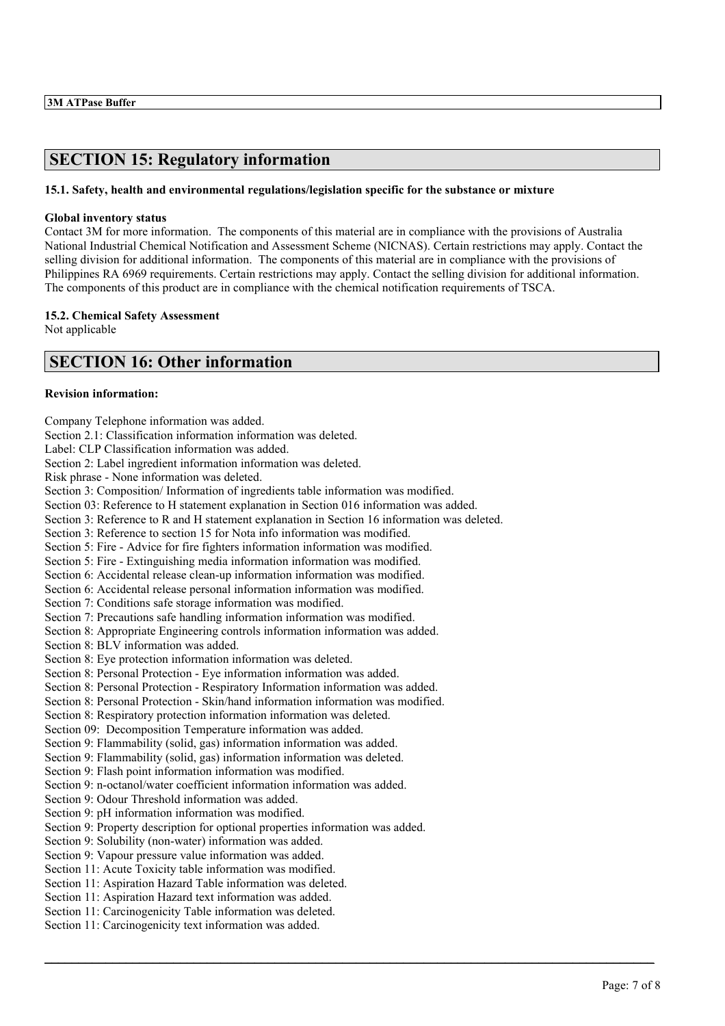# **SECTION 15: Regulatory information**

## **15.1. Safety, health and environmental regulations/legislation specific for the substance or mixture**

### **Global inventory status**

Contact 3M for more information. The components of this material are in compliance with the provisions of Australia National Industrial Chemical Notification and Assessment Scheme (NICNAS). Certain restrictions may apply. Contact the selling division for additional information. The components of this material are in compliance with the provisions of Philippines RA 6969 requirements. Certain restrictions may apply. Contact the selling division for additional information. The components of this product are in compliance with the chemical notification requirements of TSCA.

## **15.2. Chemical Safety Assessment**

Not applicable

# **SECTION 16: Other information**

## **Revision information:**

Company Telephone information was added. Section 2.1: Classification information information was deleted. Label: CLP Classification information was added. Section 2: Label ingredient information information was deleted. Risk phrase - None information was deleted. Section 3: Composition/ Information of ingredients table information was modified. Section 03: Reference to H statement explanation in Section 016 information was added. Section 3: Reference to R and H statement explanation in Section 16 information was deleted. Section 3: Reference to section 15 for Nota info information was modified. Section 5: Fire - Advice for fire fighters information information was modified. Section 5: Fire - Extinguishing media information information was modified. Section 6: Accidental release clean-up information information was modified. Section 6: Accidental release personal information information was modified. Section 7: Conditions safe storage information was modified. Section 7: Precautions safe handling information information was modified. Section 8: Appropriate Engineering controls information information was added. Section 8: BLV information was added. Section 8: Eye protection information information was deleted. Section 8: Personal Protection - Eye information information was added. Section 8: Personal Protection - Respiratory Information information was added. Section 8: Personal Protection - Skin/hand information information was modified. Section 8: Respiratory protection information information was deleted. Section 09: Decomposition Temperature information was added. Section 9: Flammability (solid, gas) information information was added. Section 9: Flammability (solid, gas) information information was deleted. Section 9: Flash point information information was modified. Section 9: n-octanol/water coefficient information information was added. Section 9: Odour Threshold information was added. Section 9: pH information information was modified. Section 9: Property description for optional properties information was added. Section 9: Solubility (non-water) information was added. Section 9: Vapour pressure value information was added. Section 11: Acute Toxicity table information was modified. Section 11: Aspiration Hazard Table information was deleted. Section 11: Aspiration Hazard text information was added. Section 11: Carcinogenicity Table information was deleted. Section 11: Carcinogenicity text information was added.

 $\_$  , and the state of the state of the state of the state of the state of the state of the state of the state of the state of the state of the state of the state of the state of the state of the state of the state of the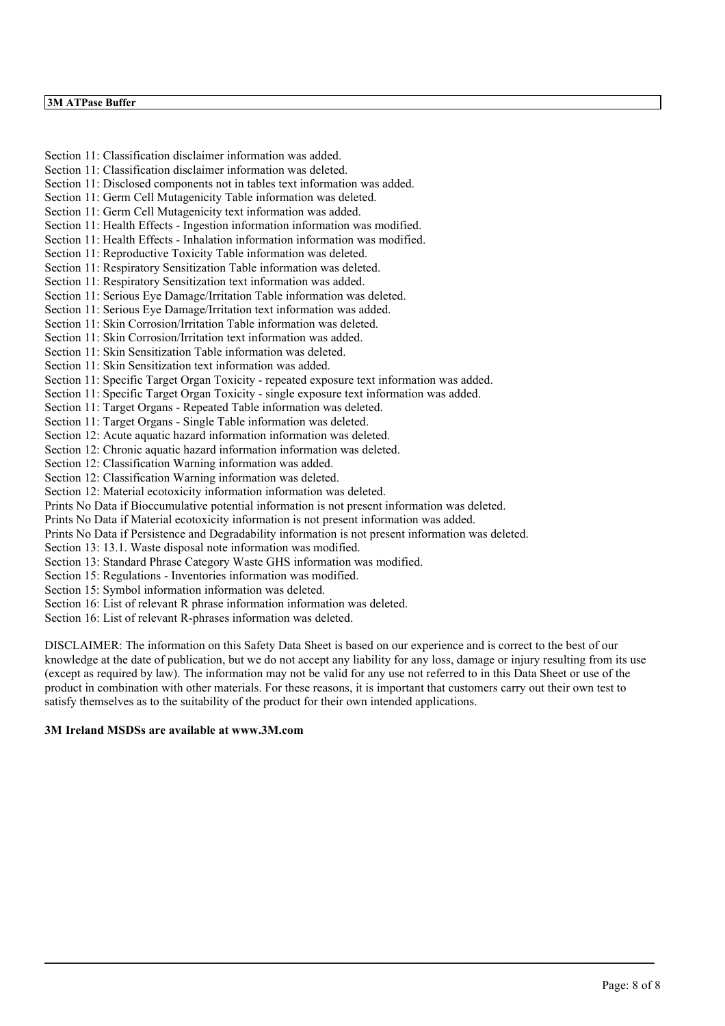## **3M ATPase Buffer**

Section 11: Classification disclaimer information was added. Section 11: Classification disclaimer information was deleted. Section 11: Disclosed components not in tables text information was added. Section 11: Germ Cell Mutagenicity Table information was deleted. Section 11: Germ Cell Mutagenicity text information was added. Section 11: Health Effects - Ingestion information information was modified. Section 11: Health Effects - Inhalation information information was modified. Section 11: Reproductive Toxicity Table information was deleted. Section 11: Respiratory Sensitization Table information was deleted. Section 11: Respiratory Sensitization text information was added. Section 11: Serious Eye Damage/Irritation Table information was deleted. Section 11: Serious Eye Damage/Irritation text information was added. Section 11: Skin Corrosion/Irritation Table information was deleted. Section 11: Skin Corrosion/Irritation text information was added. Section 11: Skin Sensitization Table information was deleted. Section 11: Skin Sensitization text information was added. Section 11: Specific Target Organ Toxicity - repeated exposure text information was added. Section 11: Specific Target Organ Toxicity - single exposure text information was added. Section 11: Target Organs - Repeated Table information was deleted. Section 11: Target Organs - Single Table information was deleted. Section 12: Acute aquatic hazard information information was deleted. Section 12: Chronic aquatic hazard information information was deleted. Section 12: Classification Warning information was added. Section 12: Classification Warning information was deleted. Section 12: Material ecotoxicity information information was deleted. Prints No Data if Bioccumulative potential information is not present information was deleted. Prints No Data if Material ecotoxicity information is not present information was added. Prints No Data if Persistence and Degradability information is not present information was deleted. Section 13: 13.1. Waste disposal note information was modified. Section 13: Standard Phrase Category Waste GHS information was modified. Section 15: Regulations - Inventories information was modified. Section 15: Symbol information information was deleted.

Section 16: List of relevant R phrase information information was deleted.

Section 16: List of relevant R-phrases information was deleted.

DISCLAIMER: The information on this Safety Data Sheet is based on our experience and is correct to the best of our knowledge at the date of publication, but we do not accept any liability for any loss, damage or injury resulting from its use (except as required by law). The information may not be valid for any use not referred to in this Data Sheet or use of the product in combination with other materials. For these reasons, it is important that customers carry out their own test to satisfy themselves as to the suitability of the product for their own intended applications.

 $\_$  , and the state of the state of the state of the state of the state of the state of the state of the state of the state of the state of the state of the state of the state of the state of the state of the state of the

## **3M Ireland MSDSs are available at www.3M.com**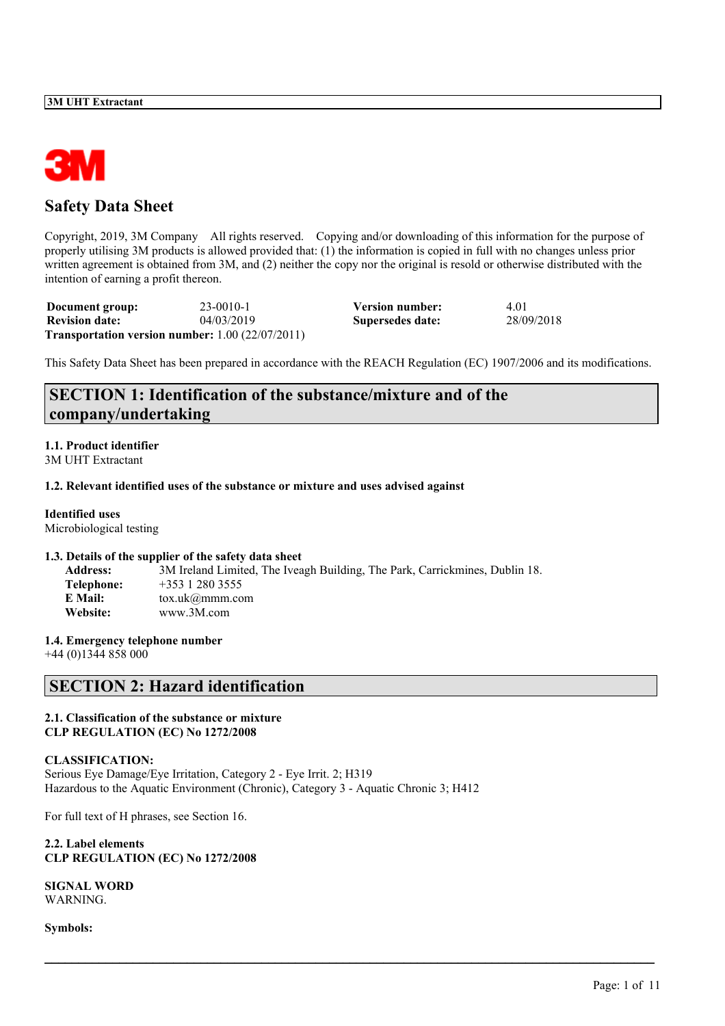

# **Safety Data Sheet**

Copyright, 2019, 3M Company All rights reserved. Copying and/or downloading of this information for the purpose of properly utilising 3M products is allowed provided that: (1) the information is copied in full with no changes unless prior written agreement is obtained from 3M, and (2) neither the copy nor the original is resold or otherwise distributed with the intention of earning a profit thereon.

| Document group:       | $23-0010-1$                                                   | Version number:  | 4.01       |
|-----------------------|---------------------------------------------------------------|------------------|------------|
| <b>Revision date:</b> | 04/03/2019                                                    | Supersedes date: | 28/09/2018 |
|                       | <b>Transportation version number:</b> $1.00$ ( $22/07/2011$ ) |                  |            |

This Safety Data Sheet has been prepared in accordance with the REACH Regulation (EC) 1907/2006 and its modifications.

 $\mathcal{L}_\mathcal{L} = \mathcal{L}_\mathcal{L} = \mathcal{L}_\mathcal{L} = \mathcal{L}_\mathcal{L} = \mathcal{L}_\mathcal{L} = \mathcal{L}_\mathcal{L} = \mathcal{L}_\mathcal{L} = \mathcal{L}_\mathcal{L} = \mathcal{L}_\mathcal{L} = \mathcal{L}_\mathcal{L} = \mathcal{L}_\mathcal{L} = \mathcal{L}_\mathcal{L} = \mathcal{L}_\mathcal{L} = \mathcal{L}_\mathcal{L} = \mathcal{L}_\mathcal{L} = \mathcal{L}_\mathcal{L} = \mathcal{L}_\mathcal{L}$ 

# **SECTION 1: Identification of the substance/mixture and of the company/undertaking**

#### **1.1. Product identifier** 3M UHT Extractant

#### **1.2. Relevant identified uses of the substance or mixture and uses advised against**

## **Identified uses**

Microbiological testing

#### **1.3. Details of the supplier of the safety data sheet**

| <b>Address:</b> | 3M Ireland Limited, The Iveagh Building, The Park, Carrickmines, Dublin 18. |
|-----------------|-----------------------------------------------------------------------------|
| Telephone:      | $+353$ 1 280 3555                                                           |
| E Mail:         | $\text{to}x.\text{uk}(\hat{\alpha})$ mmm.com                                |
| Website:        | www.3M.com                                                                  |

## **1.4. Emergency telephone number**

+44 (0)1344 858 000

# **SECTION 2: Hazard identification**

## **2.1. Classification of the substance or mixture CLP REGULATION (EC) No 1272/2008**

## **CLASSIFICATION:**

Serious Eye Damage/Eye Irritation, Category 2 - Eye Irrit. 2; H319 Hazardous to the Aquatic Environment (Chronic), Category 3 - Aquatic Chronic 3; H412

For full text of H phrases, see Section 16.

**2.2. Label elements CLP REGULATION (EC) No 1272/2008**

**SIGNAL WORD** WARNING.

**Symbols:**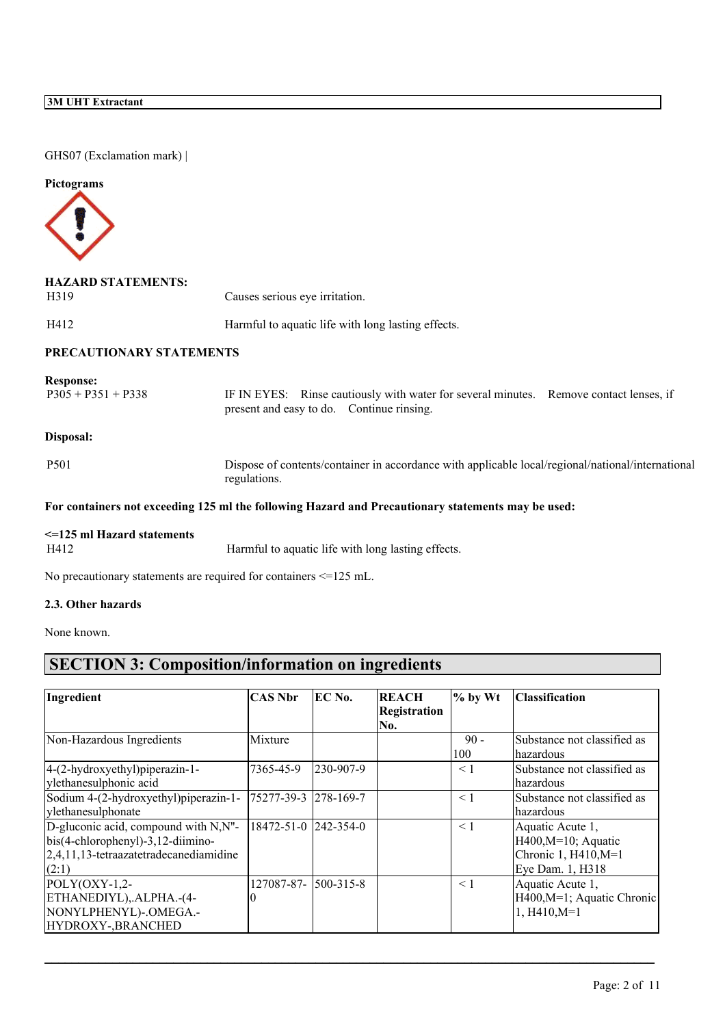GHS07 (Exclamation mark) |

## **Pictograms**



| <b>HAZARD STATEMENTS:</b><br>H319        | Causes serious eye irritation.                                                                                                      |
|------------------------------------------|-------------------------------------------------------------------------------------------------------------------------------------|
| H412                                     | Harmful to aquatic life with long lasting effects.                                                                                  |
| PRECAUTIONARY STATEMENTS                 |                                                                                                                                     |
| <b>Response:</b><br>$P305 + P351 + P338$ | IF IN EYES: Rinse cautiously with water for several minutes. Remove contact lenses, if<br>present and easy to do. Continue rinsing. |
| Disposal:                                |                                                                                                                                     |
| P <sub>501</sub>                         | Dispose of contents/container in accordance with applicable local/regional/national/international<br>regulations.                   |
|                                          | For containers not exceeding 125 ml the following Hazard and Precautionary statements may be used:                                  |
|                                          |                                                                                                                                     |

# **<=125 ml Hazard statements**

Harmful to aquatic life with long lasting effects.

No precautionary statements are required for containers <=125 mL.

### **2.3. Other hazards**

None known.

# **SECTION 3: Composition/information on ingredients**

| Ingredient                             | CAS Nbr              | EC No.          | <b>REACH</b>        | $\%$ by Wt | <b>Classification</b>       |  |
|----------------------------------------|----------------------|-----------------|---------------------|------------|-----------------------------|--|
|                                        |                      |                 | <b>Registration</b> |            |                             |  |
|                                        |                      |                 | No.                 |            |                             |  |
| Non-Hazardous Ingredients              | Mixture              |                 |                     | $90 -$     | Substance not classified as |  |
|                                        |                      |                 |                     | 100        | hazardous                   |  |
| 4-(2-hydroxyethyl)piperazin-1-         | 7365-45-9            | 230-907-9       |                     | < 1        | Substance not classified as |  |
| ylethanesulphonic acid                 |                      |                 |                     |            | hazardous                   |  |
| Sodium 4-(2-hydroxyethyl)piperazin-1-  | 75277-39-3 278-169-7 |                 |                     | $\leq 1$   | Substance not classified as |  |
| ylethanesulphonate                     |                      |                 |                     |            | hazardous                   |  |
| D-gluconic acid, compound with N,N"-   | 18472-51-0 242-354-0 |                 |                     | < 1        | Aquatic Acute 1,            |  |
| $bis(4-chlorophenyl)-3,12-diimino-$    |                      |                 |                     |            | $H400, M=10$ ; Aquatic      |  |
| 2,4,11,13-tetraazatetradecanediamidine |                      |                 |                     |            | Chronic 1, H410, M=1        |  |
| (2:1)                                  |                      |                 |                     |            | Eye Dam. 1, H318            |  |
| $POLY(OXY-1,2-$                        | 127087-87-           | $500 - 315 - 8$ |                     | < 1        | Aquatic Acute 1,            |  |
| ETHANEDIYL), ALPHA.-(4-                |                      |                 |                     |            | H400, M=1; Aquatic Chronic  |  |
| NONYLPHENYL)-.OMEGA.-                  |                      |                 |                     |            | $1, H410, M=1$              |  |
| HYDROXY-, BRANCHED                     |                      |                 |                     |            |                             |  |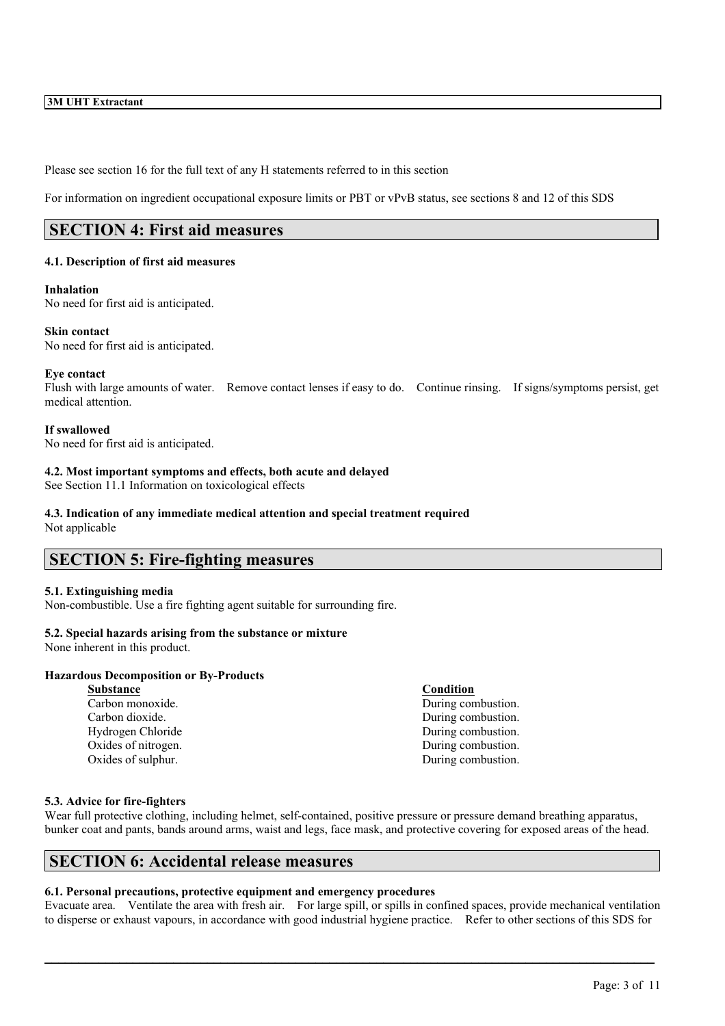Please see section 16 for the full text of any H statements referred to in this section

For information on ingredient occupational exposure limits or PBT or vPvB status, see sections 8 and 12 of this SDS

# **SECTION 4: First aid measures**

#### **4.1. Description of first aid measures**

#### **Inhalation**

No need for first aid is anticipated.

#### **Skin contact**

No need for first aid is anticipated.

#### **Eye contact**

Flush with large amounts of water. Remove contact lenses if easy to do. Continue rinsing. If signs/symptoms persist, get medical attention.

#### **If swallowed**

No need for first aid is anticipated.

## **4.2. Most important symptoms and effects, both acute and delayed**

See Section 11.1 Information on toxicological effects

#### **4.3. Indication of any immediate medical attention and special treatment required** Not applicable

## **SECTION 5: Fire-fighting measures**

#### **5.1. Extinguishing media**

Non-combustible. Use a fire fighting agent suitable for surrounding fire.

## **5.2. Special hazards arising from the substance or mixture**

None inherent in this product.

#### **Hazardous Decomposition or By-Products**

**Substance Condition** Oxides of sulphur. During combustion.

Carbon monoxide. During combustion. Carbon dioxide. During combustion. Hydrogen Chloride During combustion. Oxides of nitrogen. During combustion.

## **5.3. Advice for fire-fighters**

Wear full protective clothing, including helmet, self-contained, positive pressure or pressure demand breathing apparatus, bunker coat and pants, bands around arms, waist and legs, face mask, and protective covering for exposed areas of the head.

## **SECTION 6: Accidental release measures**

## **6.1. Personal precautions, protective equipment and emergency procedures**

Evacuate area. Ventilate the area with fresh air. For large spill, or spills in confined spaces, provide mechanical ventilation to disperse or exhaust vapours, in accordance with good industrial hygiene practice. Refer to other sections of this SDS for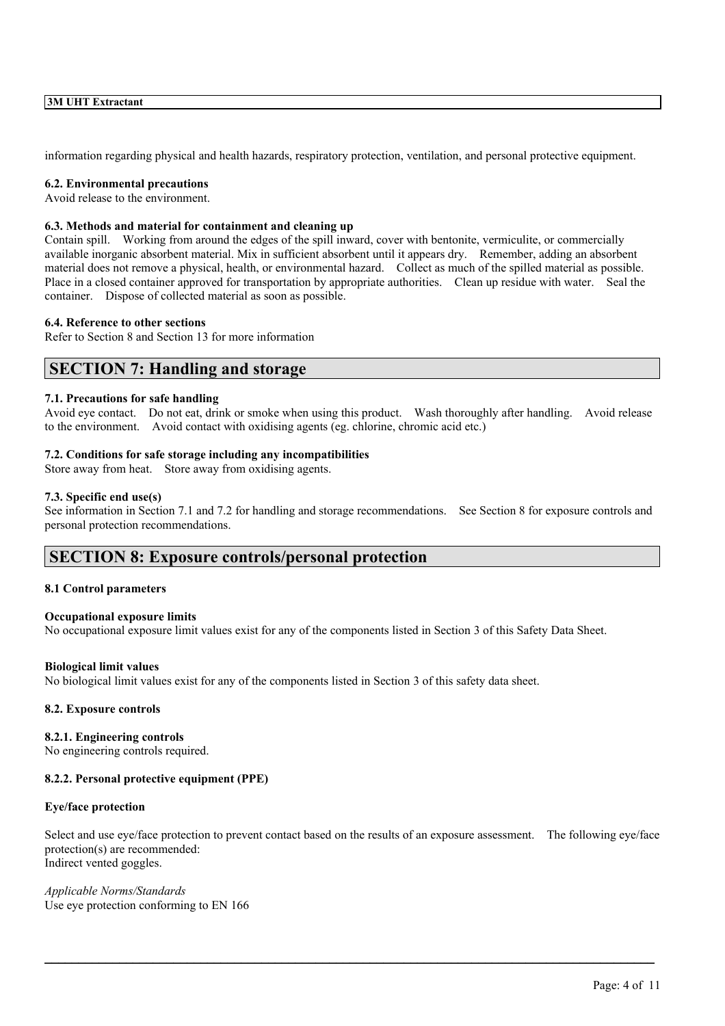information regarding physical and health hazards, respiratory protection, ventilation, and personal protective equipment.

#### **6.2. Environmental precautions**

Avoid release to the environment.

### **6.3. Methods and material for containment and cleaning up**

Contain spill. Working from around the edges of the spill inward, cover with bentonite, vermiculite, or commercially available inorganic absorbent material. Mix in sufficient absorbent until it appears dry. Remember, adding an absorbent material does not remove a physical, health, or environmental hazard. Collect as much of the spilled material as possible. Place in a closed container approved for transportation by appropriate authorities. Clean up residue with water. Seal the container. Dispose of collected material as soon as possible.

#### **6.4. Reference to other sections**

Refer to Section 8 and Section 13 for more information

## **SECTION 7: Handling and storage**

#### **7.1. Precautions for safe handling**

Avoid eye contact. Do not eat, drink or smoke when using this product. Wash thoroughly after handling. Avoid release to the environment. Avoid contact with oxidising agents (eg. chlorine, chromic acid etc.)

#### **7.2. Conditions for safe storage including any incompatibilities**

Store away from heat. Store away from oxidising agents.

#### **7.3. Specific end use(s)**

See information in Section 7.1 and 7.2 for handling and storage recommendations. See Section 8 for exposure controls and personal protection recommendations.

## **SECTION 8: Exposure controls/personal protection**

#### **8.1 Control parameters**

#### **Occupational exposure limits**

No occupational exposure limit values exist for any of the components listed in Section 3 of this Safety Data Sheet.

#### **Biological limit values**

No biological limit values exist for any of the components listed in Section 3 of this safety data sheet.

#### **8.2. Exposure controls**

#### **8.2.1. Engineering controls**

No engineering controls required.

## **8.2.2. Personal protective equipment (PPE)**

#### **Eye/face protection**

Select and use eye/face protection to prevent contact based on the results of an exposure assessment. The following eye/face protection(s) are recommended: Indirect vented goggles.

 $\mathcal{L}_\mathcal{L} = \mathcal{L}_\mathcal{L} = \mathcal{L}_\mathcal{L} = \mathcal{L}_\mathcal{L} = \mathcal{L}_\mathcal{L} = \mathcal{L}_\mathcal{L} = \mathcal{L}_\mathcal{L} = \mathcal{L}_\mathcal{L} = \mathcal{L}_\mathcal{L} = \mathcal{L}_\mathcal{L} = \mathcal{L}_\mathcal{L} = \mathcal{L}_\mathcal{L} = \mathcal{L}_\mathcal{L} = \mathcal{L}_\mathcal{L} = \mathcal{L}_\mathcal{L} = \mathcal{L}_\mathcal{L} = \mathcal{L}_\mathcal{L}$ 

*Applicable Norms/Standards* Use eye protection conforming to EN 166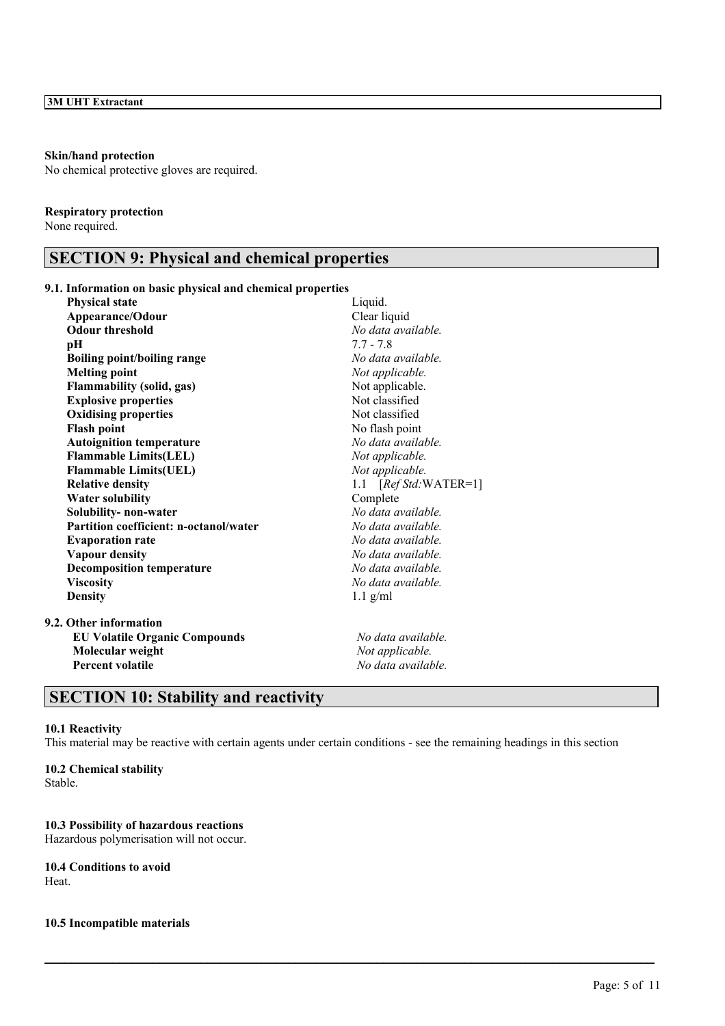#### **Skin/hand protection**

No chemical protective gloves are required.

### **Respiratory protection**

None required.

# **SECTION 9: Physical and chemical properties**

## **9.1. Information on basic physical and chemical properties**

| <b>Physical state</b>                  | Liquid.                |
|----------------------------------------|------------------------|
| Appearance/Odour                       | Clear liquid           |
| <b>Odour threshold</b>                 | No data available.     |
| pН                                     | $7.7 - 7.8$            |
| <b>Boiling point/boiling range</b>     | No data available.     |
| <b>Melting point</b>                   | Not applicable.        |
| <b>Flammability (solid, gas)</b>       | Not applicable.        |
| <b>Explosive properties</b>            | Not classified         |
| <b>Oxidising properties</b>            | Not classified         |
| <b>Flash point</b>                     | No flash point         |
| <b>Autoignition temperature</b>        | No data available.     |
| <b>Flammable Limits(LEL)</b>           | Not applicable.        |
| <b>Flammable Limits(UEL)</b>           | Not applicable.        |
| <b>Relative density</b>                | 1.1 $[RefStd:WATER=1]$ |
| <b>Water solubility</b>                | Complete               |
| Solubility- non-water                  | No data available.     |
| Partition coefficient: n-octanol/water | No data available.     |
| <b>Evaporation rate</b>                | No data available.     |
| <b>Vapour density</b>                  | No data available.     |
| <b>Decomposition temperature</b>       | No data available.     |
| <b>Viscosity</b>                       | No data available.     |
| <b>Density</b>                         | $1.1$ g/ml             |
| 9.2. Other information                 |                        |
| <b>EU Volatile Organic Compounds</b>   | No data available.     |
| Molecular weight                       | Not applicable.        |

**Percent volatile** *No data available.*

# **SECTION 10: Stability and reactivity**

### **10.1 Reactivity**

This material may be reactive with certain agents under certain conditions - see the remaining headings in this section

 $\mathcal{L}_\mathcal{L} = \mathcal{L}_\mathcal{L} = \mathcal{L}_\mathcal{L} = \mathcal{L}_\mathcal{L} = \mathcal{L}_\mathcal{L} = \mathcal{L}_\mathcal{L} = \mathcal{L}_\mathcal{L} = \mathcal{L}_\mathcal{L} = \mathcal{L}_\mathcal{L} = \mathcal{L}_\mathcal{L} = \mathcal{L}_\mathcal{L} = \mathcal{L}_\mathcal{L} = \mathcal{L}_\mathcal{L} = \mathcal{L}_\mathcal{L} = \mathcal{L}_\mathcal{L} = \mathcal{L}_\mathcal{L} = \mathcal{L}_\mathcal{L}$ 

**10.2 Chemical stability** Stable.

## **10.3 Possibility of hazardous reactions**

Hazardous polymerisation will not occur.

## **10.4 Conditions to avoid** Heat.

#### **10.5 Incompatible materials**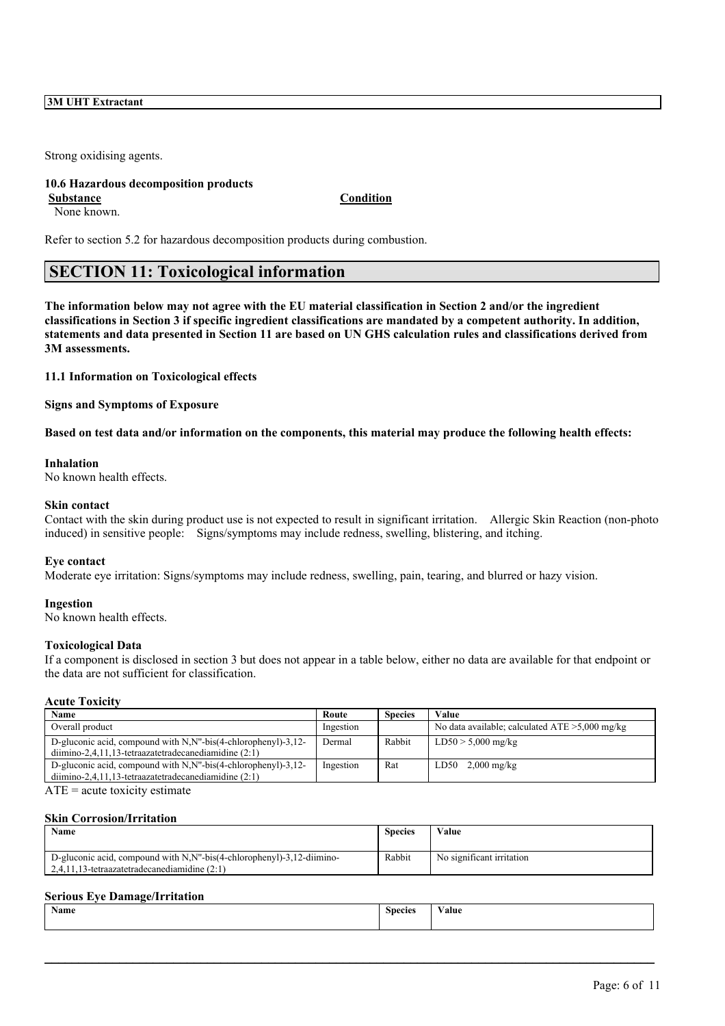Strong oxidising agents.

### **10.6 Hazardous decomposition products Substance Condition**

None known.

Refer to section 5.2 for hazardous decomposition products during combustion.

# **SECTION 11: Toxicological information**

The information below may not agree with the EU material classification in Section 2 and/or the ingredient classifications in Section 3 if specific ingredient classifications are mandated by a competent authority. In addition, statements and data presented in Section 11 are based on UN GHS calculation rules and classifications derived from **3M assessments.**

**11.1 Information on Toxicological effects**

**Signs and Symptoms of Exposure**

Based on test data and/or information on the components, this material may produce the following health effects:

#### **Inhalation**

No known health effects.

#### **Skin contact**

Contact with the skin during product use is not expected to result in significant irritation. Allergic Skin Reaction (non-photo induced) in sensitive people: Signs/symptoms may include redness, swelling, blistering, and itching.

#### **Eye contact**

Moderate eye irritation: Signs/symptoms may include redness, swelling, pain, tearing, and blurred or hazy vision.

#### **Ingestion**

No known health effects.

#### **Toxicological Data**

If a component is disclosed in section 3 but does not appear in a table below, either no data are available for that endpoint or the data are not sufficient for classification.

#### **Acute Toxicity**

| Name                                                            | Route     | <b>Species</b> | Value                                             |
|-----------------------------------------------------------------|-----------|----------------|---------------------------------------------------|
| Overall product                                                 | Ingestion |                | No data available; calculated $ATE > 5,000$ mg/kg |
| D-gluconic acid, compound with N, N''-bis(4-chlorophenyl)-3,12- | Dermal    | Rabbit         | $LD50 > 5,000$ mg/kg                              |
| $dimino-2,4,11,13-tetraazatetra decanediamidine (2:1)$          |           |                |                                                   |
| D-gluconic acid, compound with N, N''-bis(4-chlorophenyl)-3,12- | Ingestion | Rat            | $LD50$ 2,000 mg/kg                                |
| $dimino-2,4,11,13-tetraazatetra decanediamidine (2:1)$          |           |                |                                                   |

 $ATE = acute$  toxicity estimate

#### **Skin Corrosion/Irritation**

| Name                                                                                                                               | <b>Species</b> | Value                     |
|------------------------------------------------------------------------------------------------------------------------------------|----------------|---------------------------|
| D-gluconic acid, compound with N, N''-bis(4-chlorophenyl)-3,12-diimino-<br>$1, 2, 4, 11, 13$ -tetraazatetradecanediamidine $(2.1)$ | Rabbit         | No significant irritation |

#### **Serious Eye Damage/Irritation**

| $\mathbf{v}$<br>Name | <b>Species</b><br>. | alue/ |
|----------------------|---------------------|-------|
|                      |                     |       |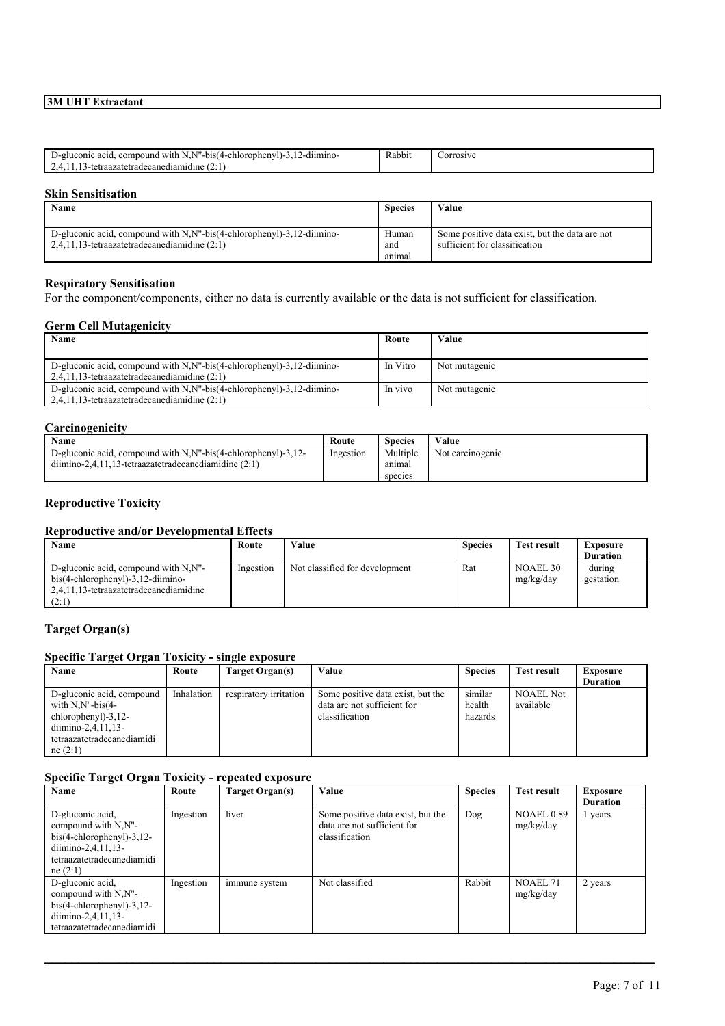| $\cdots$<br>. compound with N.N"-<br>$-bis(4)$<br>-chlorophenyl)-.<br>.12-d11m1no-<br>`acid.<br>D-gluconic<br>traazatetradecanediamidine | Rabbit | corrosive |
|------------------------------------------------------------------------------------------------------------------------------------------|--------|-----------|
| $\sim$                                                                                                                                   |        |           |
|                                                                                                                                          |        |           |

## **Skin Sensitisation**

| Name                                                                                                                         | <b>Species</b>         | Value                                                                           |  |  |  |
|------------------------------------------------------------------------------------------------------------------------------|------------------------|---------------------------------------------------------------------------------|--|--|--|
| D-gluconic acid, compound with N, N''-bis(4-chlorophenyl)-3,12-diimino-<br>$2.4.11.13$ -tetraazatetradecanediamidine $(2.1)$ | Human<br>and<br>animal | Some positive data exist, but the data are not<br>sufficient for classification |  |  |  |

## **Respiratory Sensitisation**

For the component/components, either no data is currently available or the data is not sufficient for classification.

### **Germ Cell Mutagenicity**

| Name<br>Route                                                           |  | Value         |
|-------------------------------------------------------------------------|--|---------------|
|                                                                         |  |               |
| D-gluconic acid, compound with N,N"-bis(4-chlorophenyl)-3,12-diimino-   |  | Not mutagenic |
| $2.4.11.13$ -tetraazatetradecanediamidine $(2.1)$                       |  |               |
| D-gluconic acid, compound with N, N''-bis(4-chlorophenyl)-3,12-diimino- |  | Not mutagenic |
| 2,4,11,13-tetraazatetradecanediamidine (2:1)                            |  |               |

## **Carcinogenicity**

| Name                                                             | Route     | Species  | Value            |
|------------------------------------------------------------------|-----------|----------|------------------|
| D-gluconic acid, compound with $N.N''-bis(4-chloropheny) -3,12-$ | Ingestion | Multiple | Not carcinogenic |
| $dimino-2,4,11,13-tetraazatetra decanediamidine (2:1)$           |           | anımal   |                  |
|                                                                  |           | species  |                  |

### **Reproductive Toxicity**

## **Reproductive and/or Developmental Effects**

| Name                                                                                                                           | Route     | Value                          | <b>Species</b> | <b>Test result</b>    | <b>Exposure</b>     |
|--------------------------------------------------------------------------------------------------------------------------------|-----------|--------------------------------|----------------|-----------------------|---------------------|
|                                                                                                                                |           |                                |                |                       | <b>Duration</b>     |
| D-gluconic acid, compound with N,N"-<br>$bis(4-chlorophenyl)-3,12-diimino-$<br>2,4,11,13-tetraazatetradecanediamidine<br>(2:1) | Ingestion | Not classified for development | Rat            | NOAEL 30<br>mg/kg/day | during<br>gestation |

## **Target Organ(s)**

## **Specific Target Organ Toxicity - single exposure**

| Name                                     | Route      | Target Organ(s)        | Value                             | <b>Species</b> | <b>Test result</b> | <b>Exposure</b> |
|------------------------------------------|------------|------------------------|-----------------------------------|----------------|--------------------|-----------------|
|                                          |            |                        |                                   |                |                    | <b>Duration</b> |
| D-gluconic acid, compound                | Inhalation | respiratory irritation | Some positive data exist, but the | similar        | <b>NOAEL Not</b>   |                 |
| with $N_{\rm A}N^{\prime\prime}$ -bis(4- |            |                        | data are not sufficient for       | health         | available          |                 |
| $chloropheny$ ] $-3,12-$                 |            |                        | classification                    | hazards        |                    |                 |
| diimino-2,4,11,13-                       |            |                        |                                   |                |                    |                 |
| tetraazatetradecanediamidi               |            |                        |                                   |                |                    |                 |
| ne(2:1)                                  |            |                        |                                   |                |                    |                 |

## **Specific Target Organ Toxicity - repeated exposure**

| Name                                                                                                                                     | Route     | Target Organ(s) | Value                                                                              | <b>Species</b> | <b>Test result</b>             | Exposure        |
|------------------------------------------------------------------------------------------------------------------------------------------|-----------|-----------------|------------------------------------------------------------------------------------|----------------|--------------------------------|-----------------|
|                                                                                                                                          |           |                 |                                                                                    |                |                                | <b>Duration</b> |
| D-gluconic acid,<br>compound with N,N"-<br>$bis(4-chloropheny) - 3, 12-$<br>diimino-2,4,11,13-<br>tetraazatetradecanediamidi<br>ne (2:1) | Ingestion | liver           | Some positive data exist, but the<br>data are not sufficient for<br>classification | Dog            | <b>NOAEL 0.89</b><br>mg/kg/day | 1 years         |
| D-gluconic acid,<br>compound with N,N"-<br>$bis(4-chlorophenyl)-3,12-$<br>diimino-2,4,11,13-<br>tetraazatetradecanediamidi               | Ingestion | immune system   | Not classified                                                                     | Rabbit         | NOAEL 71<br>mg/kg/day          | 2 years         |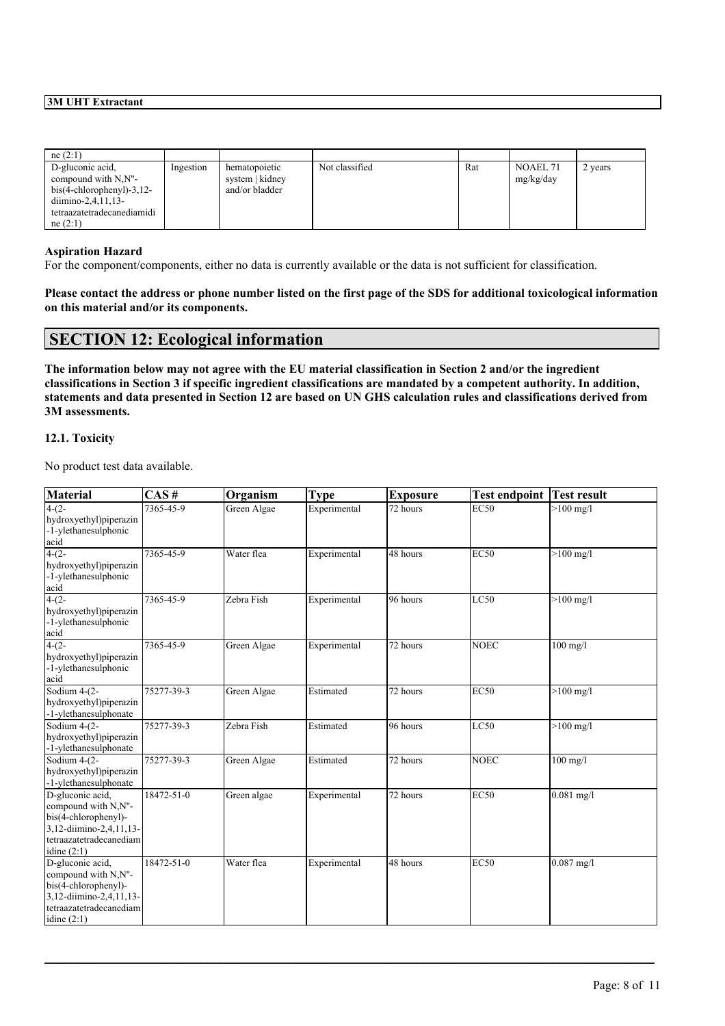| ne(2:1)                                                                                                                      |           |                                                    |                |     |                       |         |
|------------------------------------------------------------------------------------------------------------------------------|-----------|----------------------------------------------------|----------------|-----|-----------------------|---------|
| D-gluconic acid.<br>compound with N,N"-<br>$bis(4-chloropheny) - 3, 12-$<br>diimino-2,4,11,13-<br>tetraazatetradecanediamidi | Ingestion | hematopoietic<br>system   kidney<br>and/or bladder | Not classified | Rat | NOAEL 71<br>mg/kg/day | 2 years |
| ne(2:1)                                                                                                                      |           |                                                    |                |     |                       |         |

## **Aspiration Hazard**

For the component/components, either no data is currently available or the data is not sufficient for classification.

Please contact the address or phone number listed on the first page of the SDS for additional toxicological information **on this material and/or its components.**

## **SECTION 12: Ecological information**

The information below may not agree with the EU material classification in Section 2 and/or the ingredient classifications in Section 3 if specific ingredient classifications are mandated by a competent authority. In addition, statements and data presented in Section 12 are based on UN GHS calculation rules and classifications derived from **3M assessments.**

#### **12.1. Toxicity**

No product test data available.

| <b>Material</b>                                                                                                                        | CAS#       | Organism    | <b>Type</b>  | <b>Exposure</b> | <b>Test endpoint Test result</b> |              |
|----------------------------------------------------------------------------------------------------------------------------------------|------------|-------------|--------------|-----------------|----------------------------------|--------------|
| $4-(2-$<br>hydroxyethyl)piperazin<br>-1-ylethanesulphonic<br>acid                                                                      | 7365-45-9  | Green Algae | Experimental | 72 hours        | EC50                             | $>100$ mg/l  |
| $4-(2-$<br>hydroxyethyl)piperazin<br>-1-ylethanesulphonic<br>acid                                                                      | 7365-45-9  | Water flea  | Experimental | 48 hours        | <b>EC50</b>                      | $>100$ mg/l  |
| $4-(2-$<br>hydroxyethyl)piperazin<br>-1-ylethanesulphonic<br>acid                                                                      | 7365-45-9  | Zebra Fish  | Experimental | 96 hours        | LC50                             | $>100$ mg/l  |
| $4-(2-$<br>hydroxyethyl)piperazin<br>-1-ylethanesulphonic<br>acid                                                                      | 7365-45-9  | Green Algae | Experimental | 72 hours        | <b>NOEC</b>                      | $100$ mg/l   |
| Sodium 4-(2-<br>hydroxyethyl)piperazin<br>-1-ylethanesulphonate                                                                        | 75277-39-3 | Green Algae | Estimated    | 72 hours        | <b>EC50</b>                      | $>100$ mg/l  |
| Sodium 4-(2-<br>hydroxyethyl)piperazin<br>-1-ylethanesulphonate                                                                        | 75277-39-3 | Zebra Fish  | Estimated    | 96 hours        | LC50                             | $>100$ mg/l  |
| Sodium 4-(2-<br>hydroxyethyl)piperazin<br>-1-ylethanesulphonate                                                                        | 75277-39-3 | Green Algae | Estimated    | 72 hours        | <b>NOEC</b>                      | $100$ mg/l   |
| D-gluconic acid,<br>compound with N,N"-<br>bis(4-chlorophenyl)-<br>3,12-diimino-2,4,11,13-<br>tetraazatetradecanediam<br>idine $(2:1)$ | 18472-51-0 | Green algae | Experimental | 72 hours        | <b>EC50</b>                      | $0.081$ mg/l |
| D-gluconic acid,<br>compound with N,N"-<br>bis(4-chlorophenyl)-<br>3,12-diimino-2,4,11,13-<br>tetraazatetradecanediam<br>idine $(2:1)$ | 18472-51-0 | Water flea  | Experimental | 48 hours        | <b>EC50</b>                      | $0.087$ mg/l |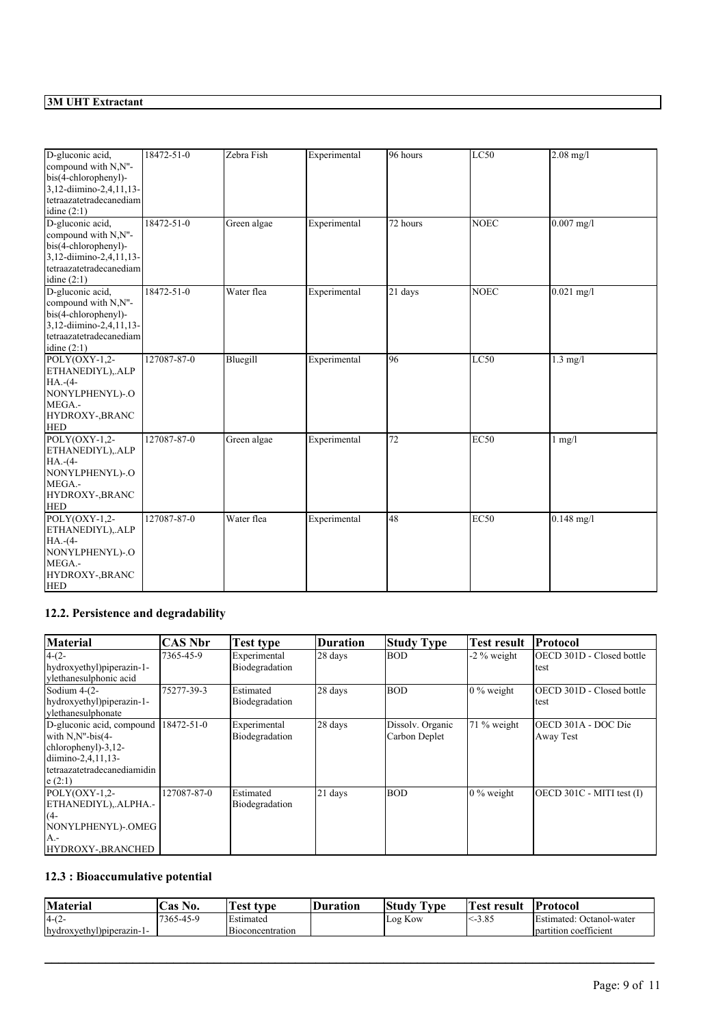| D-gluconic acid,<br>compound with N,N"-<br>bis(4-chlorophenyl)-<br>3,12-diimino-2,4,11,13-<br>tetraazatetradecanediam<br>idine $(2:1)$ | 18472-51-0  | Zebra Fish  | Experimental | 96 hours | LC50        | $2.08$ mg/l  |
|----------------------------------------------------------------------------------------------------------------------------------------|-------------|-------------|--------------|----------|-------------|--------------|
| D-gluconic acid,<br>compound with N,N"-<br>bis(4-chlorophenyl)-<br>3,12-diimino-2,4,11,13-<br>tetraazatetradecanediam<br>idine $(2:1)$ | 18472-51-0  | Green algae | Experimental | 72 hours | <b>NOEC</b> | $0.007$ mg/l |
| D-gluconic acid,<br>compound with N,N"-<br>bis(4-chlorophenyl)-<br>3,12-diimino-2,4,11,13-<br>tetraazatetradecanediam<br>idine $(2:1)$ | 18472-51-0  | Water flea  | Experimental | 21 days  | <b>NOEC</b> | $0.021$ mg/l |
| $POLY(OXY-1,2-$<br>ETHANEDIYL), ALP<br>$HA.-(4-$<br>NONYLPHENYL)-.O<br>MEGA.-<br>HYDROXY-, BRANC<br><b>HED</b>                         | 127087-87-0 | Bluegill    | Experimental | 96       | LC50        | $1.3$ mg/l   |
| $POLY(OXY-1,2-$<br>ETHANEDIYL), ALP<br>$HA.-(4-$<br>NONYLPHENYL)-.O<br>MEGA.-<br>HYDROXY-, BRANC<br><b>HED</b>                         | 127087-87-0 | Green algae | Experimental | 72       | <b>EC50</b> | $1$ mg/ $1$  |
| POLY(OXY-1,2-<br>ETHANEDIYL), ALP<br>$HA.-(4-$<br>NONYLPHENYL)-.O<br>MEGA.-<br>HYDROXY-, BRANC<br><b>HED</b>                           | 127087-87-0 | Water flea  | Experimental | 48       | <b>EC50</b> | $0.148$ mg/l |

# **12.2. Persistence and degradability**

| <b>Material</b>                      | <b>CAS Nbr</b> | Test type                      | Duration | <b>Study Type</b> | Test result                | Protocol                          |
|--------------------------------------|----------------|--------------------------------|----------|-------------------|----------------------------|-----------------------------------|
| $4-(2-$<br>hydroxyethyl)piperazin-1- | 7365-45-9      | Experimental<br>Biodegradation | 28 days  | <b>BOD</b>        | $-2\%$ weight              | OECD 301D - Closed bottle<br>test |
| ylethanesulphonic acid               |                |                                |          |                   |                            |                                   |
| Sodium $4-(2-$                       | 75277-39-3     | Estimated                      | 28 days  | <b>BOD</b>        | $\frac{10\%}{20\%}$ weight | <b>IOECD 301D - Closed bottle</b> |
| hydroxyethyl)piperazin-1-            |                | Biodegradation                 |          |                   |                            | test                              |
| vlethanesulphonate                   |                |                                |          |                   |                            |                                   |
| D-gluconic acid, compound            | 18472-51-0     | Experimental                   | 28 days  | Dissolv. Organic  | 71 % weight                | OECD 301A - DOC Die               |
| with $N.N''$ -bis(4-                 |                | Biodegradation                 |          | Carbon Deplet     |                            | Away Test                         |
| chlorophenyl)-3,12-                  |                |                                |          |                   |                            |                                   |
| diimino-2,4,11,13-                   |                |                                |          |                   |                            |                                   |
| tetraazatetradecanediamidin          |                |                                |          |                   |                            |                                   |
| e(2:1)                               |                |                                |          |                   |                            |                                   |
| $POLY(OXY-1,2-$                      | 127087-87-0    | Estimated                      | 21 days  | <b>BOD</b>        | $\frac{10\%}{20\%}$ weight | $[OECD 301C - MITI test (I)]$     |
| ETHANEDIYL), ALPHA.-                 |                | Biodegradation                 |          |                   |                            |                                   |
| $(4-$                                |                |                                |          |                   |                            |                                   |
| NONYLPHENYL)-.OMEG                   |                |                                |          |                   |                            |                                   |
| $A -$                                |                |                                |          |                   |                            |                                   |
| HYDROXY-, BRANCHED                   |                |                                |          |                   |                            |                                   |

# **12.3 : Bioaccumulative potential**

| Material                   | No.<br>$\mathsf{L}$ as " | Test.<br>: tvne  | Duration | $\sim$<br>Study<br>rv pe | `est<br>resul | <b>Protocol</b>                                      |
|----------------------------|--------------------------|------------------|----------|--------------------------|---------------|------------------------------------------------------|
| $-4-(2)$                   | 17365-45-9               | Estimated        |          | $-$<br>Log Kow           | $\leq 3.85$   | $\overline{\phantom{a}}$<br>Estimated: Octanol-water |
| - hydroxyethyl)piperazin-1 |                          | Bioconcentration |          |                          |               | $\sim$<br>I partition coefficient                    |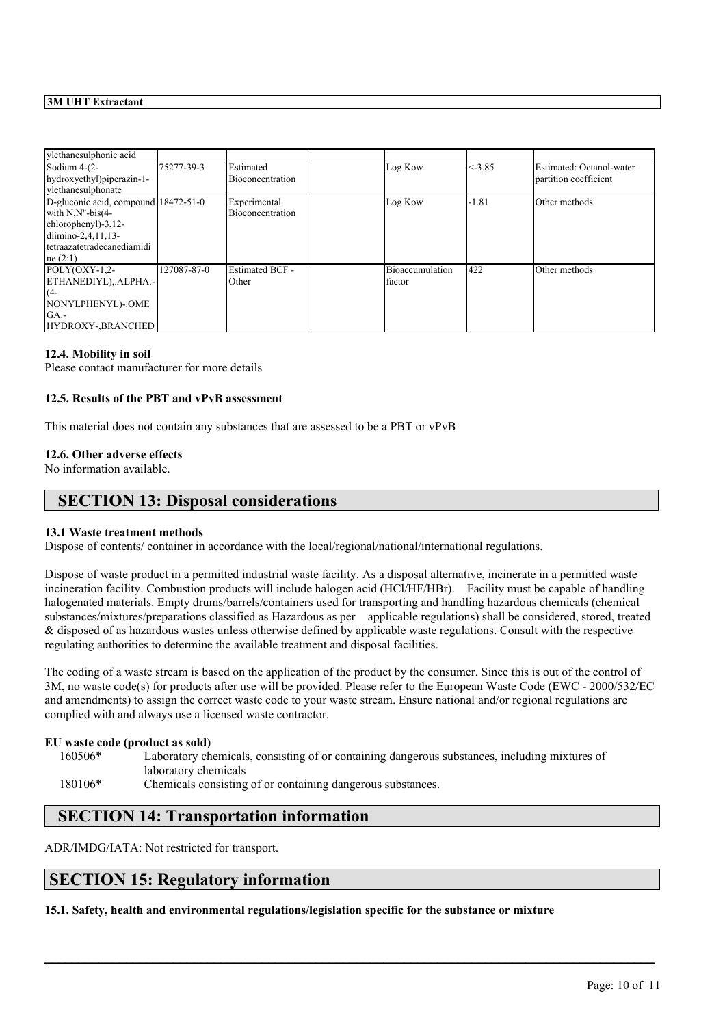| ylethanesulphonic acid                                                                                                                                     |             |                                  |                           |           |                                                   |
|------------------------------------------------------------------------------------------------------------------------------------------------------------|-------------|----------------------------------|---------------------------|-----------|---------------------------------------------------|
| Sodium $4-(2-$<br>hydroxyethyl) piperazin-1-<br>vlethanesulphonate                                                                                         | 75277-39-3  | Estimated<br>Bioconcentration    | Log Kow                   | $< -3.85$ | Estimated: Octanol-water<br>partition coefficient |
| D-gluconic acid, compound 18472-51-0<br>with $N.N''$ -bis $(4-$<br>chlorophenyl)-3,12-<br>$dimino-2, 4, 11, 13-$<br>tetraazatetradecanediamidi<br>ne (2:1) |             | Experimental<br>Bioconcentration | Log Kow                   | -1.81     | Other methods                                     |
| $POLY(OXY-1,2-$<br>ETHANEDIYL), ALPHA.-<br>$(4 -$<br>NONYLPHENYL)-.OME<br>GA.<br>HYDROXY-BRANCHED                                                          | 127087-87-0 | <b>Estimated BCF -</b><br>Other  | Bioaccumulation<br>factor | 422       | Other methods                                     |

#### **12.4. Mobility in soil**

Please contact manufacturer for more details

## **12.5. Results of the PBT and vPvB assessment**

This material does not contain any substances that are assessed to be a PBT or vPvB

#### **12.6. Other adverse effects**

No information available.

# **SECTION 13: Disposal considerations**

## **13.1 Waste treatment methods**

Dispose of contents/ container in accordance with the local/regional/national/international regulations.

Dispose of waste product in a permitted industrial waste facility. As a disposal alternative, incinerate in a permitted waste incineration facility. Combustion products will include halogen acid (HCl/HF/HBr). Facility must be capable of handling halogenated materials. Empty drums/barrels/containers used for transporting and handling hazardous chemicals (chemical substances/mixtures/preparations classified as Hazardous as per applicable regulations) shall be considered, stored, treated & disposed of as hazardous wastes unless otherwise defined by applicable waste regulations. Consult with the respective regulating authorities to determine the available treatment and disposal facilities.

The coding of a waste stream is based on the application of the product by the consumer. Since this is out of the control of 3M, no waste code(s) for products after use will be provided. Please refer to the European Waste Code (EWC - 2000/532/EC and amendments) to assign the correct waste code to your waste stream. Ensure national and/or regional regulations are complied with and always use a licensed waste contractor.

 $\mathcal{L}_\mathcal{L} = \mathcal{L}_\mathcal{L} = \mathcal{L}_\mathcal{L} = \mathcal{L}_\mathcal{L} = \mathcal{L}_\mathcal{L} = \mathcal{L}_\mathcal{L} = \mathcal{L}_\mathcal{L} = \mathcal{L}_\mathcal{L} = \mathcal{L}_\mathcal{L} = \mathcal{L}_\mathcal{L} = \mathcal{L}_\mathcal{L} = \mathcal{L}_\mathcal{L} = \mathcal{L}_\mathcal{L} = \mathcal{L}_\mathcal{L} = \mathcal{L}_\mathcal{L} = \mathcal{L}_\mathcal{L} = \mathcal{L}_\mathcal{L}$ 

#### **EU waste code (product as sold)**

160506\* Laboratory chemicals, consisting of or containing dangerous substances, including mixtures of laboratory chemicals

180106\* Chemicals consisting of or containing dangerous substances.

# **SECTION 14: Transportation information**

ADR/IMDG/IATA: Not restricted for transport.

# **SECTION 15: Regulatory information**

**15.1. Safety, health and environmental regulations/legislation specific for the substance or mixture**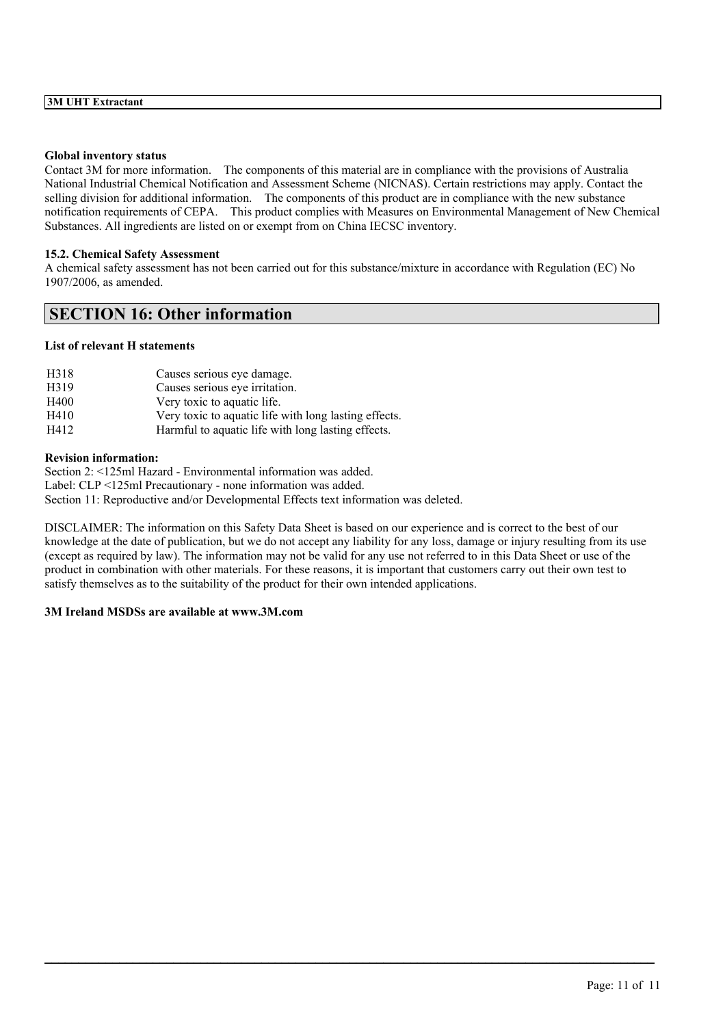#### **Global inventory status**

Contact 3M for more information. The components of this material are in compliance with the provisions of Australia National Industrial Chemical Notification and Assessment Scheme (NICNAS). Certain restrictions may apply. Contact the selling division for additional information. The components of this product are in compliance with the new substance notification requirements of CEPA. This product complies with Measures on Environmental Management of New Chemical Substances. All ingredients are listed on or exempt from on China IECSC inventory.

### **15.2. Chemical Safety Assessment**

A chemical safety assessment has not been carried out for this substance/mixture in accordance with Regulation (EC) No 1907/2006, as amended.

# **SECTION 16: Other information**

## **List of relevant H statements**

| H <sub>3</sub> 18 | Causes serious eve damage.                            |
|-------------------|-------------------------------------------------------|
| H <sub>3</sub> 19 | Causes serious eye irritation.                        |
| H400              | Very toxic to aquatic life.                           |
| H410              | Very toxic to aquatic life with long lasting effects. |
| H412              | Harmful to aquatic life with long lasting effects.    |

#### **Revision information:**

Section 2: <125ml Hazard - Environmental information was added. Label: CLP <125ml Precautionary - none information was added. Section 11: Reproductive and/or Developmental Effects text information was deleted.

DISCLAIMER: The information on this Safety Data Sheet is based on our experience and is correct to the best of our knowledge at the date of publication, but we do not accept any liability for any loss, damage or injury resulting from its use (except as required by law). The information may not be valid for any use not referred to in this Data Sheet or use of the product in combination with other materials. For these reasons, it is important that customers carry out their own test to satisfy themselves as to the suitability of the product for their own intended applications.

 $\mathcal{L}_\mathcal{L} = \mathcal{L}_\mathcal{L} = \mathcal{L}_\mathcal{L} = \mathcal{L}_\mathcal{L} = \mathcal{L}_\mathcal{L} = \mathcal{L}_\mathcal{L} = \mathcal{L}_\mathcal{L} = \mathcal{L}_\mathcal{L} = \mathcal{L}_\mathcal{L} = \mathcal{L}_\mathcal{L} = \mathcal{L}_\mathcal{L} = \mathcal{L}_\mathcal{L} = \mathcal{L}_\mathcal{L} = \mathcal{L}_\mathcal{L} = \mathcal{L}_\mathcal{L} = \mathcal{L}_\mathcal{L} = \mathcal{L}_\mathcal{L}$ 

#### **3M Ireland MSDSs are available at www.3M.com**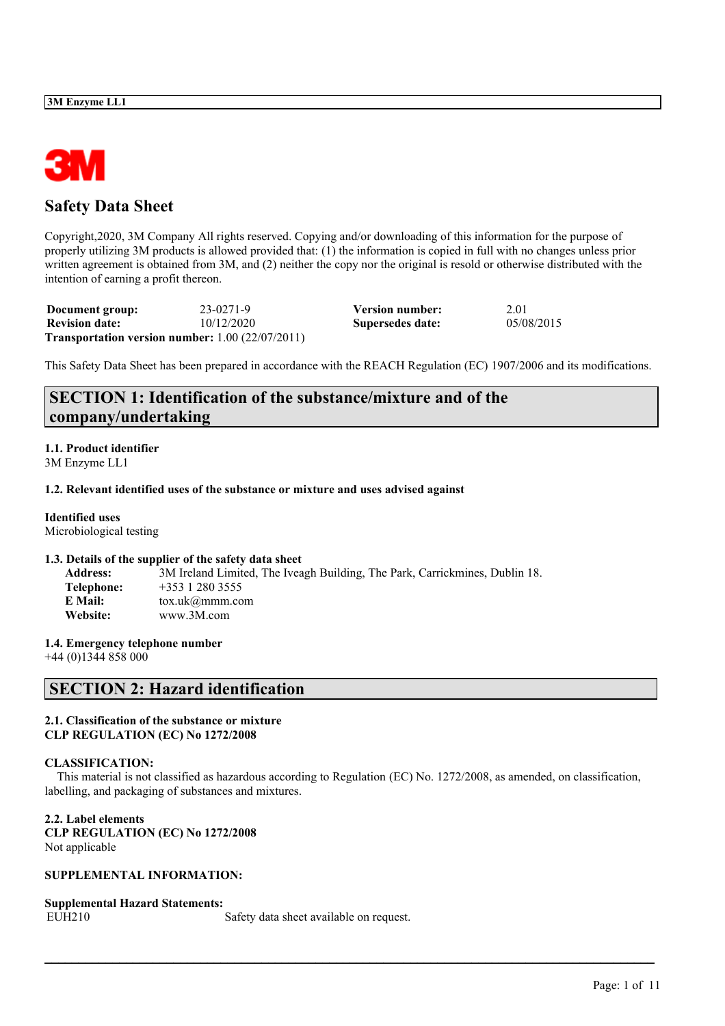

# **Safety Data Sheet**

Copyright,2020, 3M Company All rights reserved. Copying and/or downloading of this information for the purpose of properly utilizing 3M products is allowed provided that: (1) the information is copied in full with no changes unless prior written agreement is obtained from 3M, and (2) neither the copy nor the original is resold or otherwise distributed with the intention of earning a profit thereon.

| Document group:       | 23-0271-9                                                     | Version number:  | 2.01       |
|-----------------------|---------------------------------------------------------------|------------------|------------|
| <b>Revision date:</b> | 10/12/2020                                                    | Supersedes date: | 05/08/2015 |
|                       | <b>Transportation version number:</b> $1.00$ ( $22/07/2011$ ) |                  |            |

This Safety Data Sheet has been prepared in accordance with the REACH Regulation (EC) 1907/2006 and its modifications.

# **SECTION 1: Identification of the substance/mixture and of the company/undertaking**

# **1.1. Product identifier**

3M Enzyme LL1

## **1.2. Relevant identified uses of the substance or mixture and uses advised against**

## **Identified uses**

Microbiological testing

## **1.3. Details of the supplier of the safety data sheet**

| 3M Ireland Limited, The Iveagh Building, The Park, Carrickmines, Dublin 18. |
|-----------------------------------------------------------------------------|
| $+353$ 1 280 3555                                                           |
| $\text{tox.uk}(\alpha \text{mmm.com})$                                      |
| www.3M.com                                                                  |
|                                                                             |

## **1.4. Emergency telephone number**

+44 (0)1344 858 000

# **SECTION 2: Hazard identification**

## **2.1. Classification of the substance or mixture CLP REGULATION (EC) No 1272/2008**

## **CLASSIFICATION:**

This material is not classified as hazardous according to Regulation (EC) No. 1272/2008, as amended, on classification, labelling, and packaging of substances and mixtures.

 $\mathcal{L}_\mathcal{L} = \mathcal{L}_\mathcal{L} = \mathcal{L}_\mathcal{L} = \mathcal{L}_\mathcal{L} = \mathcal{L}_\mathcal{L} = \mathcal{L}_\mathcal{L} = \mathcal{L}_\mathcal{L} = \mathcal{L}_\mathcal{L} = \mathcal{L}_\mathcal{L} = \mathcal{L}_\mathcal{L} = \mathcal{L}_\mathcal{L} = \mathcal{L}_\mathcal{L} = \mathcal{L}_\mathcal{L} = \mathcal{L}_\mathcal{L} = \mathcal{L}_\mathcal{L} = \mathcal{L}_\mathcal{L} = \mathcal{L}_\mathcal{L}$ 

## **2.2. Label elements**

**CLP REGULATION (EC) No 1272/2008** Not applicable

## **SUPPLEMENTAL INFORMATION:**

## **Supplemental Hazard Statements:**

EUH210 Safety data sheet available on request.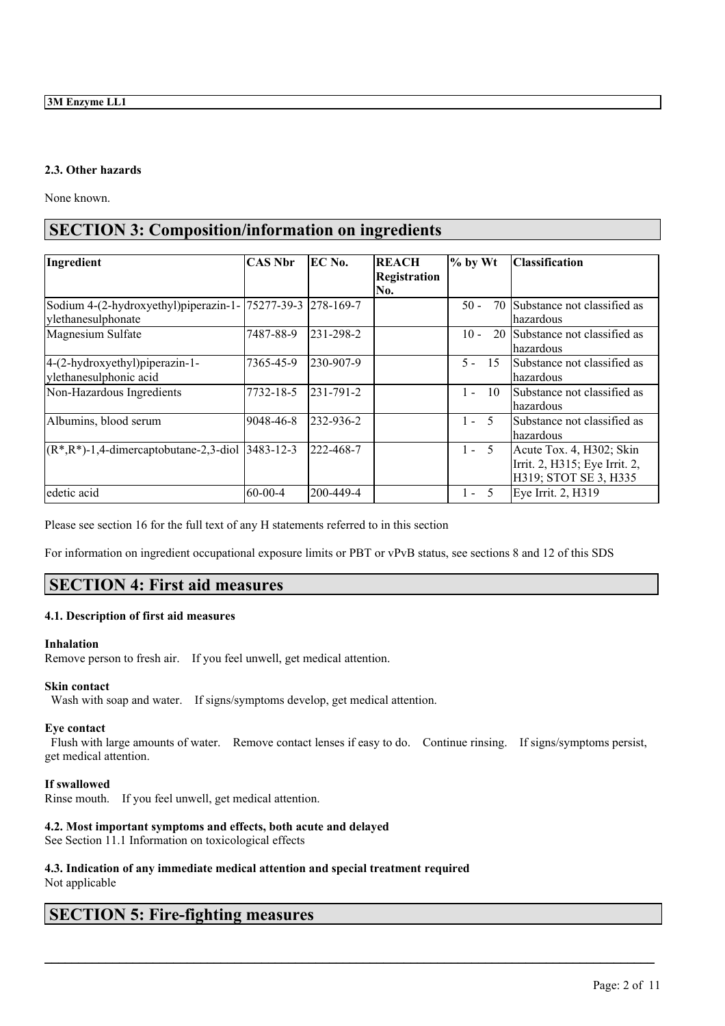## **2.3. Other hazards**

None known.

# **SECTION 3: Composition/information on ingredients**

| Ingredient                                                   | <b>CAS Nbr</b> | EC No.            | <b>REACH</b>        | $%$ by Wt        | <b>Classification</b>          |
|--------------------------------------------------------------|----------------|-------------------|---------------------|------------------|--------------------------------|
|                                                              |                |                   | <b>Registration</b> |                  |                                |
|                                                              |                |                   | No.                 |                  |                                |
| Sodium 4-(2-hydroxyethyl)piperazin-1-  75277-39-3  278-169-7 |                |                   |                     | $50 -$<br>70     | Substance not classified as    |
| ylethanesulphonate                                           |                |                   |                     |                  | lhazardous                     |
| Magnesium Sulfate                                            | 7487-88-9      | $ 231 - 298 - 2 $ |                     | $10 -$           | 20 Substance not classified as |
|                                                              |                |                   |                     |                  | lhazardous                     |
| 4-(2-hydroxyethyl)piperazin-1-                               | 7365-45-9      | 230-907-9         |                     | $5 - 15$         | Substance not classified as    |
| ylethanesulphonic acid                                       |                |                   |                     |                  | lhazardous                     |
| Non-Hazardous Ingredients                                    | 7732-18-5      | $ 231 - 791 - 2 $ |                     | $1 -$<br>10      | Substance not classified as    |
|                                                              |                |                   |                     |                  | lhazardous                     |
| Albumins, blood serum                                        | 9048-46-8      | 232-936-2         |                     | $1 -$<br>$\zeta$ | Substance not classified as    |
|                                                              |                |                   |                     |                  | lhazardous                     |
| $(R^*, R^*)$ -1,4-dimercaptobutane-2,3-diol 3483-12-3        |                | 222-468-7         |                     | $1 - 5$          | Acute Tox. 4, H302; Skin       |
|                                                              |                |                   |                     |                  | Irrit. 2, H315; Eye Irrit. 2,  |
|                                                              |                |                   |                     |                  | H319; STOT SE 3, H335          |
| edetic acid                                                  | $ 60-00-4 $    | 200-449-4         |                     | $1 - 5$          | Eye Irrit. 2, H319             |

Please see section 16 for the full text of any H statements referred to in this section

For information on ingredient occupational exposure limits or PBT or vPvB status, see sections 8 and 12 of this SDS

# **SECTION 4: First aid measures**

## **4.1. Description of first aid measures**

## **Inhalation**

Remove person to fresh air. If you feel unwell, get medical attention.

## **Skin contact**

Wash with soap and water. If signs/symptoms develop, get medical attention.

## **Eye contact**

Flush with large amounts of water. Remove contact lenses if easy to do. Continue rinsing. If signs/symptoms persist, get medical attention.

 $\mathcal{L}_\mathcal{L} = \mathcal{L}_\mathcal{L} = \mathcal{L}_\mathcal{L} = \mathcal{L}_\mathcal{L} = \mathcal{L}_\mathcal{L} = \mathcal{L}_\mathcal{L} = \mathcal{L}_\mathcal{L} = \mathcal{L}_\mathcal{L} = \mathcal{L}_\mathcal{L} = \mathcal{L}_\mathcal{L} = \mathcal{L}_\mathcal{L} = \mathcal{L}_\mathcal{L} = \mathcal{L}_\mathcal{L} = \mathcal{L}_\mathcal{L} = \mathcal{L}_\mathcal{L} = \mathcal{L}_\mathcal{L} = \mathcal{L}_\mathcal{L}$ 

## **If swallowed**

Rinse mouth. If you feel unwell, get medical attention.

## **4.2. Most important symptoms and effects, both acute and delayed**

See Section 11.1 Information on toxicological effects

# **4.3. Indication of any immediate medical attention and special treatment required**

Not applicable

# **SECTION 5: Fire-fighting measures**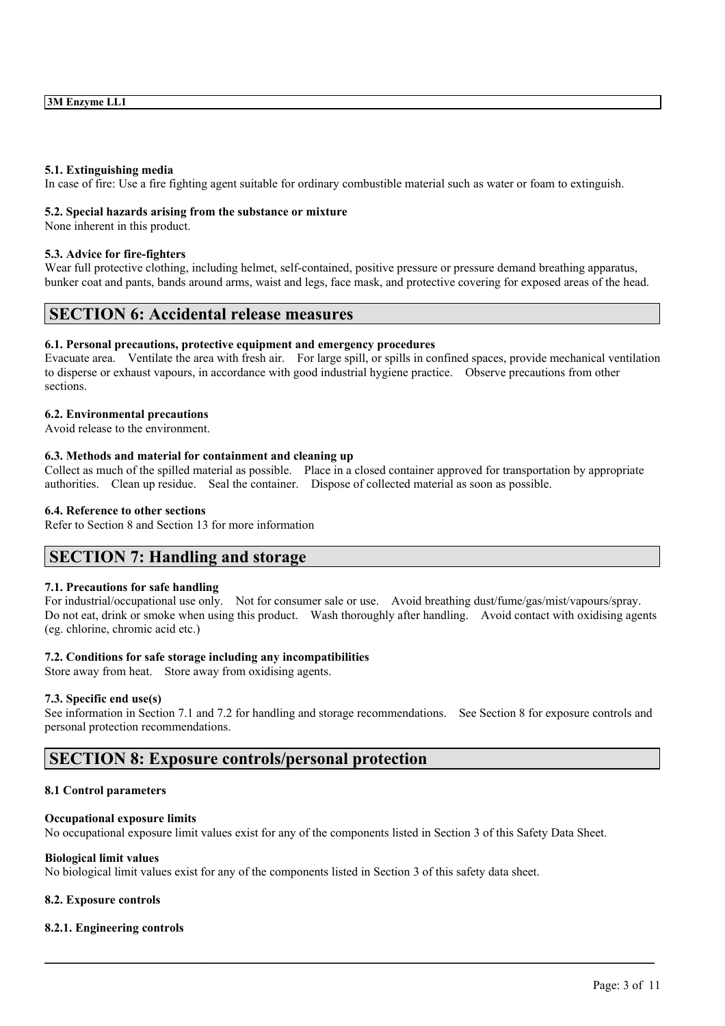#### **5.1. Extinguishing media**

In case of fire: Use a fire fighting agent suitable for ordinary combustible material such as water or foam to extinguish.

#### **5.2. Special hazards arising from the substance or mixture**

None inherent in this product.

### **5.3. Advice for fire-fighters**

Wear full protective clothing, including helmet, self-contained, positive pressure or pressure demand breathing apparatus, bunker coat and pants, bands around arms, waist and legs, face mask, and protective covering for exposed areas of the head.

# **SECTION 6: Accidental release measures**

#### **6.1. Personal precautions, protective equipment and emergency procedures**

Evacuate area. Ventilate the area with fresh air. For large spill, or spills in confined spaces, provide mechanical ventilation to disperse or exhaust vapours, in accordance with good industrial hygiene practice. Observe precautions from other sections.

#### **6.2. Environmental precautions**

Avoid release to the environment.

## **6.3. Methods and material for containment and cleaning up**

Collect as much of the spilled material as possible. Place in a closed container approved for transportation by appropriate authorities. Clean up residue. Seal the container. Dispose of collected material as soon as possible.

#### **6.4. Reference to other sections**

Refer to Section 8 and Section 13 for more information

## **SECTION 7: Handling and storage**

## **7.1. Precautions for safe handling**

For industrial/occupational use only. Not for consumer sale or use. Avoid breathing dust/fume/gas/mist/vapours/spray. Do not eat, drink or smoke when using this product. Wash thoroughly after handling. Avoid contact with oxidising agents (eg. chlorine, chromic acid etc.)

## **7.2. Conditions for safe storage including any incompatibilities**

Store away from heat. Store away from oxidising agents.

#### **7.3. Specific end use(s)**

See information in Section 7.1 and 7.2 for handling and storage recommendations. See Section 8 for exposure controls and personal protection recommendations.

 $\mathcal{L}_\mathcal{L} = \mathcal{L}_\mathcal{L} = \mathcal{L}_\mathcal{L} = \mathcal{L}_\mathcal{L} = \mathcal{L}_\mathcal{L} = \mathcal{L}_\mathcal{L} = \mathcal{L}_\mathcal{L} = \mathcal{L}_\mathcal{L} = \mathcal{L}_\mathcal{L} = \mathcal{L}_\mathcal{L} = \mathcal{L}_\mathcal{L} = \mathcal{L}_\mathcal{L} = \mathcal{L}_\mathcal{L} = \mathcal{L}_\mathcal{L} = \mathcal{L}_\mathcal{L} = \mathcal{L}_\mathcal{L} = \mathcal{L}_\mathcal{L}$ 

## **SECTION 8: Exposure controls/personal protection**

#### **8.1 Control parameters**

## **Occupational exposure limits**

No occupational exposure limit values exist for any of the components listed in Section 3 of this Safety Data Sheet.

## **Biological limit values**

No biological limit values exist for any of the components listed in Section 3 of this safety data sheet.

## **8.2. Exposure controls**

## **8.2.1. Engineering controls**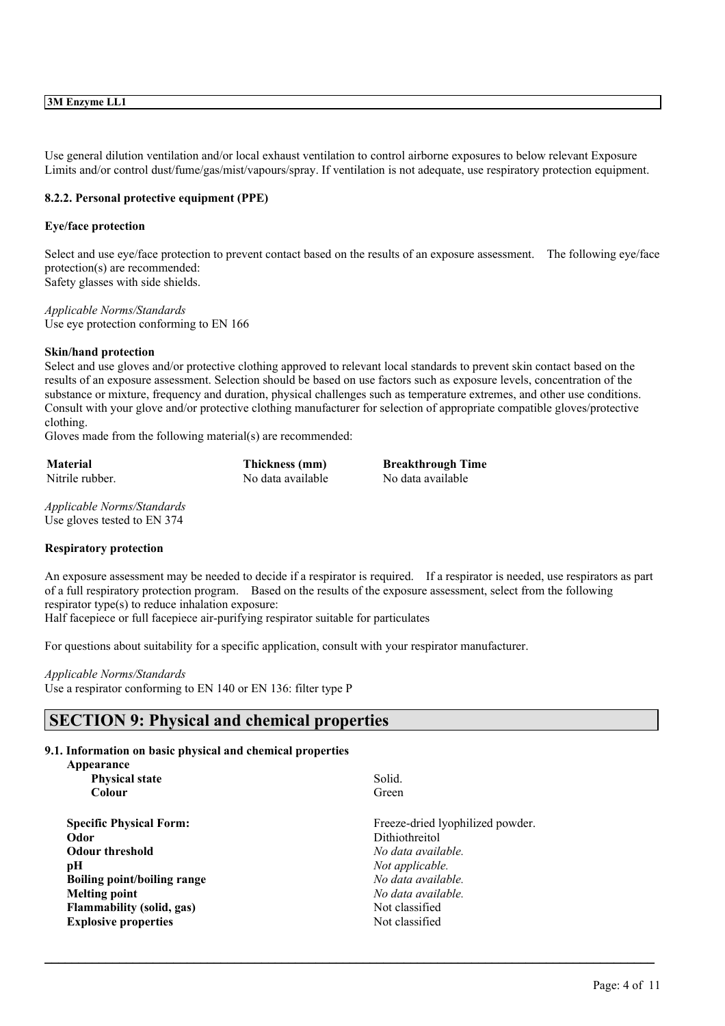### **3M Enzyme LL1**

Use general dilution ventilation and/or local exhaust ventilation to control airborne exposures to below relevant Exposure Limits and/or control dust/fume/gas/mist/vapours/spray. If ventilation is not adequate, use respiratory protection equipment.

#### **8.2.2. Personal protective equipment (PPE)**

#### **Eye/face protection**

Select and use eye/face protection to prevent contact based on the results of an exposure assessment. The following eye/face protection(s) are recommended: Safety glasses with side shields.

*Applicable Norms/Standards* Use eye protection conforming to EN 166

#### **Skin/hand protection**

Select and use gloves and/or protective clothing approved to relevant local standards to prevent skin contact based on the results of an exposure assessment. Selection should be based on use factors such as exposure levels, concentration of the substance or mixture, frequency and duration, physical challenges such as temperature extremes, and other use conditions. Consult with your glove and/or protective clothing manufacturer for selection of appropriate compatible gloves/protective clothing.

Gloves made from the following material(s) are recommended:

| Material        | Thickness (mm)    |
|-----------------|-------------------|
| Nitrile rubber. | No data available |

**Material Thickness (mm) Breakthrough Time** No data available

*Applicable Norms/Standards* Use gloves tested to EN 374

#### **Respiratory protection**

An exposure assessment may be needed to decide if a respirator is required. If a respirator is needed, use respirators as part of a full respiratory protection program. Based on the results of the exposure assessment, select from the following respirator type(s) to reduce inhalation exposure:

 $\mathcal{L}_\mathcal{L} = \mathcal{L}_\mathcal{L} = \mathcal{L}_\mathcal{L} = \mathcal{L}_\mathcal{L} = \mathcal{L}_\mathcal{L} = \mathcal{L}_\mathcal{L} = \mathcal{L}_\mathcal{L} = \mathcal{L}_\mathcal{L} = \mathcal{L}_\mathcal{L} = \mathcal{L}_\mathcal{L} = \mathcal{L}_\mathcal{L} = \mathcal{L}_\mathcal{L} = \mathcal{L}_\mathcal{L} = \mathcal{L}_\mathcal{L} = \mathcal{L}_\mathcal{L} = \mathcal{L}_\mathcal{L} = \mathcal{L}_\mathcal{L}$ 

Half facepiece or full facepiece air-purifying respirator suitable for particulates

For questions about suitability for a specific application, consult with your respirator manufacturer.

#### *Applicable Norms/Standards* Use a respirator conforming to EN 140 or EN 136: filter type P

# **SECTION 9: Physical and chemical properties**

## **9.1. Information on basic physical and chemical properties**

| Appearance                       |                                  |
|----------------------------------|----------------------------------|
| <b>Physical state</b>            | Solid.                           |
| Colour                           | Green                            |
| <b>Specific Physical Form:</b>   | Freeze-dried lyophilized powder. |
| Odor                             | Dithiothreitol                   |
| <b>Odour threshold</b>           | No data available.               |
| pН                               | Not applicable.                  |
| Boiling point/boiling range      | No data available.               |
| <b>Melting point</b>             | No data available.               |
| <b>Flammability (solid, gas)</b> | Not classified                   |
| <b>Explosive properties</b>      | Not classified                   |
|                                  |                                  |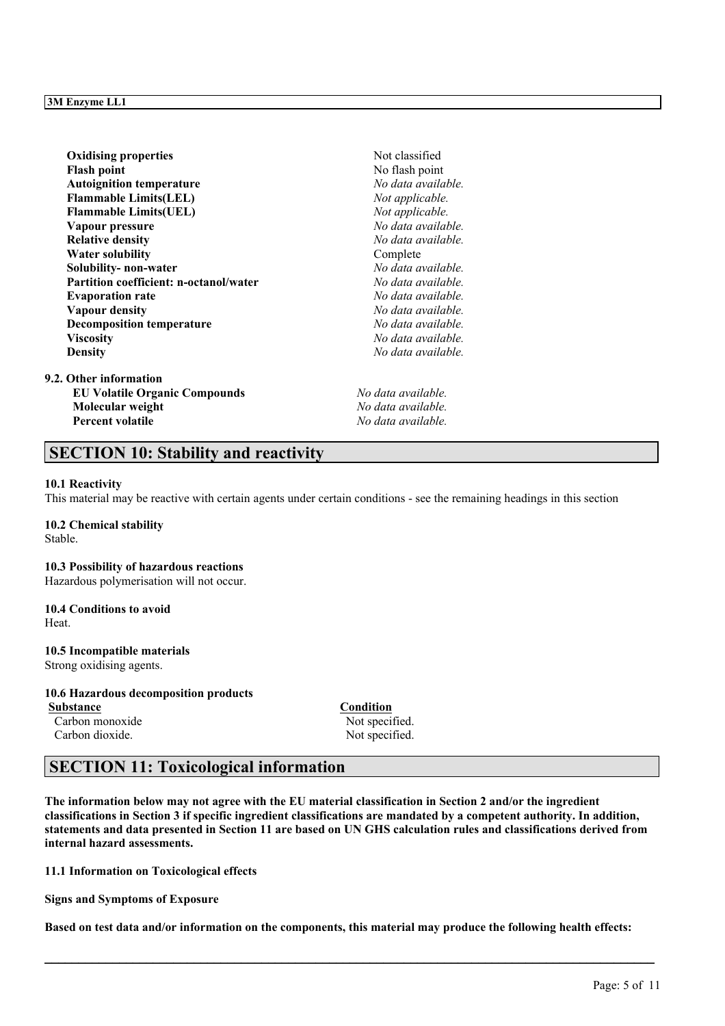| <b>Oxidising properties</b>                   | Not classified     |
|-----------------------------------------------|--------------------|
| <b>Flash point</b>                            | No flash point     |
| <b>Autoignition temperature</b>               | No data available. |
| <b>Flammable Limits(LEL)</b>                  | Not applicable.    |
| <b>Flammable Limits(UEL)</b>                  | Not applicable.    |
| Vapour pressure                               | No data available. |
| <b>Relative density</b>                       | No data available. |
| <b>Water solubility</b>                       | Complete           |
| Solubility- non-water                         | No data available. |
| <b>Partition coefficient: n-octanol/water</b> | No data available. |
| <b>Evaporation rate</b>                       | No data available. |
| Vapour density                                | No data available. |
| <b>Decomposition temperature</b>              | No data available. |
| <b>Viscosity</b>                              | No data available. |
| <b>Density</b>                                | No data available. |
| 9.2. Other information                        |                    |
| <b>EU Volatile Organic Compounds</b>          | No data available. |
| Molecular weight                              | No data available. |
| <b>Percent volatile</b>                       | No data available. |

# **SECTION 10: Stability and reactivity**

#### **10.1 Reactivity**

This material may be reactive with certain agents under certain conditions - see the remaining headings in this section

**10.2 Chemical stability** Stable.

#### **10.3 Possibility of hazardous reactions**

Hazardous polymerisation will not occur.

## **10.4 Conditions to avoid**

Heat.

## **10.5 Incompatible materials**

Strong oxidising agents.

## **10.6 Hazardous decomposition products**

**Substance Condition** Carbon monoxide Not specified. Carbon dioxide. Not specified.

# **SECTION 11: Toxicological information**

The information below may not agree with the EU material classification in Section 2 and/or the ingredient classifications in Section 3 if specific ingredient classifications are mandated by a competent authority. In addition, statements and data presented in Section 11 are based on UN GHS calculation rules and classifications derived from **internal hazard assessments.**

**11.1 Information on Toxicological effects**

**Signs and Symptoms of Exposure**

Based on test data and/or information on the components, this material may produce the following health effects: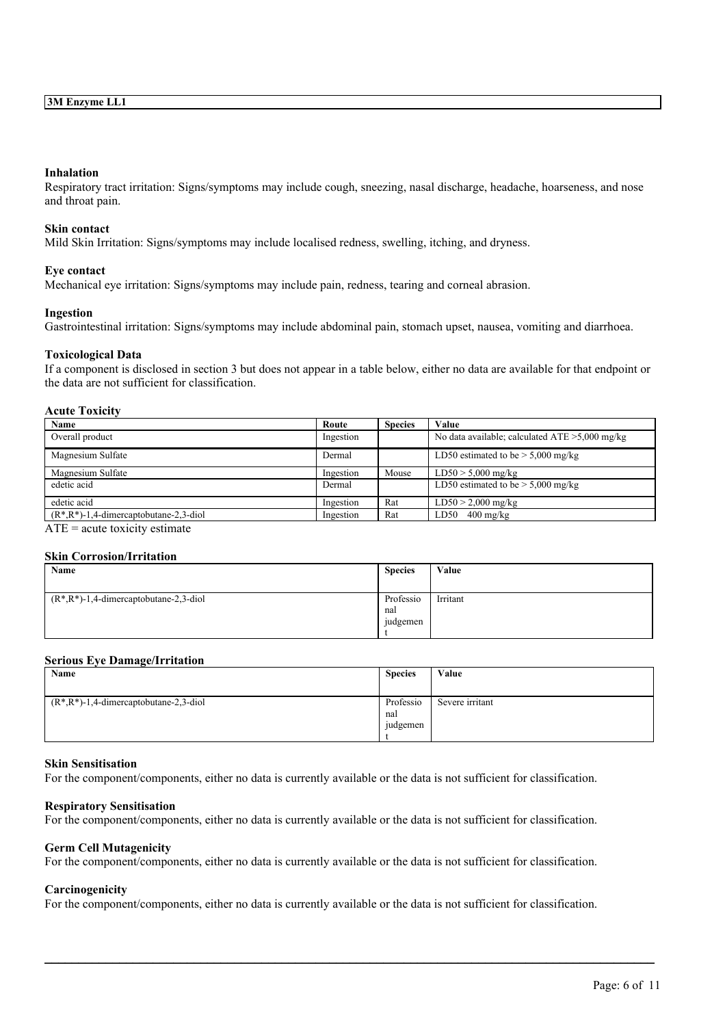### **Inhalation**

Respiratory tract irritation: Signs/symptoms may include cough, sneezing, nasal discharge, headache, hoarseness, and nose and throat pain.

#### **Skin contact**

Mild Skin Irritation: Signs/symptoms may include localised redness, swelling, itching, and dryness.

#### **Eye contact**

Mechanical eye irritation: Signs/symptoms may include pain, redness, tearing and corneal abrasion.

#### **Ingestion**

Gastrointestinal irritation: Signs/symptoms may include abdominal pain, stomach upset, nausea, vomiting and diarrhoea.

#### **Toxicological Data**

If a component is disclosed in section 3 but does not appear in a table below, either no data are available for that endpoint or the data are not sufficient for classification.

## **Acute Toxicity**

| Name                                        | Route     | <b>Species</b> | Value                                             |
|---------------------------------------------|-----------|----------------|---------------------------------------------------|
| Overall product                             | Ingestion |                | No data available; calculated $ATE > 5,000$ mg/kg |
| Magnesium Sulfate                           | Dermal    |                | LD50 estimated to be $>$ 5,000 mg/kg              |
| Magnesium Sulfate                           | Ingestion | Mouse          | $LD50 > 5,000$ mg/kg                              |
| edetic acid                                 | Dermal    |                | LD50 estimated to be $> 5,000$ mg/kg              |
| edetic acid                                 | Ingestion | Rat            | $LD50 > 2,000$ mg/kg                              |
| $(R^*, R^*)$ -1,4-dimercaptobutane-2,3-diol | Ingestion | Rat            | $LD50$ 400 mg/kg                                  |

 $ATE = acute$  toxicity estimate

#### **Skin Corrosion/Irritation**

| Name                                        | <b>Species</b> | Value    |
|---------------------------------------------|----------------|----------|
|                                             |                |          |
| $(R^*, R^*)$ -1,4-dimercaptobutane-2,3-diol | Professio      | Irritant |
|                                             | nal            |          |
|                                             | judgemen       |          |
|                                             |                |          |

#### **Serious Eye Damage/Irritation**

| Name                                        | <b>Species</b>               | Value           |
|---------------------------------------------|------------------------------|-----------------|
| $(R^*, R^*)$ -1,4-dimercaptobutane-2,3-diol | Professio<br>nal<br>judgemen | Severe irritant |

#### **Skin Sensitisation**

For the component/components, either no data is currently available or the data is not sufficient for classification.

#### **Respiratory Sensitisation**

For the component/components, either no data is currently available or the data is not sufficient for classification.

#### **Germ Cell Mutagenicity**

For the component/components, either no data is currently available or the data is not sufficient for classification.

## **Carcinogenicity**

For the component/components, either no data is currently available or the data is not sufficient for classification.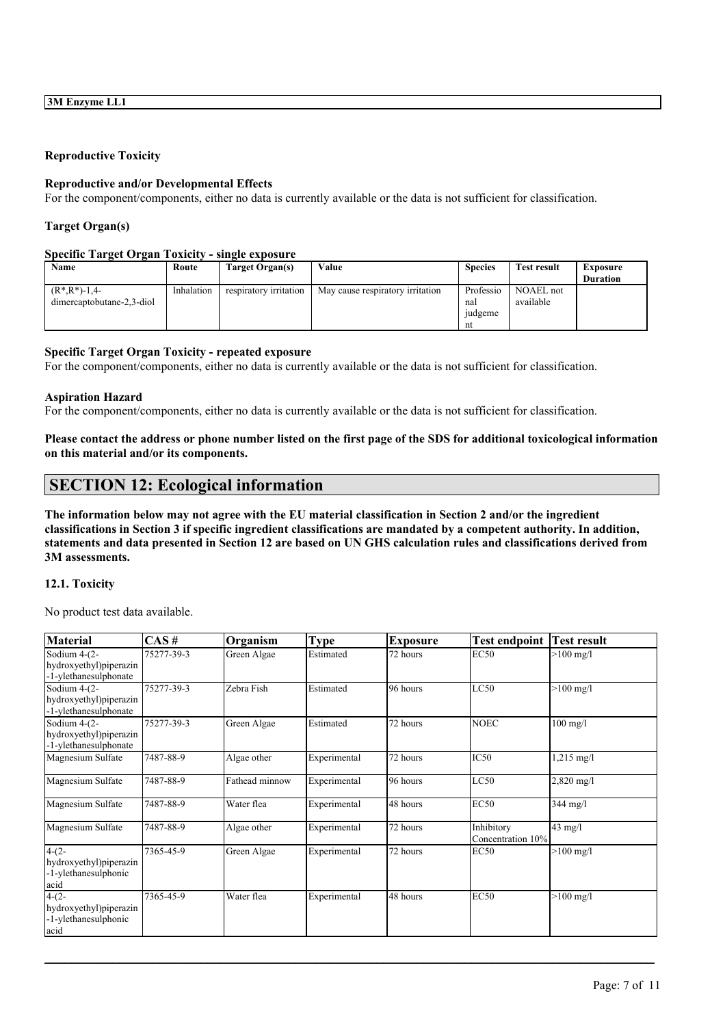## **Reproductive Toxicity**

#### **Reproductive and/or Developmental Effects**

For the component/components, either no data is currently available or the data is not sufficient for classification.

## **Target Organ(s)**

#### **Specific Target Organ Toxicity - single exposure**

| Name                                            | Route      | Target Organ(s)        | Value                            | <b>Species</b>                    | <b>Test result</b>     | <b>Exposure</b><br><b>Duration</b> |
|-------------------------------------------------|------------|------------------------|----------------------------------|-----------------------------------|------------------------|------------------------------------|
| $(R^*, R^*)$ -1,4-<br>dimercaptobutane-2,3-diol | Inhalation | respiratory irritation | May cause respiratory irritation | Professio<br>nal<br>judgeme<br>nt | NOAEL not<br>available |                                    |

### **Specific Target Organ Toxicity - repeated exposure**

For the component/components, either no data is currently available or the data is not sufficient for classification.

#### **Aspiration Hazard**

For the component/components, either no data is currently available or the data is not sufficient for classification.

Please contact the address or phone number listed on the first page of the SDS for additional toxicological information **on this material and/or its components.**

# **SECTION 12: Ecological information**

The information below may not agree with the EU material classification in Section 2 and/or the ingredient classifications in Section 3 if specific ingredient classifications are mandated by a competent authority. In addition, statements and data presented in Section 12 are based on UN GHS calculation rules and classifications derived from **3M assessments.**

## **12.1. Toxicity**

No product test data available.

| <b>Material</b>                                 | $\overline{CAS}$ # | Organism       | <b>Type</b>  | <b>Exposure</b> | <b>Test endpoint</b> | <b>Test result</b>  |
|-------------------------------------------------|--------------------|----------------|--------------|-----------------|----------------------|---------------------|
| Sodium 4-(2-                                    | 75277-39-3         | Green Algae    | Estimated    | 72 hours        | <b>EC50</b>          | $>100 \text{ mg/l}$ |
| hydroxyethyl)piperazin<br>-1-ylethanesulphonate |                    |                |              |                 |                      |                     |
| Sodium $4-(2-$                                  | 75277-39-3         | Zebra Fish     | Estimated    | 96 hours        | LC50                 | $>100$ mg/l         |
| hydroxyethyl) piperazin                         |                    |                |              |                 |                      |                     |
| -1-ylethanesulphonate                           |                    |                |              |                 |                      |                     |
| Sodium 4-(2-                                    | 75277-39-3         | Green Algae    | Estimated    | 72 hours        | <b>NOEC</b>          | $100$ mg/l          |
| hydroxyethyl)piperazin<br>-1-ylethanesulphonate |                    |                |              |                 |                      |                     |
| Magnesium Sulfate                               | 7487-88-9          | Algae other    | Experimental | 72 hours        | IC50                 | $1,215$ mg/l        |
| Magnesium Sulfate                               | 7487-88-9          | Fathead minnow | Experimental | 96 hours        | LC50                 | $2,820$ mg/l        |
| Magnesium Sulfate                               | 7487-88-9          | Water flea     | Experimental | 48 hours        | <b>EC50</b>          | $344$ mg/l          |
| Magnesium Sulfate                               | 7487-88-9          | Algae other    | Experimental | 72 hours        | Inhibitory           | $43 \text{ mg/l}$   |
|                                                 |                    |                |              |                 | Concentration 10%    |                     |
| $4-(2-$                                         | 7365-45-9          | Green Algae    | Experimental | 72 hours        | EC50                 | $>100$ mg/l         |
| hydroxyethyl) piperazin<br>-1-ylethanesulphonic |                    |                |              |                 |                      |                     |
| acid                                            |                    |                |              |                 |                      |                     |
| $4-(2-$                                         | 7365-45-9          | Water flea     | Experimental | 48 hours        | <b>EC50</b>          | $>100 \text{ mg/l}$ |
| hydroxyethyl) piperazin                         |                    |                |              |                 |                      |                     |
| -1-ylethanesulphonic                            |                    |                |              |                 |                      |                     |
| acid                                            |                    |                |              |                 |                      |                     |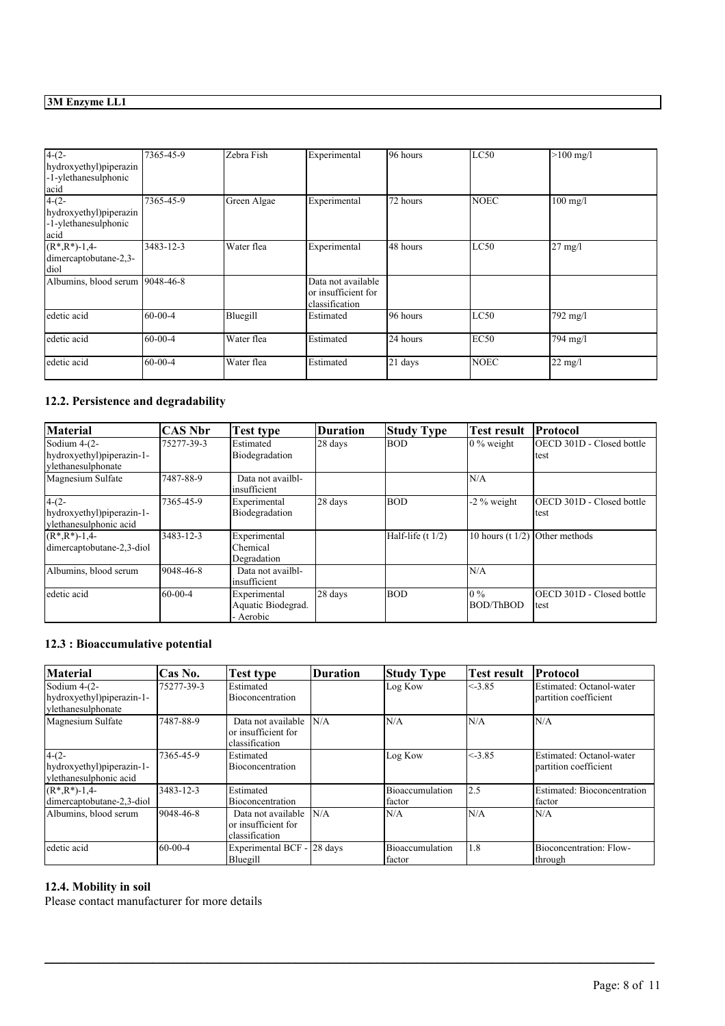# **3M Enzyme LL1**

| $4-(2-$<br>hydroxyethyl)piperazin<br>-1-ylethanesulphonic<br>acid  | 7365-45-9 | Zebra Fish  | Experimental                                                | 196 hours | LC50        | $>100$ mg/l       |
|--------------------------------------------------------------------|-----------|-------------|-------------------------------------------------------------|-----------|-------------|-------------------|
| $4-(2-$<br>hydroxyethyl) piperazin<br>-1-ylethanesulphonic<br>acid | 7365-45-9 | Green Algae | Experimental                                                | 72 hours  | <b>NOEC</b> | $100$ mg/l        |
| $(R^*, R^*)$ -1,4-<br>dimercaptobutane-2,3-<br>diol                | 3483-12-3 | Water flea  | Experimental                                                | 48 hours  | LC50        | $27$ mg/l         |
| Albumins, blood serum 9048-46-8                                    |           |             | Data not available<br>or insufficient for<br>classification |           |             |                   |
| edetic acid                                                        | 60-00-4   | Bluegill    | Estimated                                                   | 196 hours | LC50        | 792 mg/l          |
| edetic acid                                                        | 60-00-4   | Water flea  | Estimated                                                   | 24 hours  | EC50        | 794 mg/l          |
| edetic acid                                                        | 60-00-4   | Water flea  | Estimated                                                   | $21$ days | <b>NOEC</b> | $22 \text{ mg/l}$ |

## **12.2. Persistence and degradability**

| <b>Material</b>                                                   | CAS Nbr    | Test type                                       | Duration | <b>Study Type</b>   | <b>Test result</b>               | Protocol                          |
|-------------------------------------------------------------------|------------|-------------------------------------------------|----------|---------------------|----------------------------------|-----------------------------------|
| Sodium $4-(2-$<br>hydroxyethyl)piperazin-1-<br>vlethanesulphonate | 75277-39-3 | Estimated<br>Biodegradation                     | 28 days  | <b>BOD</b>          | $\frac{10\%}{20\%}$ weight       | OECD 301D - Closed bottle<br>test |
| Magnesium Sulfate                                                 | 7487-88-9  | Data not availbl-<br>insufficient               |          |                     | N/A                              |                                   |
| $4-(2-$<br>hydroxyethyl)piperazin-1-<br>vlethanesulphonic acid    | 7365-45-9  | Experimental<br>Biodegradation                  | 28 days  | <b>BOD</b>          | $-2\%$ weight                    | OECD 301D - Closed bottle<br>test |
| $(R^*, R^*)$ -1,4-<br>dimercaptobutane-2,3-diol                   | 3483-12-3  | Experimental<br>Chemical<br>Degradation         |          | Half-life $(t 1/2)$ | 10 hours $(t 1/2)$ Other methods |                                   |
| Albumins, blood serum                                             | 9048-46-8  | Data not availbl-<br>insufficient               |          |                     | N/A                              |                                   |
| edetic acid                                                       | 60-00-4    | Experimental<br>Aquatic Biodegrad.<br>- Aerobic | 28 days  | <b>BOD</b>          | $0\%$<br>BOD/ThBOD               | OECD 301D - Closed bottle<br>test |

## **12.3 : Bioaccumulative potential**

| <b>Material</b>                                                 | Cas No.    | <b>Test type</b>                                            | Duration | <b>Study Type</b>         | <b>Test result</b> | <b>Protocol</b>                                    |
|-----------------------------------------------------------------|------------|-------------------------------------------------------------|----------|---------------------------|--------------------|----------------------------------------------------|
| Sodium 4-(2-<br>hydroxyethyl)piperazin-1-<br>vlethanesulphonate | 75277-39-3 | Estimated<br><b>Bioconcentration</b>                        |          | Log Kow                   | $\leq -3.85$       | Estimated: Octanol-water<br>Ipartition coefficient |
| Magnesium Sulfate                                               | 7487-88-9  | Data not available<br>or insufficient for<br>classification | N/A      | N/A                       | N/A                | N/A                                                |
| $4-(2-$<br>hydroxyethyl)piperazin-1-<br>ylethanesulphonic acid  | 7365-45-9  | Estimated<br>Bioconcentration                               |          | Log Kow                   | < 3.85             | Estimated: Octanol-water<br>partition coefficient  |
| $(R^*, R^*)$ -1,4-<br>dimercaptobutane-2,3-diol                 | 3483-12-3  | Estimated<br>Bioconcentration                               |          | Bioaccumulation<br>factor | 12.5               | Estimated: Bioconcentration<br>factor              |
| Albumins, blood serum                                           | 9048-46-8  | Data not available<br>or insufficient for<br>classification | N/A      | N/A                       | N/A                | N/A                                                |
| edetic acid                                                     | 60-00-4    | Experimental BCF - 28 days<br>Bluegill                      |          | Bioaccumulation<br>factor | 1.8                | Bioconcentration: Flow-<br>through                 |

 $\mathcal{L}_\mathcal{L} = \mathcal{L}_\mathcal{L} = \mathcal{L}_\mathcal{L} = \mathcal{L}_\mathcal{L} = \mathcal{L}_\mathcal{L} = \mathcal{L}_\mathcal{L} = \mathcal{L}_\mathcal{L} = \mathcal{L}_\mathcal{L} = \mathcal{L}_\mathcal{L} = \mathcal{L}_\mathcal{L} = \mathcal{L}_\mathcal{L} = \mathcal{L}_\mathcal{L} = \mathcal{L}_\mathcal{L} = \mathcal{L}_\mathcal{L} = \mathcal{L}_\mathcal{L} = \mathcal{L}_\mathcal{L} = \mathcal{L}_\mathcal{L}$ 

## **12.4. Mobility in soil**

Please contact manufacturer for more details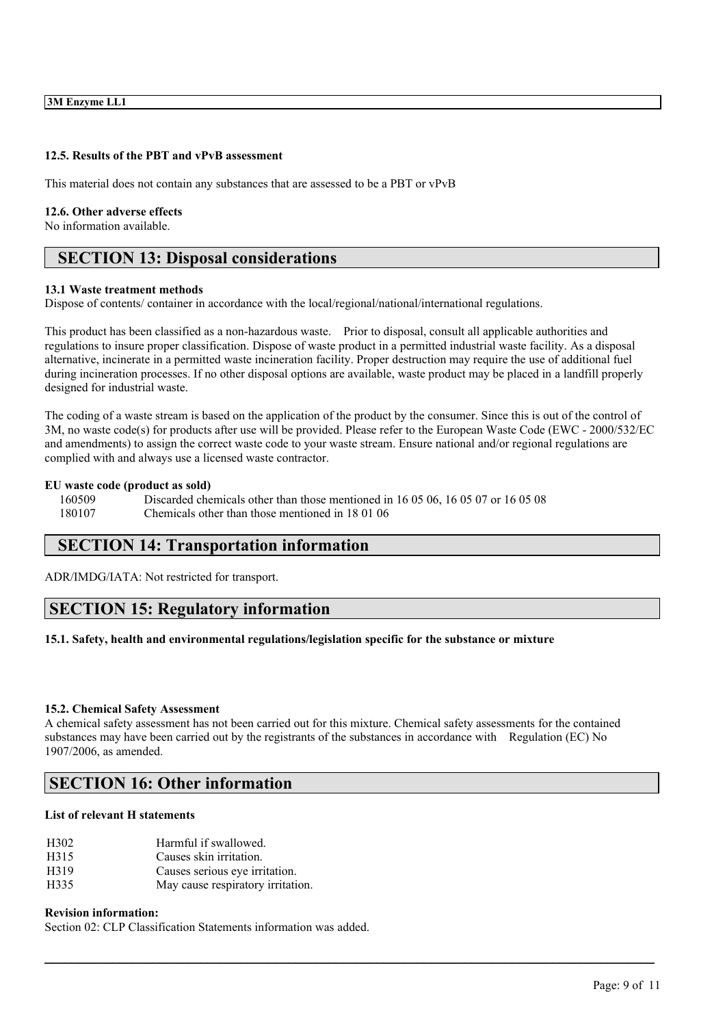### **12.5. Results of the PBT and vPvB assessment**

This material does not contain any substances that are assessed to be a PBT or vPvB

#### **12.6. Other adverse effects**

No information available.

## **SECTION 13: Disposal considerations**

#### **13.1 Waste treatment methods**

Dispose of contents/ container in accordance with the local/regional/national/international regulations.

This product has been classified as a non-hazardous waste. Prior to disposal, consult all applicable authorities and regulations to insure proper classification. Dispose of waste product in a permitted industrial waste facility. As a disposal alternative, incinerate in a permitted waste incineration facility. Proper destruction may require the use of additional fuel during incineration processes. If no other disposal options are available, waste product may be placed in a landfill properly designed for industrial waste.

The coding of a waste stream is based on the application of the product by the consumer. Since this is out of the control of 3M, no waste code(s) for products after use will be provided. Please refer to the European Waste Code (EWC - 2000/532/EC and amendments) to assign the correct waste code to your waste stream. Ensure national and/or regional regulations are complied with and always use a licensed waste contractor.

### **EU waste code (product as sold)**

160509 Discarded chemicals other than those mentioned in 16 05 06, 16 05 07 or 16 05 08 180107 Chemicals other than those mentioned in 18 01 06

## **SECTION 14: Transportation information**

ADR/IMDG/IATA: Not restricted for transport.

## **SECTION 15: Regulatory information**

**15.1. Safety, health and environmental regulations/legislation specific for the substance or mixture**

#### **15.2. Chemical Safety Assessment**

A chemical safety assessment has not been carried out for this mixture. Chemical safety assessments for the contained substances may have been carried out by the registrants of the substances in accordance with Regulation (EC) No 1907/2006, as amended.

 $\mathcal{L}_\mathcal{L} = \mathcal{L}_\mathcal{L} = \mathcal{L}_\mathcal{L} = \mathcal{L}_\mathcal{L} = \mathcal{L}_\mathcal{L} = \mathcal{L}_\mathcal{L} = \mathcal{L}_\mathcal{L} = \mathcal{L}_\mathcal{L} = \mathcal{L}_\mathcal{L} = \mathcal{L}_\mathcal{L} = \mathcal{L}_\mathcal{L} = \mathcal{L}_\mathcal{L} = \mathcal{L}_\mathcal{L} = \mathcal{L}_\mathcal{L} = \mathcal{L}_\mathcal{L} = \mathcal{L}_\mathcal{L} = \mathcal{L}_\mathcal{L}$ 

## **SECTION 16: Other information**

#### **List of relevant H statements**

| H <sub>3</sub> 02 | Harmful if swallowed.   |
|-------------------|-------------------------|
| H315              | Causes skin irritation. |

- H319 Causes serious eye irritation.
- H335 May cause respiratory irritation.

#### **Revision information:**

Section 02: CLP Classification Statements information was added.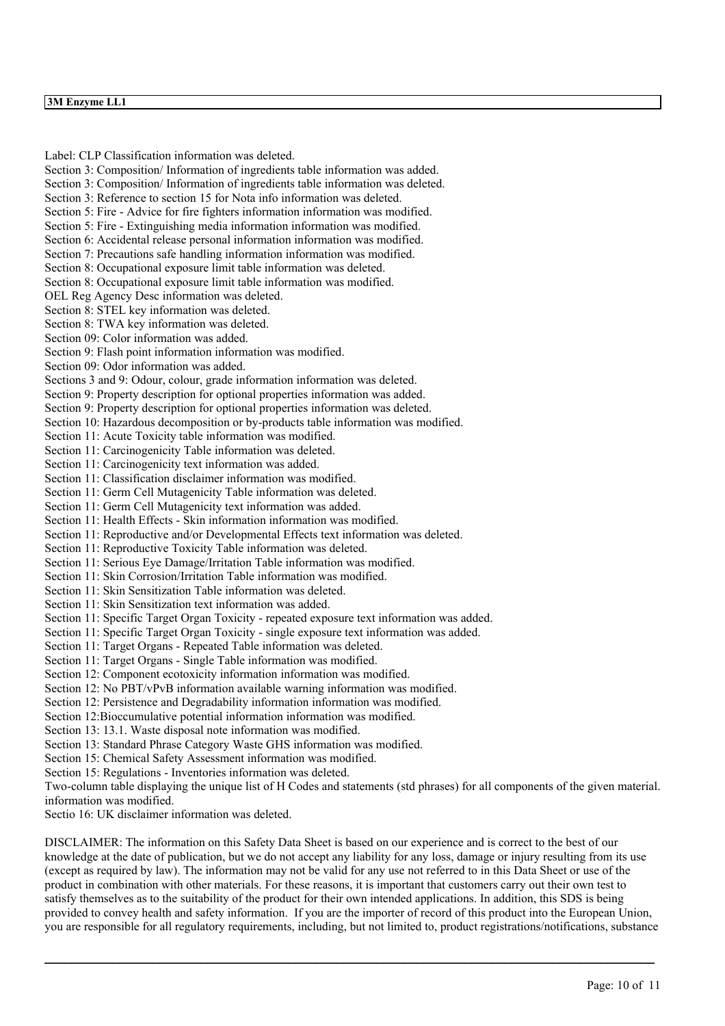#### **3M Enzyme LL1**

Label: CLP Classification information was deleted. Section 3: Composition/ Information of ingredients table information was added. Section 3: Composition/ Information of ingredients table information was deleted. Section 3: Reference to section 15 for Nota info information was deleted. Section 5: Fire - Advice for fire fighters information information was modified. Section 5: Fire - Extinguishing media information information was modified. Section 6: Accidental release personal information information was modified. Section 7: Precautions safe handling information information was modified. Section 8: Occupational exposure limit table information was deleted. Section 8: Occupational exposure limit table information was modified. OEL Reg Agency Desc information was deleted. Section 8: STEL key information was deleted. Section 8: TWA key information was deleted. Section 09: Color information was added. Section 9: Flash point information information was modified. Section 09: Odor information was added. Sections 3 and 9: Odour, colour, grade information information was deleted. Section 9: Property description for optional properties information was added. Section 9: Property description for optional properties information was deleted. Section 10: Hazardous decomposition or by-products table information was modified. Section 11: Acute Toxicity table information was modified. Section 11: Carcinogenicity Table information was deleted. Section 11: Carcinogenicity text information was added. Section 11: Classification disclaimer information was modified. Section 11: Germ Cell Mutagenicity Table information was deleted. Section 11: Germ Cell Mutagenicity text information was added. Section 11: Health Effects - Skin information information was modified. Section 11: Reproductive and/or Developmental Effects text information was deleted. Section 11: Reproductive Toxicity Table information was deleted. Section 11: Serious Eye Damage/Irritation Table information was modified. Section 11: Skin Corrosion/Irritation Table information was modified. Section 11: Skin Sensitization Table information was deleted. Section 11: Skin Sensitization text information was added. Section 11: Specific Target Organ Toxicity - repeated exposure text information was added. Section 11: Specific Target Organ Toxicity - single exposure text information was added. Section 11: Target Organs - Repeated Table information was deleted. Section 11: Target Organs - Single Table information was modified. Section 12: Component ecotoxicity information information was modified. Section 12: No PBT/vPvB information available warning information was modified. Section 12: Persistence and Degradability information information was modified. Section 12:Bioccumulative potential information information was modified. Section 13: 13.1. Waste disposal note information was modified. Section 13: Standard Phrase Category Waste GHS information was modified. Section 15: Chemical Safety Assessment information was modified. Section 15: Regulations - Inventories information was deleted. Two-column table displaying the unique list of H Codes and statements (std phrases) for all components of the given material. information was modified. Sectio 16: UK disclaimer information was deleted.

DISCLAIMER: The information on this Safety Data Sheet is based on our experience and is correct to the best of our knowledge at the date of publication, but we do not accept any liability for any loss, damage or injury resulting from its use (except as required by law). The information may not be valid for any use not referred to in this Data Sheet or use of the product in combination with other materials. For these reasons, it is important that customers carry out their own test to satisfy themselves as to the suitability of the product for their own intended applications. In addition, this SDS is being provided to convey health and safety information. If you are the importer of record of this product into the European Union, you are responsible for all regulatory requirements, including, but not limited to, product registrations/notifications, substance